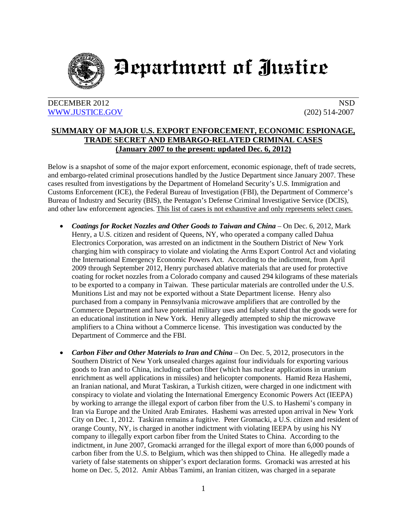

## Department of Justice

## DECEMBER 2012 NSD [WWW.JUSTICE.GOV](http://www.justice.gov/) (202) 514-2007

## **SUMMARY OF MAJOR U.S. EXPORT ENFORCEMENT, ECONOMIC ESPIONAGE, TRADE SECRET AND EMBARGO-RELATED CRIMINAL CASES (January 2007 to the present: updated Dec. 6, 2012)**

Below is a snapshot of some of the major export enforcement, economic espionage, theft of trade secrets, and embargo-related criminal prosecutions handled by the Justice Department since January 2007. These cases resulted from investigations by the Department of Homeland Security's U.S. Immigration and Customs Enforcement (ICE), the Federal Bureau of Investigation (FBI), the Department of Commerce's Bureau of Industry and Security (BIS), the Pentagon's Defense Criminal Investigative Service (DCIS), and other law enforcement agencies. This list of cases is not exhaustive and only represents select cases.

- *Coatings for Rocket Nozzles and Other Goods to Taiwan and China* On Dec. 6, 2012, Mark Henry, a U.S. citizen and resident of Queens, NY, who operated a company called Dahua Electronics Corporation, was arrested on an indictment in the Southern District of New York charging him with conspiracy to violate and violating the Arms Export Control Act and violating the International Emergency Economic Powers Act. According to the indictment, from April 2009 through September 2012, Henry purchased ablative materials that are used for protective coating for rocket nozzles from a Colorado company and caused 294 kilograms of these materials to be exported to a company in Taiwan. These particular materials are controlled under the U.S. Munitions List and may not be exported without a State Department license. Henry also purchased from a company in Pennsylvania microwave amplifiers that are controlled by the Commerce Department and have potential military uses and falsely stated that the goods were for an educational institution in New York. Henry allegedly attempted to ship the microwave amplifiers to a China without a Commerce license. This investigation was conducted by the Department of Commerce and the FBI.
- *Carbon Fiber and Other Materials to Iran and China* On Dec. 5, 2012, prosecutors in the Southern District of New York unsealed charges against four individuals for exporting various goods to Iran and to China, including carbon fiber (which has nuclear applications in uranium enrichment as well applications in missiles) and helicopter components. Hamid Reza Hashemi, an Iranian national, and Murat Taskiran, a Turkish citizen, were charged in one indictment with conspiracy to violate and violating the International Emergency Economic Powers Act (IEEPA) by working to arrange the illegal export of carbon fiber from the U.S. to Hashemi's company in Iran via Europe and the United Arab Emirates. Hashemi was arrested upon arrival in New York City on Dec. 1, 2012. Taskiran remains a fugitive. Peter Gromacki, a U.S. citizen and resident of orange County, NY, is charged in another indictment with violating IEEPA by using his NY company to illegally export carbon fiber from the United States to China. According to the indictment, in June 2007, Gromacki arranged for the illegal export of more than 6,000 pounds of carbon fiber from the U.S. to Belgium, which was then shipped to China. He allegedly made a variety of false statements on shipper's export declaration forms. Gromacki was arrested at his home on Dec. 5, 2012. Amir Abbas Tamimi, an Iranian citizen, was charged in a separate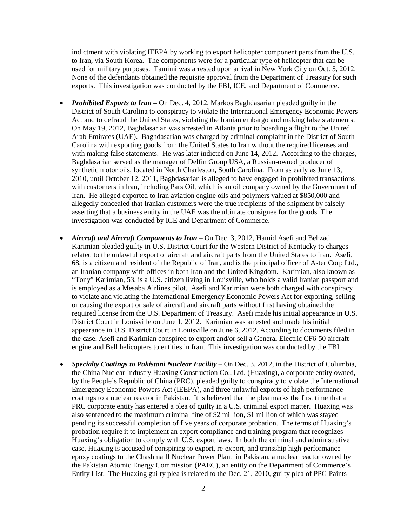indictment with violating IEEPA by working to export helicopter component parts from the U.S. to Iran, via South Korea. The components were for a particular type of helicopter that can be used for military purposes. Tamimi was arrested upon arrival in New York City on Oct. 5, 2012. None of the defendants obtained the requisite approval from the Department of Treasury for such exports. This investigation was conducted by the FBI, ICE, and Department of Commerce.

- *Prohibited Exports to Iran* On Dec. 4, 2012, Markos Baghdasarian pleaded guilty in the District of South Carolina to conspiracy to violate the International Emergency Economic Powers Act and to defraud the United States, violating the Iranian embargo and making false statements. On May 19, 2012, Baghdasarian was arrested in Atlanta prior to boarding a flight to the United Arab Emirates (UAE). Baghdasarian was charged by criminal complaint in the District of South Carolina with exporting goods from the United States to Iran without the required licenses and with making false statements. He was later indicted on June 14, 2012. According to the charges, Baghdasarian served as the manager of Delfin Group USA, a Russian-owned producer of synthetic motor oils, located in North Charleston, South Carolina. From as early as June 13, 2010, until October 12, 2011, Baghdasarian is alleged to have engaged in prohibited transactions with customers in Iran, including Pars Oil, which is an oil company owned by the Government of Iran. He alleged exported to Iran aviation engine oils and polymers valued at \$850,000 and allegedly concealed that Iranian customers were the true recipients of the shipment by falsely asserting that a business entity in the UAE was the ultimate consignee for the goods. The investigation was conducted by ICE and Department of Commerce.
- *Aircraft and Aircraft Components to Iran* On Dec. 3, 2012, Hamid Asefi and Behzad Karimian pleaded guilty in U.S. District Court for the Western District of Kentucky to charges related to the unlawful export of aircraft and aircraft parts from the United States to Iran. Asefi, 68, is a citizen and resident of the Republic of Iran, and is the principal officer of Aster Corp Ltd., an Iranian company with offices in both Iran and the United Kingdom. Karimian, also known as "Tony" Karimian, 53, is a U.S. citizen living in Louisville, who holds a valid Iranian passport and is employed as a Mesaba Airlines pilot. Asefi and Karimian were both charged with conspiracy to violate and violating the International Emergency Economic Powers Act for exporting, selling or causing the export or sale of aircraft and aircraft parts without first having obtained the required license from the U.S. Department of Treasury. Asefi made his initial appearance in U.S. District Court in Louisville on June 1, 2012. Karimian was arrested and made his initial appearance in U.S. District Court in Louisville on June 6, 2012. According to documents filed in the case, Asefi and Karimian conspired to export and/or sell a General Electric CF6-50 aircraft engine and Bell helicopters to entities in Iran. This investigation was conducted by the FBI.
- *Specialty Coatings to Pakistani Nuclear Facility* On Dec. 3, 2012, in the District of Columbia, the China Nuclear Industry Huaxing Construction Co., Ltd. (Huaxing), a corporate entity owned, by the People's Republic of China (PRC), pleaded guilty to conspiracy to violate the International Emergency Economic Powers Act (IEEPA), and three unlawful exports of high performance coatings to a nuclear reactor in Pakistan. It is believed that the plea marks the first time that a PRC corporate entity has entered a plea of guilty in a U.S. criminal export matter. Huaxing was also sentenced to the maximum criminal fine of \$2 million, \$1 million of which was stayed pending its successful completion of five years of corporate probation. The terms of Huaxing's probation require it to implement an export compliance and training program that recognizes Huaxing's obligation to comply with U.S. export laws. In both the criminal and administrative case, Huaxing is accused of conspiring to export, re-export, and transship high-performance epoxy coatings to the Chashma II Nuclear Power Plant in Pakistan, a nuclear reactor owned by the Pakistan Atomic Energy Commission (PAEC), an entity on the Department of Commerce's Entity List. The Huaxing guilty plea is related to the Dec. 21, 2010, guilty plea of PPG Paints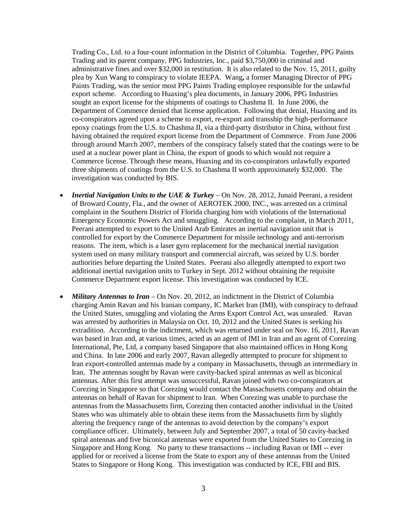Trading Co., Ltd. to a four-count information in the District of Columbia. Together, PPG Paints Trading and its parent company, PPG Industries, Inc., paid \$3,750,000 in criminal and administrative fines and over \$32,000 in restitution. It is also related to the Nov. 15, 2011, guilty plea by Xun Wang to conspiracy to violate IEEPA. Wang**,** a former Managing Director of PPG Paints Trading, was the senior most PPG Paints Trading employee responsible for the unlawful export scheme. According to Huaxing's plea documents, in January 2006, PPG Industries sought an export license for the shipments of coatings to Chashma II. In June 2006, the Department of Commerce denied that license application. Following that denial, Huaxing and its co-conspirators agreed upon a scheme to export, re-export and transship the high-performance epoxy coatings from the U.S. to Chashma II, via a third-party distributor in China, without first having obtained the required export license from the Department of Commerce. From June 2006 through around March 2007, members of the conspiracy falsely stated that the coatings were to be used at a nuclear power plant in China, the export of goods to which would not require a Commerce license. Through these means, Huaxing and its co-conspirators unlawfully exported three shipments of coatings from the U.S. to Chashma II worth approximately \$32,000. The investigation was conducted by BIS.

- *Inertial Navigation Units to the UAE & Turkey*  On Nov. 28, 2012, Junaid Peerani, a resident of Broward County, Fla., and the owner of AEROTEK 2000, INC., was arrested on a criminal complaint in the Southern District of Florida charging him with violations of the International Emergency Economic Powers Act and smuggling. According to the complaint, in March 2011, Peerani attempted to export to the United Arab Emirates an inertial navigation unit that is controlled for export by the Commerce Department for missile technology and anti-terrorism reasons. The item, which is a laser gyro replacement for the mechanical inertial navigation system used on many military transport and commercial aircraft, was seized by U.S. border authorities before departing the United States. Peerani also allegedly attempted to export two additional inertial navigation units to Turkey in Sept. 2012 without obtaining the requisite Commerce Department export license. This investigation was conducted by ICE.
- *Military Antennas to Iran* On Nov. 20, 2012, an indictment in the District of Columbia charging Amin Ravan and his Iranian company, IC Market Iran (IMI), with conspiracy to defraud the United States, smuggling and violating the Arms Export Control Act, was unsealed. Ravan was arrested by authorities in Malaysia on Oct. 10, 2012 and the United States is seeking his extradition. According to the indictment, which was returned under seal on Nov. 16, 2011, Ravan was based in Iran and, at various times, acted as an agent of IMI in Iran and an agent of Corezing International, Pte, Ltd, a company based Singapore that also maintained offices in Hong Kong and China. In late 2006 and early 2007, Ravan allegedly attempted to procure for shipment to Iran export-controlled antennas made by a company in Massachusetts, through an intermediary in Iran. The antennas sought by Ravan were cavity-backed spiral antennas as well as biconical antennas. After this first attempt was unsuccessful, Ravan joined with two co-conspirators at Corezing in Singapore so that Corezing would contact the Massachusetts company and obtain the antennas on behalf of Ravan for shipment to Iran. When Corezing was unable to purchase the antennas from the Massachusetts firm, Corezing then contacted another individual in the United States who was ultimately able to obtain these items from the Massachusetts firm by slightly altering the frequency range of the antennas to avoid detection by the company's export compliance officer. Ultimately, between July and September 2007, a total of 50 cavity-backed spiral antennas and five biconical antennas were exported from the United States to Corezing in Singapore and Hong Kong. No party to these transactions -- including Ravan or IMI -- ever applied for or received a license from the State to export any of these antennas from the United States to Singapore or Hong Kong. This investigation was conducted by ICE, FBI and BIS.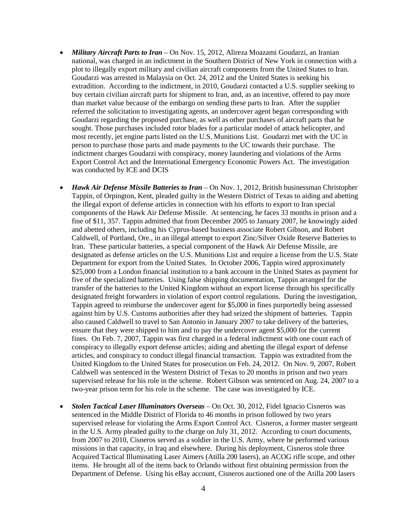- *Military Aircraft Parts to Iran* On Nov. 15, 2012, Alireza Moazami Goudarzi, an Iranian national, was charged in an indictment in the Southern District of New York in connection with a plot to illegally export military and civilian aircraft components from the United States to Iran. Goudarzi was arrested in Malaysia on Oct. 24, 2012 and the United States is seeking his extradition. According to the indictment, in 2010, Goudarzi contacted a U.S. supplier seeking to buy certain civilian aircraft parts for shipment to Iran, and, as an incentive, offered to pay more than market value because of the embargo on sending these parts to Iran. After the supplier referred the solicitation to investigating agents, an undercover agent began corresponding with Goudarzi regarding the proposed purchase, as well as other purchases of aircraft parts that he sought. Those purchases included rotor blades for a particular model of attack helicopter, and most recently, jet engine parts listed on the U.S. Munitions List. Goudarzi met with the UC in person to purchase those parts and made payments to the UC towards their purchase. The indictment charges Goudarzi with conspiracy, money laundering and violations of the Arms Export Control Act and the International Emergency Economic Powers Act. The investigation was conducted by ICE and DCIS
- *Hawk Air Defense Missile Batteries to Iran* On Nov. 1, 2012, British businessman Christopher Tappin, of Orpington, Kent, pleaded guilty in the Western District of Texas to aiding and abetting the illegal export of defense articles in connection with his efforts to export to Iran special components of the Hawk Air Defense Missile. At sentencing, he faces 33 months in prison and a fine of \$11, 357. Tappin admitted that from December 2005 to January 2007, he knowingly aided and abetted others, including his Cyprus-based business associate Robert Gibson, and Robert Caldwell, of Portland, Ore., in an illegal attempt to export Zinc/Silver Oxide Reserve Batteries to Iran. These particular batteries, a special component of the Hawk Air Defense Missile, are designated as defense articles on the U.S. Munitions List and require a license from the U.S. State Department for export from the United States. In October 2006, Tappin wired approximately \$25,000 from a London financial institution to a bank account in the United States as payment for five of the specialized batteries. Using false shipping documentation, Tappin arranged for the transfer of the batteries to the United Kingdom without an export license through his specifically designated freight forwarders in violation of export control regulations. During the investigation, Tappin agreed to reimburse the undercover agent for \$5,000 in fines purportedly being assessed against him by U.S. Customs authorities after they had seized the shipment of batteries. Tappin also caused Caldwell to travel to San Antonio in January 2007 to take delivery of the batteries, ensure that they were shipped to him and to pay the undercover agent \$5,000 for the current fines. On Feb. 7, 2007, Tappin was first charged in a federal indictment with one count each of conspiracy to illegally export defense articles; aiding and abetting the illegal export of defense articles, and conspiracy to conduct illegal financial transaction. Tappin was extradited from the United Kingdom to the United States for prosecution on Feb. 24, 2012. On Nov. 9, 2007, Robert Caldwell was sentenced in the Western District of Texas to 20 months in prison and two years supervised release for his role in the scheme. Robert Gibson was sentenced on Aug. 24, 2007 to a two-year prison term for his role in the scheme. The case was investigated by ICE.
- *Stolen Tactical Laser Illuminators Overseas* On Oct. 30, 2012, Fidel Ignacio Cisneros was sentenced in the Middle District of Florida to 46 months in prison followed by two years supervised release for violating the Arms Export Control Act. Cisneros, a former master sergeant in the U.S. Army pleaded guilty to the charge on July 31, 2012. According to court documents, from 2007 to 2010, Cisneros served as a soldier in the U.S. Army, where he performed various missions in that capacity, in Iraq and elsewhere. During his deployment, Cisneros stole three Acquired Tactical Illuminating Laser Aimers (Atilla 200 lasers), an ACOG rifle scope, and other items. He brought all of the items back to Orlando without first obtaining permission from the Department of Defense. Using his eBay account, Cisneros auctioned one of the Atilla 200 lasers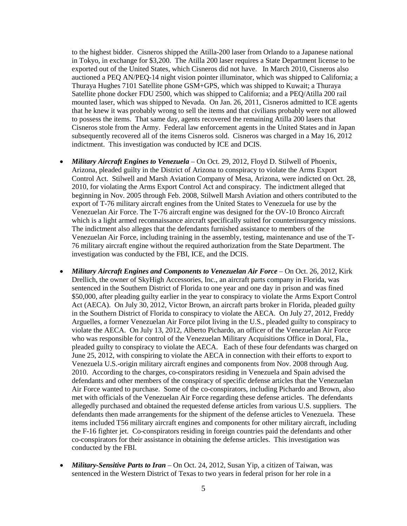to the highest bidder. Cisneros shipped the Atilla-200 laser from Orlando to a Japanese national in Tokyo, in exchange for \$3,200. The Atilla 200 laser requires a State Department license to be exported out of the United States, which Cisneros did not have. In March 2010, Cisneros also auctioned a PEQ AN/PEQ-14 night vision pointer illuminator, which was shipped to California; a Thuraya Hughes 7101 Satellite phone GSM+GPS, which was shipped to Kuwait; a Thuraya Satellite phone docker FDU 2500, which was shipped to California; and a PEQ/Atilla 200 rail mounted laser, which was shipped to Nevada. On Jan. 26, 2011, Cisneros admitted to ICE agents that he knew it was probably wrong to sell the items and that civilians probably were not allowed to possess the items. That same day, agents recovered the remaining Atilla 200 lasers that Cisneros stole from the Army. Federal law enforcement agents in the United States and in Japan subsequently recovered all of the items Cisneros sold. Cisneros was charged in a May 16, 2012 indictment. This investigation was conducted by ICE and DCIS.

- *Military Aircraft Engines to Venezuela* On Oct. 29, 2012, Floyd D. Stilwell of Phoenix, Arizona, pleaded guilty in the District of Arizona to conspiracy to violate the Arms Export Control Act. Stilwell and Marsh Aviation Company of Mesa, Arizona, were indicted on Oct. 28, 2010, for violating the Arms Export Control Act and conspiracy. The indictment alleged that beginning in Nov. 2005 through Feb. 2008, Stilwell Marsh Aviation and others contributed to the export of T-76 military aircraft engines from the United States to Venezuela for use by the Venezuelan Air Force. The T-76 aircraft engine was designed for the OV-10 Bronco Aircraft which is a light armed reconnaissance aircraft specifically suited for counterinsurgency missions. The indictment also alleges that the defendants furnished assistance to members of the Venezuelan Air Force, including training in the assembly, testing, maintenance and use of the T-76 military aircraft engine without the required authorization from the State Department. The investigation was conducted by the FBI, ICE, and the DCIS.
- *Military Aircraft Engines and Components to Venezuelan Air Force* On Oct. 26, 2012, Kirk Drellich, the owner of SkyHigh Accessories, Inc., an aircraft parts company in Florida, was sentenced in the Southern District of Florida to one year and one day in prison and was fined \$50,000, after pleading guilty earlier in the year to conspiracy to violate the Arms Export Control Act (AECA). On July 30, 2012, Victor Brown, an aircraft parts broker in Florida, pleaded guilty in the Southern District of Florida to conspiracy to violate the AECA. On July 27, 2012, Freddy Arguelles, a former Venezuelan Air Force pilot living in the U.S., pleaded guilty to conspiracy to violate the AECA. On July 13, 2012, Alberto Pichardo, an officer of the Venezuelan Air Force who was responsible for control of the Venezuelan Military Acquisitions Office in Doral, Fla., pleaded guilty to conspiracy to violate the AECA. Each of these four defendants was charged on June 25, 2012, with conspiring to violate the AECA in connection with their efforts to export to Venezuela U.S.-origin military aircraft engines and components from Nov. 2008 through Aug. 2010. According to the charges, co-conspirators residing in Venezuela and Spain advised the defendants and other members of the conspiracy of specific defense articles that the Venezuelan Air Force wanted to purchase. Some of the co-conspirators, including Pichardo and Brown, also met with officials of the Venezuelan Air Force regarding these defense articles. The defendants allegedly purchased and obtained the requested defense articles from various U.S. suppliers. The defendants then made arrangements for the shipment of the defense articles to Venezuela. These items included T56 military aircraft engines and components for other military aircraft, including the F-16 fighter jet. Co-conspirators residing in foreign countries paid the defendants and other co-conspirators for their assistance in obtaining the defense articles. This investigation was conducted by the FBI.
- *Military-Sensitive Parts to Iran* On Oct. 24, 2012, Susan Yip, a citizen of Taiwan, was sentenced in the Western District of Texas to two years in federal prison for her role in a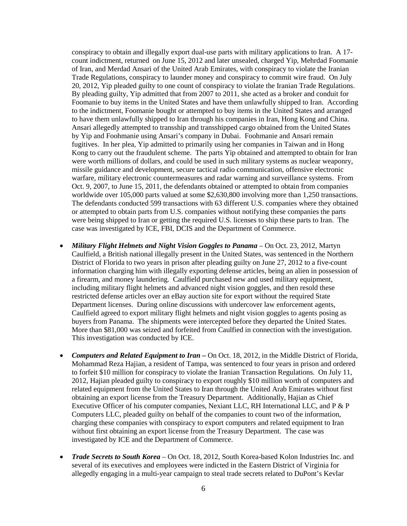conspiracy to obtain and illegally export dual-use parts with military applications to Iran. A 17 count indictment, returned on June 15, 2012 and later unsealed, charged Yip, Mehrdad Foomanie of Iran, and Merdad Ansari of the United Arab Emirates, with conspiracy to violate the Iranian Trade Regulations, conspiracy to launder money and conspiracy to commit wire fraud. On July 20, 2012, Yip pleaded guilty to one count of conspiracy to violate the Iranian Trade Regulations. By pleading guilty, Yip admitted that from 2007 to 2011, she acted as a broker and conduit for Foomanie to buy items in the United States and have them unlawfully shipped to Iran. According to the indictment, Foomanie bought or attempted to buy items in the United States and arranged to have them unlawfully shipped to Iran through his companies in Iran, Hong Kong and China. Ansari allegedly attempted to transship and transshipped cargo obtained from the United States by Yip and Foohmanie using Ansari's company in Dubai. Foohmanie and Ansari remain fugitives. In her plea, Yip admitted to primarily using her companies in Taiwan and in Hong Kong to carry out the fraudulent scheme. The parts Yip obtained and attempted to obtain for Iran were worth millions of dollars, and could be used in such military systems as nuclear weaponry, missile guidance and development, secure tactical radio communication, offensive electronic warfare, military electronic countermeasures and radar warning and surveillance systems. From Oct. 9, 2007, to June 15, 2011, the defendants obtained or attempted to obtain from companies worldwide over 105,000 parts valued at some \$2,630,800 involving more than 1,250 transactions. The defendants conducted 599 transactions with 63 different U.S. companies where they obtained or attempted to obtain parts from U.S. companies without notifying these companies the parts were being shipped to Iran or getting the required U.S. licenses to ship these parts to Iran. The case was investigated by ICE, FBI, DCIS and the Department of Commerce.

- *Military Flight Helmets and Night Vision Goggles to Panama* On Oct. 23, 2012, Martyn Caulfield, a British national illegally present in the United States, was sentenced in the Northern District of Florida to two years in prison after pleading guilty on June 27, 2012 to a five-count information charging him with illegally exporting defense articles, being an alien in possession of a firearm, and money laundering. Caulfield purchased new and used military equipment, including military flight helmets and advanced night vision goggles, and then resold these restricted defense articles over an eBay auction site for export without the required State Department licenses. During online discussions with undercover law enforcement agents, Caulfield agreed to export military flight helmets and night vision goggles to agents posing as buyers from Panama. The shipments were intercepted before they departed the United States. More than \$81,000 was seized and forfeited from Caulfied in connection with the investigation. This investigation was conducted by ICE.
- *Computers and Related Equipment to Iran* **–** On Oct. 18, 2012, in the Middle District of Florida, Mohammad Reza Hajian, a resident of Tampa, was sentenced to four years in prison and ordered to forfeit \$10 million for conspiracy to violate the Iranian Transaction Regulations. On July 11, 2012, Hajian pleaded guilty to conspiracy to export roughly \$10 million worth of computers and related equipment from the United States to Iran through the United Arab Emirates without first obtaining an export license from the Treasury Department. Additionally, Hajian as Chief Executive Officer of his computer companies, Nexiant LLC, RH International LLC, and P & P Computers LLC, pleaded guilty on behalf of the companies to count two of the information, charging these companies with conspiracy to export computers and related equipment to Iran without first obtaining an export license from the Treasury Department. The case was investigated by ICE and the Department of Commerce.
- *Trade Secrets to South Korea* On Oct. 18, 2012, South Korea-based Kolon Industries Inc. and several of its executives and employees were indicted in the Eastern District of Virginia for allegedly engaging in a multi-year campaign to steal trade secrets related to DuPont's Kevlar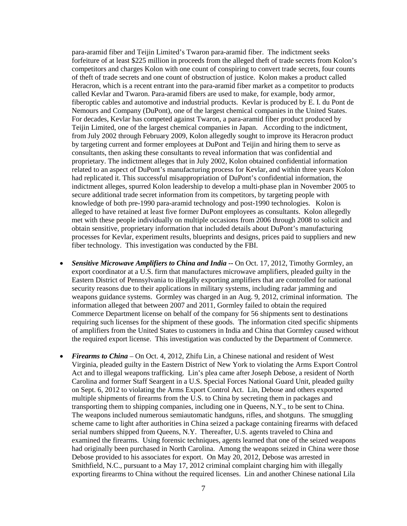para-aramid fiber and Teijin Limited's Twaron para-aramid fiber. The indictment seeks forfeiture of at least \$225 million in proceeds from the alleged theft of trade secrets from Kolon's competitors and charges Kolon with one count of conspiring to convert trade secrets, four counts of theft of trade secrets and one count of obstruction of justice. Kolon makes a product called Heracron, which is a recent entrant into the para-aramid fiber market as a competitor to products called Kevlar and Twaron. Para-aramid fibers are used to make, for example, body armor, fiberoptic cables and automotive and industrial products. Kevlar is produced by E. I. du Pont de Nemours and Company (DuPont), one of the largest chemical companies in the United States. For decades, Kevlar has competed against Twaron, a para-aramid fiber product produced by Teijin Limited, one of the largest chemical companies in Japan. According to the indictment, from July 2002 through February 2009, Kolon allegedly sought to improve its Heracron product by targeting current and former employees at DuPont and Teijin and hiring them to serve as consultants, then asking these consultants to reveal information that was confidential and proprietary. The indictment alleges that in July 2002, Kolon obtained confidential information related to an aspect of DuPont's manufacturing process for Kevlar, and within three years Kolon had replicated it. This successful misappropriation of DuPont's confidential information, the indictment alleges, spurred Kolon leadership to develop a multi-phase plan in November 2005 to secure additional trade secret information from its competitors, by targeting people with knowledge of both pre-1990 para-aramid technology and post-1990 technologies. Kolon is alleged to have retained at least five former DuPont employees as consultants. Kolon allegedly met with these people individually on multiple occasions from 2006 through 2008 to solicit and obtain sensitive, proprietary information that included details about DuPont's manufacturing processes for Kevlar, experiment results, blueprints and designs, prices paid to suppliers and new fiber technology. This investigation was conducted by the FBI.

- *Sensitive Microwave Amplifiers to China and India* -- On Oct. 17, 2012, Timothy Gormley, an export coordinator at a U.S. firm that manufactures microwave amplifiers, pleaded guilty in the Eastern District of Pennsylvania to illegally exporting amplifiers that are controlled for national security reasons due to their applications in military systems, including radar jamming and weapons guidance systems. Gormley was charged in an Aug. 9, 2012, criminal information. The information alleged that between 2007 and 2011, Gormley failed to obtain the required Commerce Department license on behalf of the company for 56 shipments sent to destinations requiring such licenses for the shipment of these goods. The information cited specific shipments of amplifiers from the United States to customers in India and China that Gormley caused without the required export license. This investigation was conducted by the Department of Commerce.
- *Firearms to China* On Oct. 4, 2012, Zhifu Lin, a Chinese national and resident of West Virginia, pleaded guilty in the Eastern District of New York to violating the Arms Export Control Act and to illegal weapons trafficking. Lin's plea came after Joseph Debose, a resident of North Carolina and former Staff Seargent in a U.S. Special Forces National Guard Unit, pleaded guilty on Sept. 6, 2012 to violating the Arms Export Control Act. Lin, Debose and others exported multiple shipments of firearms from the U.S. to China by secreting them in packages and transporting them to shipping companies, including one in Queens, N.Y., to be sent to China. The weapons included numerous semiautomatic handguns, rifles, and shotguns. The smuggling scheme came to light after authorities in China seized a package containing firearms with defaced serial numbers shipped from Queens, N.Y. Thereafter, U.S. agents traveled to China and examined the firearms. Using forensic techniques, agents learned that one of the seized weapons had originally been purchased in North Carolina. Among the weapons seized in China were those Debose provided to his associates for export. On May 20, 2012, Debose was arrested in Smithfield, N.C., pursuant to a May 17, 2012 criminal complaint charging him with illegally exporting firearms to China without the required licenses. Lin and another Chinese national Lila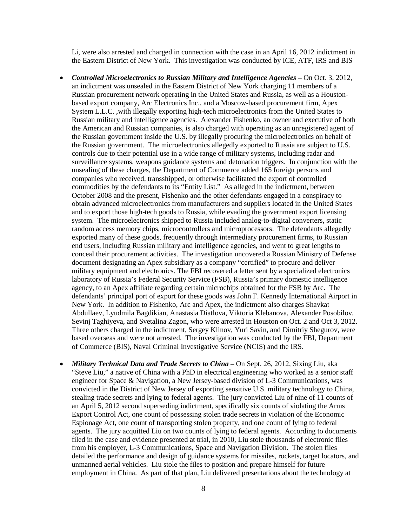Li, were also arrested and charged in connection with the case in an April 16, 2012 indictment in the Eastern District of New York. This investigation was conducted by ICE, ATF, IRS and BIS

- *Controlled Microelectronics to Russian Military and Intelligence Agencies* On Oct. 3, 2012, an indictment was unsealed in the Eastern District of New York charging 11 members of a Russian procurement network operating in the United States and Russia, as well as a Houstonbased export company, Arc Electronics Inc., and a Moscow-based procurement firm, Apex System L.L.C. ,with illegally exporting high-tech microelectronics from the United States to Russian military and intelligence agencies. Alexander Fishenko, an owner and executive of both the American and Russian companies, is also charged with operating as an unregistered agent of the Russian government inside the U.S. by illegally procuring the microelectronics on behalf of the Russian government. The microelectronics allegedly exported to Russia are subject to U.S. controls due to their potential use in a wide range of military systems, including radar and surveillance systems, weapons guidance systems and detonation triggers. In conjunction with the unsealing of these charges, the Department of Commerce added 165 foreign persons and companies who received, transshipped, or otherwise facilitated the export of controlled commodities by the defendants to its "Entity List." As alleged in the indictment, between October 2008 and the present, Fishenko and the other defendants engaged in a conspiracy to obtain advanced microelectronics from manufacturers and suppliers located in the United States and to export those high-tech goods to Russia, while evading the government export licensing system. The microelectronics shipped to Russia included analog-to-digital converters, static random access memory chips, microcontrollers and microprocessors. The defendants allegedly exported many of these goods, frequently through intermediary procurement firms, to Russian end users, including Russian military and intelligence agencies, and went to great lengths to conceal their procurement activities. The investigation uncovered a Russian Ministry of Defense document designating an Apex subsidiary as a company "certified" to procure and deliver military equipment and electronics. The FBI recovered a letter sent by a specialized electronics laboratory of Russia's Federal Security Service (FSB), Russia's primary domestic intelligence agency, to an Apex affiliate regarding certain microchips obtained for the FSB by Arc. The defendants' principal port of export for these goods was John F. Kennedy International Airport in New York. In addition to Fishenko, Arc and Apex, the indictment also charges Shavkat Abdullaev, Lyudmila Bagdikian, Anastasia Diatlova, Viktoria Klebanova, Alexander Posobilov, Sevinj Taghiyeva, and Svetalina Zagon, who were arrested in Houston on Oct. 2 and Oct 3, 2012. Three others charged in the indictment, Sergey Klinov, Yuri Savin, and Dimitriy Shegurov, were based overseas and were not arrested. The investigation was conducted by the FBI, Department of Commerce (BIS), Naval Criminal Investigative Service (NCIS) and the IRS.
- *Military Technical Data and Trade Secrets to China* On Sept. 26, 2012, Sixing Liu, aka "Steve Liu," a native of China with a PhD in electrical engineering who worked as a senior staff engineer for Space & Navigation, a New Jersey-based division of L-3 Communications, was convicted in the District of New Jersey of exporting sensitive U.S. military technology to China, stealing trade secrets and lying to federal agents. The jury convicted Liu of nine of 11 counts of an April 5, 2012 second superseding indictment, specifically six counts of violating the Arms Export Control Act, one count of possessing stolen trade secrets in violation of the Economic Espionage Act, one count of transporting stolen property, and one count of lying to federal agents. The jury acquitted Liu on two counts of lying to federal agents. According to documents filed in the case and evidence presented at trial, in 2010, Liu stole thousands of electronic files from his employer, L-3 Communications, Space and Navigation Division. The stolen files detailed the performance and design of guidance systems for missiles, rockets, target locators, and unmanned aerial vehicles. Liu stole the files to position and prepare himself for future employment in China. As part of that plan, Liu delivered presentations about the technology at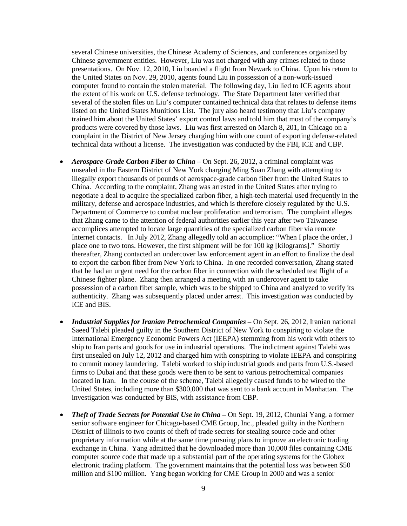several Chinese universities, the Chinese Academy of Sciences, and conferences organized by Chinese government entities. However, Liu was not charged with any crimes related to those presentations. On Nov. 12, 2010, Liu boarded a flight from Newark to China. Upon his return to the United States on Nov. 29, 2010, agents found Liu in possession of a non-work-issued computer found to contain the stolen material. The following day, Liu lied to ICE agents about the extent of his work on U.S. defense technology. The State Department later verified that several of the stolen files on Liu's computer contained technical data that relates to defense items listed on the United States Munitions List. The jury also heard testimony that Liu's company trained him about the United States' export control laws and told him that most of the company's products were covered by those laws. Liu was first arrested on March 8, 201, in Chicago on a complaint in the District of New Jersey charging him with one count of exporting defense-related technical data without a license. The investigation was conducted by the FBI, ICE and CBP.

- *Aerospace-Grade Carbon Fiber to China* On Sept. 26, 2012, a criminal complaint was unsealed in the Eastern District of New York charging Ming Suan Zhang with attempting to illegally export thousands of pounds of aerospace-grade carbon fiber from the United States to China. According to the complaint, Zhang was arrested in the United States after trying to negotiate a deal to acquire the specialized carbon fiber, a high-tech material used frequently in the military, defense and aerospace industries, and which is therefore closely regulated by the U.S. Department of Commerce to combat nuclear proliferation and terrorism. The complaint alleges that Zhang came to the attention of federal authorities earlier this year after two Taiwanese accomplices attempted to locate large quantities of the specialized carbon fiber via remote Internet contacts. In July 2012, Zhang allegedly told an accomplice: "When I place the order, I place one to two tons. However, the first shipment will be for 100 kg [kilograms]." Shortly thereafter, Zhang contacted an undercover law enforcement agent in an effort to finalize the deal to export the carbon fiber from New York to China. In one recorded conversation, Zhang stated that he had an urgent need for the carbon fiber in connection with the scheduled test flight of a Chinese fighter plane. Zhang then arranged a meeting with an undercover agent to take possession of a carbon fiber sample, which was to be shipped to China and analyzed to verify its authenticity. Zhang was subsequently placed under arrest. This investigation was conducted by ICE and BIS.
- *Industrial Supplies for Iranian Petrochemical Companies* On Sept. 26, 2012, Iranian national Saeed Talebi pleaded guilty in the Southern District of New York to conspiring to violate the International Emergency Economic Powers Act (IEEPA) stemming from his work with others to ship to Iran parts and goods for use in industrial operations. The indictment against Talebi was first unsealed on July 12, 2012 and charged him with conspiring to violate IEEPA and conspiring to commit money laundering. Talebi worked to ship industrial goods and parts from U.S.-based firms to Dubai and that these goods were then to be sent to various petrochemical companies located in Iran. In the course of the scheme, Talebi allegedly caused funds to be wired to the United States, including more than \$300,000 that was sent to a bank account in Manhattan. The investigation was conducted by BIS, with assistance from CBP.
- *Theft of Trade Secrets for Potential Use in China* On Sept. 19, 2012, Chunlai Yang, a former senior software engineer for Chicago-based CME Group, Inc., pleaded guilty in the Northern District of Illinois to two counts of theft of trade secrets for stealing source code and other proprietary information while at the same time pursuing plans to improve an electronic trading exchange in China. Yang admitted that he downloaded more than 10,000 files containing CME computer source code that made up a substantial part of the operating systems for the Globex electronic trading platform. The government maintains that the potential loss was between \$50 million and \$100 million. Yang began working for CME Group in 2000 and was a senior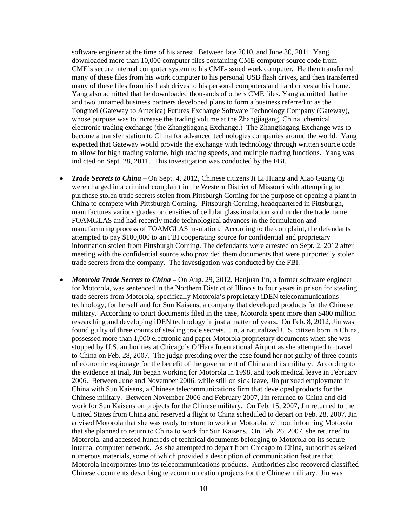software engineer at the time of his arrest. Between late 2010, and June 30, 2011, Yang downloaded more than 10,000 computer files containing CME computer source code from CME's secure internal computer system to his CME-issued work computer. He then transferred many of these files from his work computer to his personal USB flash drives, and then transferred many of these files from his flash drives to his personal computers and hard drives at his home. Yang also admitted that he downloaded thousands of others CME files. Yang admitted that he and two unnamed business partners developed plans to form a business referred to as the Tongmei (Gateway to America) Futures Exchange Software Technology Company (Gateway), whose purpose was to increase the trading volume at the Zhangjiagang, China, chemical electronic trading exchange (the Zhangjiagang Exchange.) The Zhangjiagang Exchange was to become a transfer station to China for advanced technologies companies around the world. Yang expected that Gateway would provide the exchange with technology through written source code to allow for high trading volume, high trading speeds, and multiple trading functions. Yang was indicted on Sept. 28, 2011. This investigation was conducted by the FBI.

- *Trade Secrets to China* On Sept. 4, 2012, Chinese citizens Ji Li Huang and Xiao Guang Qi were charged in a criminal complaint in the Western District of Missouri with attempting to purchase stolen trade secrets stolen from Pittsburgh Corning for the purpose of opening a plant in China to compete with Pittsburgh Corning. Pittsburgh Corning, headquartered in Pittsburgh, manufactures various grades or densities of cellular glass insulation sold under the trade name FOAMGLAS and had recently made technological advances in the formulation and manufacturing process of FOAMGLAS insulation. According to the complaint, the defendants attempted to pay \$100,000 to an FBI cooperating source for confidential and proprietary information stolen from Pittsburgh Corning. The defendants were arrested on Sept. 2, 2012 after meeting with the confidential source who provided them documents that were purportedly stolen trade secrets from the company. The investigation was conducted by the FBI.
- *Motorola Trade Secrets to China* On Aug. 29, 2012, Hanjuan Jin, a former software engineer for Motorola, was sentenced in the Northern District of Illinois to four years in prison for stealing trade secrets from Motorola, specifically Motorola's proprietary iDEN telecommunications technology, for herself and for Sun Kaisens, a company that developed products for the Chinese military. According to court documents filed in the case, Motorola spent more than \$400 million researching and developing iDEN technology in just a matter of years. On Feb. 8, 2012, Jin was found guilty of three counts of stealing trade secrets. Jin, a naturalized U.S. citizen born in China, possessed more than 1,000 electronic and paper Motorola proprietary documents when she was stopped by U.S. authorities at Chicago's O'Hare International Airport as she attempted to travel to China on Feb. 28, 2007. The judge presiding over the case found her not guilty of three counts of economic espionage for the benefit of the government of China and its military. According to the evidence at trial, Jin began working for Motorola in 1998, and took medical leave in February 2006. Between June and November 2006, while still on sick leave, Jin pursued employment in China with Sun Kaisens, a Chinese telecommunications firm that developed products for the Chinese military. Between November 2006 and February 2007, Jin returned to China and did work for Sun Kaisens on projects for the Chinese military. On Feb. 15, 2007, Jin returned to the United States from China and reserved a flight to China scheduled to depart on Feb. 28, 2007. Jin advised Motorola that she was ready to return to work at Motorola, without informing Motorola that she planned to return to China to work for Sun Kaisens. On Feb. 26, 2007, she returned to Motorola, and accessed hundreds of technical documents belonging to Motorola on its secure internal computer network. As she attempted to depart from Chicago to China, authorities seized numerous materials, some of which provided a description of communication feature that Motorola incorporates into its telecommunications products. Authorities also recovered classified Chinese documents describing telecommunication projects for the Chinese military. Jin was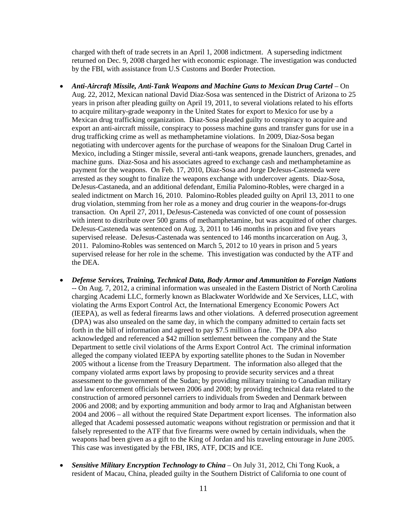charged with theft of trade secrets in an April 1, 2008 indictment. A superseding indictment returned on Dec. 9, 2008 charged her with economic espionage. The investigation was conducted by the FBI, with assistance from U.S Customs and Border Protection.

- *Anti-Aircraft Missile, Anti-Tank Weapons and Machine Guns to Mexican Drug Cartel On* Aug. 22, 2012, Mexican national David Diaz-Sosa was sentenced in the District of Arizona to 25 years in prison after pleading guilty on April 19, 2011, to several violations related to his efforts to acquire military-grade weaponry in the United States for export to Mexico for use by a Mexican drug trafficking organization. Diaz-Sosa pleaded guilty to conspiracy to acquire and export an anti-aircraft missile, conspiracy to possess machine guns and transfer guns for use in a drug trafficking crime as well as methamphetamine violations. In 2009, Diaz-Sosa began negotiating with undercover agents for the purchase of weapons for the Sinaloan Drug Cartel in Mexico, including a Stinger missile, several anti-tank weapons, grenade launchers, grenades, and machine guns. Diaz-Sosa and his associates agreed to exchange cash and methamphetamine as payment for the weapons. On Feb. 17, 2010, Diaz-Sosa and Jorge DeJesus-Casteneda were arrested as they sought to finalize the weapons exchange with undercover agents. Diaz-Sosa, DeJesus-Castaneda, and an additional defendant, Emilia Palomino-Robles, were charged in a sealed indictment on March 16, 2010. Palomino-Robles pleaded guilty on April 13, 2011 to one drug violation, stemming from her role as a money and drug courier in the weapons-for-drugs transaction. On April 27, 2011, DeJesus-Casteneda was convicted of one count of possession with intent to distribute over 500 grams of methamphetamine, but was acquitted of other charges. DeJesus-Casteneda was sentenced on Aug. 3, 2011 to 146 months in prison and five years supervised release. DeJesus-Castenada was sentenced to 146 months incarceration on Aug. 3, 2011. Palomino-Robles was sentenced on March 5, 2012 to 10 years in prison and 5 years supervised release for her role in the scheme. This investigation was conducted by the ATF and the DEA.
- *Defense Services, Training, Technical Data, Body Armor and Ammunition to Foreign Nations* -- On Aug. 7, 2012, a criminal information was unsealed in the Eastern District of North Carolina charging Academi LLC, formerly known as Blackwater Worldwide and Xe Services, LLC, with violating the Arms Export Control Act, the International Emergency Economic Powers Act (IEEPA), as well as federal firearms laws and other violations. A deferred prosecution agreement (DPA) was also unsealed on the same day, in which the company admitted to certain facts set forth in the bill of information and agreed to pay \$7.5 million a fine. The DPA also acknowledged and referenced a \$42 million settlement between the company and the State Department to settle civil violations of the Arms Export Control Act. The criminal information alleged the company violated IEEPA by exporting satellite phones to the Sudan in November 2005 without a license from the Treasury Department. The information also alleged that the company violated arms export laws by proposing to provide security services and a threat assessment to the government of the Sudan; by providing military training to Canadian military and law enforcement officials between 2006 and 2008; by providing technical data related to the construction of armored personnel carriers to individuals from Sweden and Denmark between 2006 and 2008; and by exporting ammunition and body armor to Iraq and Afghanistan between 2004 and 2006 – all without the required State Department export licenses. The information also alleged that Academi possessed automatic weapons without registration or permission and that it falsely represented to the ATF that five firearms were owned by certain individuals, when the weapons had been given as a gift to the King of Jordan and his traveling entourage in June 2005. This case was investigated by the FBI, IRS, ATF, DCIS and ICE.
- *Sensitive Military Encryption Technology to China* On July 31, 2012, Chi Tong Kuok, a resident of Macau, China, pleaded guilty in the Southern District of California to one count of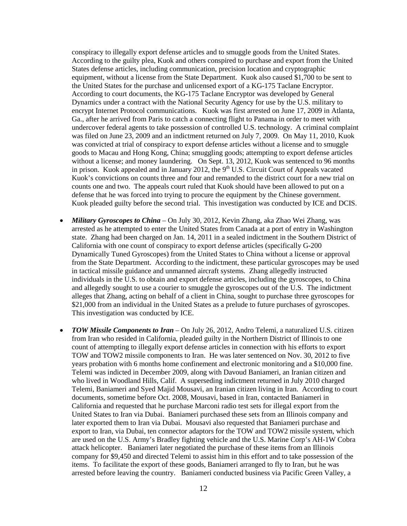conspiracy to illegally export defense articles and to smuggle goods from the United States. According to the guilty plea, Kuok and others conspired to purchase and export from the United States defense articles, including communication, precision location and cryptographic equipment, without a license from the State Department. Kuok also caused \$1,700 to be sent to the United States for the purchase and unlicensed export of a KG-175 Taclane Encryptor. According to court documents, the KG-175 Taclane Encryptor was developed by General Dynamics under a contract with the National Security Agency for use by the U.S. military to encrypt Internet Protocol communications. Kuok was first arrested on June 17, 2009 in Atlanta, Ga., after he arrived from Paris to catch a connecting flight to Panama in order to meet with undercover federal agents to take possession of controlled U.S. technology. A criminal complaint was filed on June 23, 2009 and an indictment returned on July 7, 2009. On May 11, 2010, Kuok was convicted at trial of conspiracy to export defense articles without a license and to smuggle goods to Macau and Hong Kong, China; smuggling goods; attempting to export defense articles without a license; and money laundering. On Sept. 13, 2012, Kuok was sentenced to 96 months in prison. Kuok appealed and in January 2012, the  $9<sup>th</sup>$  U.S. Circuit Court of Appeals vacated Kuok's convictions on counts three and four and remanded to the district court for a new trial on counts one and two. The appeals court ruled that Kuok should have been allowed to put on a defense that he was forced into trying to procure the equipment by the Chinese government. Kuok pleaded guilty before the second trial. This investigation was conducted by ICE and DCIS.

- *Military Gyroscopes to China* On July 30, 2012, Kevin Zhang, aka Zhao Wei Zhang, was arrested as he attempted to enter the United States from Canada at a port of entry in Washington state. Zhang had been charged on Jan. 14, 2011 in a sealed indictment in the Southern District of California with one count of conspiracy to export defense articles (specifically G-200 Dynamically Tuned Gyroscopes) from the United States to China without a license or approval from the State Department. According to the indictment, these particular gyroscopes may be used in tactical missile guidance and unmanned aircraft systems. Zhang allegedly instructed individuals in the U.S. to obtain and export defense articles, including the gyroscopes, to China and allegedly sought to use a courier to smuggle the gyroscopes out of the U.S. The indictment alleges that Zhang, acting on behalf of a client in China, sought to purchase three gyroscopes for \$21,000 from an individual in the United States as a prelude to future purchases of gyroscopes. This investigation was conducted by ICE.
- *TOW Missile Components to Iran* On July 26, 2012, Andro Telemi, a naturalized U.S. citizen from Iran who resided in California, pleaded guilty in the Northern District of Illinois to one count of attempting to illegally export defense articles in connection with his efforts to export TOW and TOW2 missile components to Iran. He was later sentenced on Nov. 30, 2012 to five years probation with 6 months home confinement and electronic monitoring and a \$10,000 fine. Telemi was indicted in December 2009, along with Davoud Baniameri, an Iranian citizen and who lived in Woodland Hills, Calif. A superseding indictment returned in July 2010 charged Telemi, Baniameri and Syed Majid Mousavi, an Iranian citizen living in Iran. According to court documents, sometime before Oct. 2008, Mousavi, based in Iran, contacted Baniameri in California and requested that he purchase Marconi radio test sets for illegal export from the United States to Iran via Dubai. Baniameri purchased these sets from an Illinois company and later exported them to Iran via Dubai. Mousavi also requested that Baniameri purchase and export to Iran, via Dubai, ten connector adaptors for the TOW and TOW2 missile system, which are used on the U.S. Army's Bradley fighting vehicle and the U.S. Marine Corp's AH-1W Cobra attack helicopter. Baniameri later negotiated the purchase of these items from an Illinois company for \$9,450 and directed Telemi to assist him in this effort and to take possession of the items. To facilitate the export of these goods, Baniameri arranged to fly to Iran, but he was arrested before leaving the country. Baniameri conducted business via Pacific Green Valley, a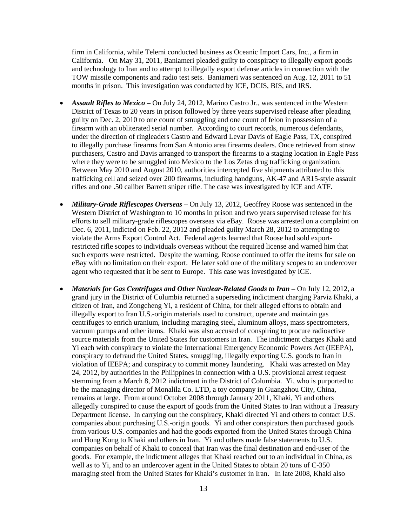firm in California, while Telemi conducted business as Oceanic Import Cars, Inc., a firm in California. On May 31, 2011, Baniameri pleaded guilty to conspiracy to illegally export goods and technology to Iran and to attempt to illegally export defense articles in connection with the TOW missile components and radio test sets. Baniameri was sentenced on Aug. 12, 2011 to 51 months in prison. This investigation was conducted by ICE, DCIS, BIS, and IRS.

- *Assault Rifles to Mexico –* On July 24, 2012, Marino Castro Jr., was sentenced in the Western District of Texas to 20 years in prison followed by three years supervised release after pleading guilty on Dec. 2, 2010 to one count of smuggling and one count of felon in possession of a firearm with an obliterated serial number. According to court records, numerous defendants, under the direction of ringleaders Castro and Edward Levar Davis of Eagle Pass, TX, conspired to illegally purchase firearms from San Antonio area firearms dealers. Once retrieved from straw purchasers, Castro and Davis arranged to transport the firearms to a staging location in Eagle Pass where they were to be smuggled into Mexico to the Los Zetas drug trafficking organization. Between May 2010 and August 2010, authorities intercepted five shipments attributed to this trafficking cell and seized over 200 firearms, including handguns, AK-47 and AR15-style assault rifles and one .50 caliber Barrett sniper rifle. The case was investigated by ICE and ATF.
- *Military-Grade Riflescopes Overseas* On July 13, 2012, Geoffrey Roose was sentenced in the Western District of Washington to 10 months in prison and two years supervised release for his efforts to sell military-grade riflescopes overseas via eBay. Roose was arrested on a complaint on Dec. 6, 2011, indicted on Feb. 22, 2012 and pleaded guilty March 28, 2012 to attempting to violate the Arms Export Control Act. Federal agents learned that Roose had sold exportrestricted rifle scopes to individuals overseas without the required license and warned him that such exports were restricted. Despite the warning, Roose continued to offer the items for sale on eBay with no limitation on their export. He later sold one of the military scopes to an undercover agent who requested that it be sent to Europe. This case was investigated by ICE.
- *Materials for Gas Centrifuges and Other Nuclear-Related Goods to Iran* On July 12, 2012, a grand jury in the District of Columbia returned a superseding indictment charging Parviz Khaki, a citizen of Iran, and Zongcheng Yi, a resident of China, for their alleged efforts to obtain and illegally export to Iran U.S.-origin materials used to construct, operate and maintain gas centrifuges to enrich uranium, including maraging steel, aluminum alloys, mass spectrometers, vacuum pumps and other items. Khaki was also accused of conspiring to procure radioactive source materials from the United States for customers in Iran. The indictment charges Khaki and Yi each with conspiracy to violate the International Emergency Economic Powers Act (IEEPA), conspiracy to defraud the United States, smuggling, illegally exporting U.S. goods to Iran in violation of IEEPA; and conspiracy to commit money laundering. Khaki was arrested on May 24, 2012, by authorities in the Philippines in connection with a U.S. provisional arrest request stemming from a March 8, 2012 indictment in the District of Columbia. Yi, who is purported to be the managing director of Monalila Co. LTD, a toy company in Guangzhou City, China, remains at large. From around October 2008 through January 2011, Khaki, Yi and others allegedly conspired to cause the export of goods from the United States to Iran without a Treasury Department license. In carrying out the conspiracy, Khaki directed Yi and others to contact U.S. companies about purchasing U.S.-origin goods. Yi and other conspirators then purchased goods from various U.S. companies and had the goods exported from the United States through China and Hong Kong to Khaki and others in Iran. Yi and others made false statements to U.S. companies on behalf of Khaki to conceal that Iran was the final destination and end-user of the goods. For example, the indictment alleges that Khaki reached out to an individual in China, as well as to Yi, and to an undercover agent in the United States to obtain 20 tons of C-350 maraging steel from the United States for Khaki's customer in Iran. In late 2008, Khaki also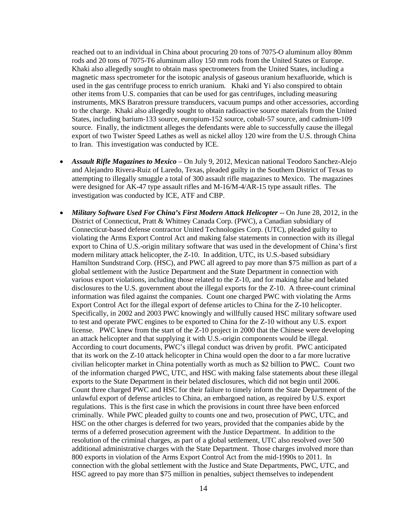reached out to an individual in China about procuring 20 tons of 7075-O aluminum alloy 80mm rods and 20 tons of 7075-T6 aluminum alloy 150 mm rods from the United States or Europe. Khaki also allegedly sought to obtain mass spectrometers from the United States, including a magnetic mass spectrometer for the isotopic analysis of gaseous uranium hexafluoride, which is used in the gas centrifuge process to enrich uranium. Khaki and Yi also conspired to obtain other items from U.S. companies that can be used for gas centrifuges, including measuring instruments, MKS Baratron pressure transducers, vacuum pumps and other accessories, according to the charge. Khaki also allegedly sought to obtain radioactive source materials from the United States, including barium-133 source, europium-152 source, cobalt-57 source, and cadmium-109 source. Finally, the indictment alleges the defendants were able to successfully cause the illegal export of two Twister Speed Lathes as well as nickel alloy 120 wire from the U.S. through China to Iran. This investigation was conducted by ICE.

- *Assault Rifle Magazines to Mexico* On July 9, 2012, Mexican national Teodoro Sanchez-Alejo and Alejandro Rivera-Ruiz of Laredo, Texas, pleaded guilty in the Southern District of Texas to attempting to illegally smuggle a total of 300 assault rifle magazines to Mexico. The magazines were designed for AK-47 type assault rifles and M-16/M-4/AR-15 type assault rifles. The investigation was conducted by ICE, ATF and CBP.
- *Military Software Used For China's First Modern Attack Helicopter* -- On June 28, 2012, in the District of Connecticut, Pratt & Whitney Canada Corp. (PWC), a Canadian subsidiary of Connecticut-based defense contractor United Technologies Corp. (UTC), pleaded guilty to violating the Arms Export Control Act and making false statements in connection with its illegal export to China of U.S.-origin military software that was used in the development of China's first modern military attack helicopter, the Z-10. In addition, UTC, its U.S.-based subsidiary Hamilton Sundstrand Corp. (HSC), and PWC all agreed to pay more than \$75 million as part of a global settlement with the Justice Department and the State Department in connection with various export violations, including those related to the Z-10, and for making false and belated disclosures to the U.S. government about the illegal exports for the Z-10. A three-count criminal information was filed against the companies. Count one charged PWC with violating the Arms Export Control Act for the illegal export of defense articles to China for the Z-10 helicopter. Specifically, in 2002 and 2003 PWC knowingly and willfully caused HSC military software used to test and operate PWC engines to be exported to China for the Z-10 without any U.S. export license. PWC knew from the start of the Z-10 project in 2000 that the Chinese were developing an attack helicopter and that supplying it with U.S.-origin components would be illegal. According to court documents, PWC's illegal conduct was driven by profit. PWC anticipated that its work on the Z-10 attack helicopter in China would open the door to a far more lucrative civilian helicopter market in China potentially worth as much as \$2 billion to PWC. Count two of the information charged PWC, UTC, and HSC with making false statements about these illegal exports to the State Department in their belated disclosures, which did not begin until 2006. Count three charged PWC and HSC for their failure to timely inform the State Department of the unlawful export of defense articles to China, an embargoed nation, as required by U.S. export regulations. This is the first case in which the provisions in count three have been enforced criminally. While PWC pleaded guilty to counts one and two, prosecution of PWC, UTC, and HSC on the other charges is deferred for two years, provided that the companies abide by the terms of a deferred prosecution agreement with the Justice Department. In addition to the resolution of the criminal charges, as part of a global settlement, UTC also resolved over 500 additional administrative charges with the State Department. Those charges involved more than 800 exports in violation of the Arms Export Control Act from the mid-1990s to 2011. In connection with the global settlement with the Justice and State Departments, PWC, UTC, and HSC agreed to pay more than \$75 million in penalties, subject themselves to independent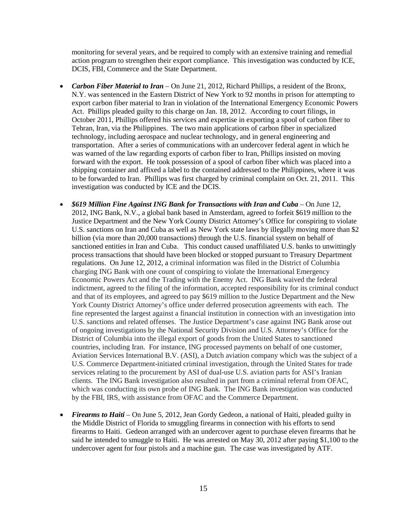monitoring for several years, and be required to comply with an extensive training and remedial action program to strengthen their export compliance. This investigation was conducted by ICE, DCIS, FBI, Commerce and the State Department.

- *Carbon Fiber Material to Iran* On June 21, 2012, Richard Phillips, a resident of the Bronx, N.Y. was sentenced in the Eastern District of New York to 92 months in prison for attempting to export carbon fiber material to Iran in violation of the International Emergency Economic Powers Act. Phillips pleaded guilty to this charge on Jan. 18, 2012. According to court filings, in October 2011, Phillips offered his services and expertise in exporting a spool of carbon fiber to Tehran, Iran, via the Philippines. The two main applications of carbon fiber in specialized technology, including aerospace and nuclear technology, and in general engineering and transportation. After a series of communications with an undercover federal agent in which he was warned of the law regarding exports of carbon fiber to Iran, Phillips insisted on moving forward with the export. He took possession of a spool of carbon fiber which was placed into a shipping container and affixed a label to the contained addressed to the Philippines, where it was to be forwarded to Iran. Phillips was first charged by criminal complaint on Oct. 21, 2011. This investigation was conducted by ICE and the DCIS.
- *\$619 Million Fine Against ING Bank for Transactions with Iran and Cuba* On June 12, 2012, ING Bank, N.V., a global bank based in Amsterdam, agreed to forfeit \$619 million to the Justice Department and the New York County District Attorney's Office for conspiring to violate U.S. sanctions on Iran and Cuba as well as New York state laws by illegally moving more than \$2 billion (via more than 20,000 transactions) through the U.S. financial system on behalf of sanctioned entities in Iran and Cuba. This conduct caused unaffiliated U.S. banks to unwittingly process transactions that should have been blocked or stopped pursuant to Treasury Department regulations. On June 12, 2012, a criminal information was filed in the District of Columbia charging ING Bank with one count of conspiring to violate the International Emergency Economic Powers Act and the Trading with the Enemy Act. ING Bank waived the federal indictment, agreed to the filing of the information, accepted responsibility for its criminal conduct and that of its employees, and agreed to pay \$619 million to the Justice Department and the New York County District Attorney's office under deferred prosecution agreements with each. The fine represented the largest against a financial institution in connection with an investigation into U.S. sanctions and related offenses. The Justice Department's case against ING Bank arose out of ongoing investigations by the National Security Division and U.S. Attorney's Office for the District of Columbia into the illegal export of goods from the United States to sanctioned countries, including Iran. For instance, ING processed payments on behalf of one customer, Aviation Services International B.V. (ASI), a Dutch aviation company which was the subject of a U.S. Commerce Department-initiated criminal investigation, through the United States for trade services relating to the procurement by ASI of dual-use U.S. aviation parts for ASI's Iranian clients. The ING Bank investigation also resulted in part from a criminal referral from OFAC, which was conducting its own probe of ING Bank. The ING Bank investigation was conducted by the FBI, IRS, with assistance from OFAC and the Commerce Department.
- *Firearms to Haiti* On June 5, 2012, Jean Gordy Gedeon, a national of Haiti, pleaded guilty in the Middle District of Florida to smuggling firearms in connection with his efforts to send firearms to Haiti. Gedeon arranged with an undercover agent to purchase eleven firearms that he said he intended to smuggle to Haiti. He was arrested on May 30, 2012 after paying \$1,100 to the undercover agent for four pistols and a machine gun. The case was investigated by ATF.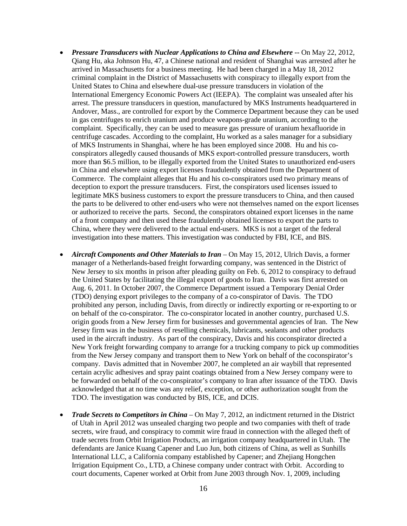- *Pressure Transducers with Nuclear Applications to China and Elsewhere* **--** On May 22, 2012, Qiang Hu, aka Johnson Hu, 47, a Chinese national and resident of Shanghai was arrested after he arrived in Massachusetts for a business meeting. He had been charged in a May 18, 2012 criminal complaint in the District of Massachusetts with conspiracy to illegally export from the United States to China and elsewhere dual-use pressure transducers in violation of the International Emergency Economic Powers Act (IEEPA). The complaint was unsealed after his arrest. The pressure transducers in question, manufactured by MKS Instruments headquartered in Andover, Mass., are controlled for export by the Commerce Department because they can be used in gas centrifuges to enrich uranium and produce weapons-grade uranium, according to the complaint. Specifically, they can be used to measure gas pressure of uranium hexafluoride in centrifuge cascades. According to the complaint, Hu worked as a sales manager for a subsidiary of MKS Instruments in Shanghai, where he has been employed since 2008. Hu and his coconspirators allegedly caused thousands of MKS export-controlled pressure transducers, worth more than \$6.5 million, to be illegally exported from the United States to unauthorized end-users in China and elsewhere using export licenses fraudulently obtained from the Department of Commerce. The complaint alleges that Hu and his co-conspirators used two primary means of deception to export the pressure transducers. First, the conspirators used licenses issued to legitimate MKS business customers to export the pressure transducers to China, and then caused the parts to be delivered to other end-users who were not themselves named on the export licenses or authorized to receive the parts. Second, the conspirators obtained export licenses in the name of a front company and then used these fraudulently obtained licenses to export the parts to China, where they were delivered to the actual end-users. MKS is not a target of the federal investigation into these matters. This investigation was conducted by FBI, ICE, and BIS.
- *Aircraft Components and Other Materials to Iran* On May 15, 2012, Ulrich Davis, a former manager of a Netherlands-based freight forwarding company, was sentenced in the District of New Jersey to six months in prison after pleading guilty on Feb. 6, 2012 to conspiracy to defraud the United States by facilitating the illegal export of goods to Iran. Davis was first arrested on Aug. 6, 2011. In October 2007, the Commerce Department issued a Temporary Denial Order (TDO) denying export privileges to the company of a co-conspirator of Davis. The TDO prohibited any person, including Davis, from directly or indirectly exporting or re-exporting to or on behalf of the co-conspirator. The co-conspirator located in another country, purchased U.S. origin goods from a New Jersey firm for businesses and governmental agencies of Iran. The New Jersey firm was in the business of reselling chemicals, lubricants, sealants and other products used in the aircraft industry. As part of the conspiracy, Davis and his coconspirator directed a New York freight forwarding company to arrange for a trucking company to pick up commodities from the New Jersey company and transport them to New York on behalf of the coconspirator's company. Davis admitted that in November 2007, he completed an air waybill that represented certain acrylic adhesives and spray paint coatings obtained from a New Jersey company were to be forwarded on behalf of the co-conspirator's company to Iran after issuance of the TDO. Davis acknowledged that at no time was any relief, exception, or other authorization sought from the TDO. The investigation was conducted by BIS, ICE, and DCIS.
- *Trade Secrets to Competitors in China* On May 7, 2012, an indictment returned in the District of Utah in April 2012 was unsealed charging two people and two companies with theft of trade secrets, wire fraud, and conspiracy to commit wire fraud in connection with the alleged theft of trade secrets from Orbit Irrigation Products, an irrigation company headquartered in Utah. The defendants are Janice Kuang Capener and Luo Jun, both citizens of China, as well as Sunhills International LLC, a California company established by Capener; and Zhejiang Hongchen Irrigation Equipment Co., LTD, a Chinese company under contract with Orbit. According to court documents, Capener worked at Orbit from June 2003 through Nov. 1, 2009, including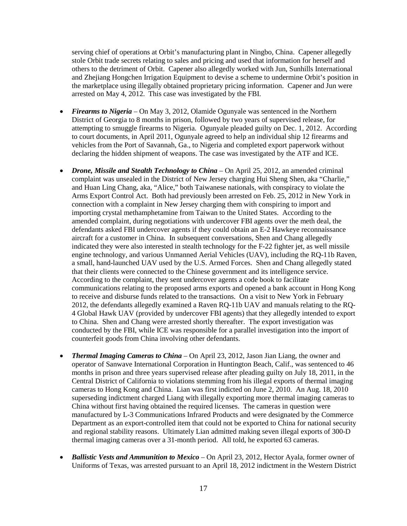serving chief of operations at Orbit's manufacturing plant in Ningbo, China. Capener allegedly stole Orbit trade secrets relating to sales and pricing and used that information for herself and others to the detriment of Orbit. Capener also allegedly worked with Jun, Sunhills International and Zhejiang Hongchen Irrigation Equipment to devise a scheme to undermine Orbit's position in the marketplace using illegally obtained proprietary pricing information. Capener and Jun were arrested on May 4, 2012. This case was investigated by the FBI.

- *Firearms to Nigeria* On May 3, 2012, Olamide Ogunyale was sentenced in the Northern District of Georgia to 8 months in prison, followed by two years of supervised release, for attempting to smuggle firearms to Nigeria. Ogunyale pleaded guilty on Dec. 1, 2012. According to court documents, in April 2011, Ogunyale agreed to help an individual ship 12 firearms and vehicles from the Port of Savannah, Ga., to Nigeria and completed export paperwork without declaring the hidden shipment of weapons. The case was investigated by the ATF and ICE.
- *Drone, Missile and Stealth Technology to China* On April 25, 2012, an amended criminal complaint was unsealed in the District of New Jersey charging Hui Sheng Shen, aka "Charlie," and Huan Ling Chang, aka, "Alice," both Taiwanese nationals, with conspiracy to violate the Arms Export Control Act. Both had previously been arrested on Feb. 25, 2012 in New York in connection with a complaint in New Jersey charging them with conspiring to import and importing crystal methamphetamine from Taiwan to the United States. According to the amended complaint, during negotiations with undercover FBI agents over the meth deal, the defendants asked FBI undercover agents if they could obtain an E-2 Hawkeye reconnaissance aircraft for a customer in China. In subsequent conversations, Shen and Chang allegedly indicated they were also interested in stealth technology for the F-22 fighter jet, as well missile engine technology, and various Unmanned Aerial Vehicles (UAV), including the RQ-11b Raven, a small, hand-launched UAV used by the U.S. Armed Forces. Shen and Chang allegedly stated that their clients were connected to the Chinese government and its intelligence service. According to the complaint, they sent undercover agents a code book to facilitate communications relating to the proposed arms exports and opened a bank account in Hong Kong to receive and disburse funds related to the transactions. On a visit to New York in February 2012, the defendants allegedly examined a Raven RQ-11b UAV and manuals relating to the RQ-4 Global Hawk UAV (provided by undercover FBI agents) that they allegedly intended to export to China. Shen and Chang were arrested shortly thereafter. The export investigation was conducted by the FBI, while ICE was responsible for a parallel investigation into the import of counterfeit goods from China involving other defendants.
- *Thermal Imaging Cameras to China* On April 23, 2012, Jason Jian Liang, the owner and operator of Sanwave International Corporation in Huntington Beach, Calif., was sentenced to 46 months in prison and three years supervised release after pleading guilty on July 18, 2011, in the Central District of California to violations stemming from his illegal exports of thermal imaging cameras to Hong Kong and China. Lian was first indicted on June 2, 2010. An Aug. 18, 2010 superseding indictment charged Liang with illegally exporting more thermal imaging cameras to China without first having obtained the required licenses. The cameras in question were manufactured by L-3 Communications Infrared Products and were designated by the Commerce Department as an export-controlled item that could not be exported to China for national security and regional stability reasons. Ultimately Lian admitted making seven illegal exports of 300-D thermal imaging cameras over a 31-month period. All told, he exported 63 cameras.
- *Ballistic Vests and Ammunition to Mexico* On April 23, 2012, Hector Ayala, former owner of Uniforms of Texas, was arrested pursuant to an April 18, 2012 indictment in the Western District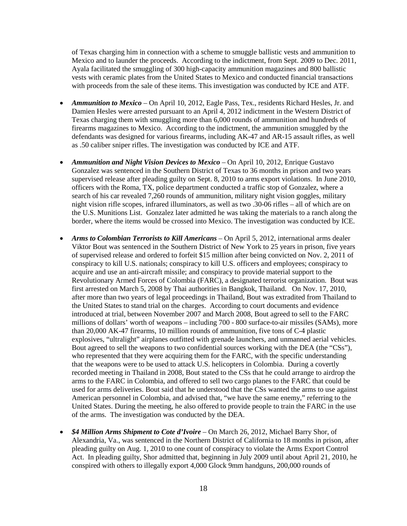of Texas charging him in connection with a scheme to smuggle ballistic vests and ammunition to Mexico and to launder the proceeds. According to the indictment, from Sept. 2009 to Dec. 2011, Ayala facilitated the smuggling of 300 high-capacity ammunition magazines and 800 ballistic vests with ceramic plates from the United States to Mexico and conducted financial transactions with proceeds from the sale of these items. This investigation was conducted by ICE and ATF.

- *Ammunition to Mexico* On April 10, 2012, Eagle Pass, Tex., residents Richard Hesles, Jr. and Damien Hesles were arrested pursuant to an April 4, 2012 indictment in the Western District of Texas charging them with smuggling more than 6,000 rounds of ammunition and hundreds of firearms magazines to Mexico. According to the indictment, the ammunition smuggled by the defendants was designed for various firearms, including AK-47 and AR-15 assault rifles, as well as .50 caliber sniper rifles. The investigation was conducted by ICE and ATF.
- *Ammunition and Night Vision Devices to Mexico* On April 10, 2012, Enrique Gustavo Gonzalez was sentenced in the Southern District of Texas to 36 months in prison and two years supervised release after pleading guilty on Sept. 8, 2010 to arms export violations. In June 2010, officers with the Roma, TX, police department conducted a traffic stop of Gonzalez, where a search of his car revealed 7,260 rounds of ammunition, military night vision goggles, military night vision rifle scopes, infrared illuminators, as well as two .30-06 rifles – all of which are on the U.S. Munitions List. Gonzalez later admitted he was taking the materials to a ranch along the border, where the items would be crossed into Mexico. The investigation was conducted by ICE.
- *Arms to Colombian Terrorists to Kill Americans*  On April 5, 2012, international arms dealer Viktor Bout was sentenced in the Southern District of New York to 25 years in prison, five years of supervised release and ordered to forfeit \$15 million after being convicted on Nov. 2, 2011 of conspiracy to kill U.S. nationals; conspiracy to kill U.S. officers and employees; conspiracy to acquire and use an anti-aircraft missile; and conspiracy to provide material support to the Revolutionary Armed Forces of Colombia (FARC), a designated terrorist organization. Bout was first arrested on March 5, 2008 by Thai authorities in Bangkok, Thailand. On Nov. 17, 2010, after more than two years of legal proceedings in Thailand, Bout was extradited from Thailand to the United States to stand trial on the charges. According to court documents and evidence introduced at trial, between November 2007 and March 2008, Bout agreed to sell to the FARC millions of dollars' worth of weapons – including 700 - 800 surface-to-air missiles (SAMs), more than 20,000 AK-47 firearms, 10 million rounds of ammunition, five tons of C-4 plastic explosives, "ultralight" airplanes outfitted with grenade launchers, and unmanned aerial vehicles. Bout agreed to sell the weapons to two confidential sources working with the DEA (the "CSs"), who represented that they were acquiring them for the FARC, with the specific understanding that the weapons were to be used to attack U.S. helicopters in Colombia. During a covertly recorded meeting in Thailand in 2008, Bout stated to the CSs that he could arrange to airdrop the arms to the FARC in Colombia, and offered to sell two cargo planes to the FARC that could be used for arms deliveries. Bout said that he understood that the CSs wanted the arms to use against American personnel in Colombia, and advised that, "we have the same enemy," referring to the United States. During the meeting, he also offered to provide people to train the FARC in the use of the arms. The investigation was conducted by the DEA.
- *\$4 Million Arms Shipment to Cote d'Ivoire*  On March 26, 2012, Michael Barry Shor, of Alexandria, Va., was sentenced in the Northern District of California to 18 months in prison, after pleading guilty on Aug. 1, 2010 to one count of conspiracy to violate the Arms Export Control Act. In pleading guilty, Shor admitted that, beginning in July 2009 until about April 21, 2010, he conspired with others to illegally export 4,000 Glock 9mm handguns, 200,000 rounds of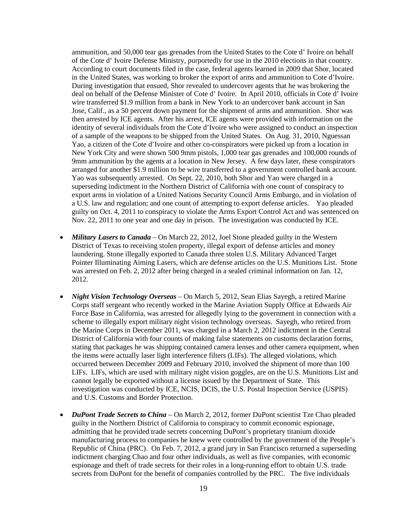ammunition, and 50,000 tear gas grenades from the United States to the Cote d' Ivoire on behalf of the Cote d' Ivoire Defense Ministry, purportedly for use in the 2010 elections in that country. According to court documents filed in the case, federal agents learned in 2009 that Shor, located in the United States, was working to broker the export of arms and ammunition to Cote d'Ivoire. During investigation that ensued, Shor revealed to undercover agents that he was brokering the deal on behalf of the Defense Minister of Cote d' Ivoire. In April 2010, officials in Cote d' Ivoire wire transferred \$1.9 million from a bank in New York to an undercover bank account in San Jose, Calif., as a 50 percent down payment for the shipment of arms and ammunition. Shor was then arrested by ICE agents. After his arrest, ICE agents were provided with information on the identity of several individuals from the Cote d'Ivoire who were assigned to conduct an inspection of a sample of the weapons to be shipped from the United States. On Aug. 31, 2010, Nguessan Yao, a citizen of the Cote d'Ivoire and other co-conspirators were picked up from a location in New York City and were shown 500 9mm pistols, 1,000 tear gas grenades and 100,000 rounds of 9mm ammunition by the agents at a location in New Jersey. A few days later, these conspirators arranged for another \$1.9 million to be wire transferred to a government controlled bank account. Yao was subsequently arrested. On Sept. 22, 2010, both Shor and Yao were charged in a superseding indictment in the Northern District of California with one count of conspiracy to export arms in violation of a United Nations Security Council Arms Embargo, and in violation of a U.S. law and regulation; and one count of attempting to export defense articles. Yao pleaded guilty on Oct. 4, 2011 to conspiracy to violate the Arms Export Control Act and was sentenced on Nov. 22, 2011 to one year and one day in prison. The investigation was conducted by ICE.

- *Military Lasers to Canada* On March 22, 2012, Joel Stone pleaded guilty in the Western District of Texas to receiving stolen property, illegal export of defense articles and money laundering. Stone illegally exported to Canada three stolen U.S. Military Advanced Target Pointer Illuminating Aiming Lasers, which are defense articles on the U.S. Munitions List. Stone was arrested on Feb. 2, 2012 after being charged in a sealed criminal information on Jan. 12, 2012.
- *Night Vision Technology Overseas* On March 5, 2012, Sean Elias Sayegh, a retired Marine Corps staff sergeant who recently worked in the Marine Aviation Supply Office at Edwards Air Force Base in California, was arrested for allegedly lying to the government in connection with a scheme to illegally export military night vision technology overseas. Sayegh, who retired from the Marine Corps in December 2011, was charged in a March 2, 2012 indictment in the Central District of California with four counts of making false statements on customs declaration forms, stating that packages he was shipping contained camera lenses and other camera equipment, when the items were actually laser light interference filters (LIFs). The alleged violations, which occurred between December 2009 and February 2010, involved the shipment of more than 100 LIFs. LIFs, which are used with military night vision goggles, are on the U.S. Munitions List and cannot legally be exported without a license issued by the Department of State. This investigation was conducted by ICE, NCIS, DCIS, the U.S. Postal Inspection Service (USPIS) and U.S. Customs and Border Protection.
- *DuPont Trade Secrets to China* On March 2, 2012, former DuPont scientist Tze Chao pleaded guilty in the Northern District of California to conspiracy to commit economic espionage, admitting that he provided trade secrets concerning DuPont's proprietary titanium dioxide manufacturing process to companies he knew were controlled by the government of the People's Republic of China (PRC). On Feb. 7, 2012, a grand jury in San Francisco returned a superseding indictment charging Chao and four other individuals, as well as five companies, with economic espionage and theft of trade secrets for their roles in a long-running effort to obtain U.S. trade secrets from DuPont for the benefit of companies controlled by the PRC. The five individuals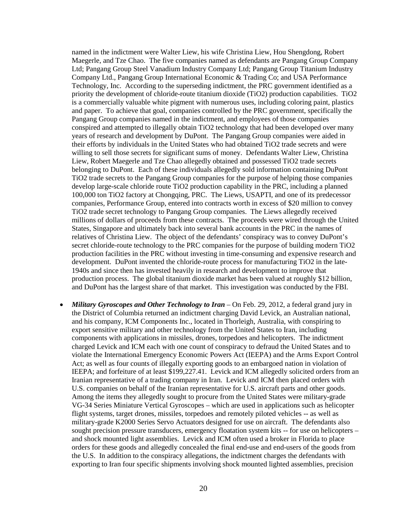named in the indictment were Walter Liew, his wife Christina Liew, Hou Shengdong, Robert Maegerle, and Tze Chao. The five companies named as defendants are Pangang Group Company Ltd; Pangang Group Steel Vanadium Industry Company Ltd; Pangang Group Titanium Industry Company Ltd., Pangang Group International Economic & Trading Co; and USA Performance Technology, Inc. According to the superseding indictment, the PRC government identified as a priority the development of chloride-route titanium dioxide (TiO2) production capabilities. TiO2 is a commercially valuable white pigment with numerous uses, including coloring paint, plastics and paper. To achieve that goal, companies controlled by the PRC government, specifically the Pangang Group companies named in the indictment, and employees of those companies conspired and attempted to illegally obtain TiO2 technology that had been developed over many years of research and development by DuPont. The Pangang Group companies were aided in their efforts by individuals in the United States who had obtained TiO2 trade secrets and were willing to sell those secrets for significant sums of money. Defendants Walter Liew, Christina Liew, Robert Maegerle and Tze Chao allegedly obtained and possessed TiO2 trade secrets belonging to DuPont. Each of these individuals allegedly sold information containing DuPont TiO2 trade secrets to the Pangang Group companies for the purpose of helping those companies develop large-scale chloride route TiO2 production capability in the PRC, including a planned 100,000 ton TiO2 factory at Chongqing, PRC. The Liews, USAPTI, and one of its predecessor companies, Performance Group, entered into contracts worth in excess of \$20 million to convey TiO2 trade secret technology to Pangang Group companies. The Liews allegedly received millions of dollars of proceeds from these contracts. The proceeds were wired through the United States, Singapore and ultimately back into several bank accounts in the PRC in the names of relatives of Christina Liew. The object of the defendants' conspiracy was to convey DuPont's secret chloride-route technology to the PRC companies for the purpose of building modern TiO2 production facilities in the PRC without investing in time-consuming and expensive research and development. DuPont invented the chloride-route process for manufacturing TiO2 in the late-1940s and since then has invested heavily in research and development to improve that production process. The global titanium dioxide market has been valued at roughly \$12 billion, and DuPont has the largest share of that market. This investigation was conducted by the FBI.

• *Military Gyroscopes and Other Technology to Iran* – On Feb. 29, 2012, a federal grand jury in the District of Columbia returned an indictment charging David Levick, an Australian national, and his company, ICM Components Inc., located in Thorleigh, Australia, with conspiring to export sensitive military and other technology from the United States to Iran, including components with applications in missiles, drones, torpedoes and helicopters. The indictment charged Levick and ICM each with one count of conspiracy to defraud the United States and to violate the International Emergency Economic Powers Act (IEEPA) and the Arms Export Control Act; as well as four counts of illegally exporting goods to an embargoed nation in violation of IEEPA; and forfeiture of at least \$199,227.41. Levick and ICM allegedly solicited orders from an Iranian representative of a trading company in Iran. Levick and ICM then placed orders with U.S. companies on behalf of the Iranian representative for U.S. aircraft parts and other goods. Among the items they allegedly sought to procure from the United States were military-grade VG-34 Series Miniature Vertical Gyroscopes – which are used in applications such as helicopter flight systems, target drones, missiles, torpedoes and remotely piloted vehicles -- as well as military-grade K2000 Series Servo Actuators designed for use on aircraft. The defendants also sought precision pressure transducers, emergency floatation system kits -- for use on helicopters – and shock mounted light assemblies. Levick and ICM often used a broker in Florida to place orders for these goods and allegedly concealed the final end-use and end-users of the goods from the U.S. In addition to the conspiracy allegations, the indictment charges the defendants with exporting to Iran four specific shipments involving shock mounted lighted assemblies, precision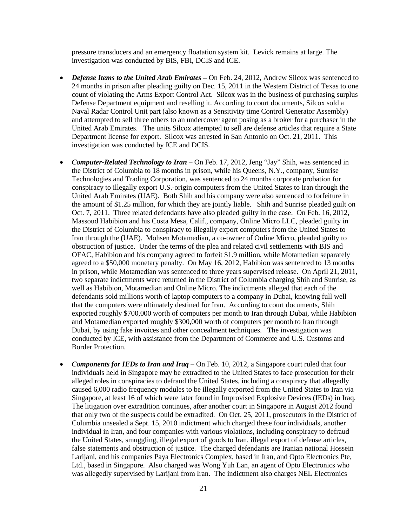pressure transducers and an emergency floatation system kit. Levick remains at large. The investigation was conducted by BIS, FBI, DCIS and ICE.

- *Defense Items to the United Arab Emirates* On Feb. 24, 2012, Andrew Silcox was sentenced to 24 months in prison after pleading guilty on Dec. 15, 2011 in the Western District of Texas to one count of violating the Arms Export Control Act. Silcox was in the business of purchasing surplus Defense Department equipment and reselling it. According to court documents, Silcox sold a Naval Radar Control Unit part (also known as a Sensitivity time Control Generator Assembly) and attempted to sell three others to an undercover agent posing as a broker for a purchaser in the United Arab Emirates. The units Silcox attempted to sell are defense articles that require a State Department license for export. Silcox was arrested in San Antonio on Oct. 21, 2011. This investigation was conducted by ICE and DCIS.
- *Computer-Related Technology to Iran* On Feb. 17, 2012, Jeng "Jay" Shih, was sentenced in the District of Columbia to 18 months in prison, while his Queens, N.Y., company, Sunrise Technologies and Trading Corporation, was sentenced to 24 months corporate probation for conspiracy to illegally export U.S.-origin computers from the United States to Iran through the United Arab Emirates (UAE). Both Shih and his company were also sentenced to forfeiture in the amount of \$1.25 million, for which they are jointly liable. Shih and Sunrise pleaded guilt on Oct. 7, 2011. Three related defendants have also pleaded guilty in the case. On Feb. 16, 2012, Massoud Habibion and his Costa Mesa, Calif., company, Online Micro LLC, pleaded guilty in the District of Columbia to conspiracy to illegally export computers from the United States to Iran through the (UAE). Mohsen Motamedian, a co-owner of Online Micro, pleaded guilty to obstruction of justice. Under the terms of the plea and related civil settlements with BIS and OFAC, Habibion and his company agreed to forfeit \$1.9 million, while Motamedian separately agreed to a \$50,000 monetary penalty. On May 16, 2012, Habibion was sentenced to 13 months in prison, while Motamedian was sentenced to three years supervised release. On April 21, 2011, two separate indictments were returned in the District of Columbia charging Shih and Sunrise, as well as Habibion, Motamedian and Online Micro. The indictments alleged that each of the defendants sold millions worth of laptop computers to a company in Dubai, knowing full well that the computers were ultimately destined for Iran. According to court documents, Shih exported roughly \$700,000 worth of computers per month to Iran through Dubai, while Habibion and Motamedian exported roughly \$300,000 worth of computers per month to Iran through Dubai, by using fake invoices and other concealment techniques. The investigation was conducted by ICE, with assistance from the Department of Commerce and U.S. Customs and Border Protection.
- *Components for IEDs to Iran and Iraq* On Feb. 10, 2012, a Singapore court ruled that four individuals held in Singapore may be extradited to the United States to face prosecution for their alleged roles in conspiracies to defraud the United States, including a conspiracy that allegedly caused 6,000 radio frequency modules to be illegally exported from the United States to Iran via Singapore, at least 16 of which were later found in Improvised Explosive Devices (IEDs) in Iraq. The litigation over extradition continues, after another court in Singapore in August 2012 found that only two of the suspects could be extradited. On Oct. 25, 2011, prosecutors in the District of Columbia unsealed a Sept. 15, 2010 indictment which charged these four individuals, another individual in Iran, and four companies with various violations, including conspiracy to defraud the United States, smuggling, illegal export of goods to Iran, illegal export of defense articles, false statements and obstruction of justice. The charged defendants are Iranian national Hossein Larijani, and his companies Paya Electronics Complex, based in Iran, and Opto Electronics Pte, Ltd., based in Singapore. Also charged was Wong Yuh Lan, an agent of Opto Electronics who was allegedly supervised by Larijani from Iran. The indictment also charges NEL Electronics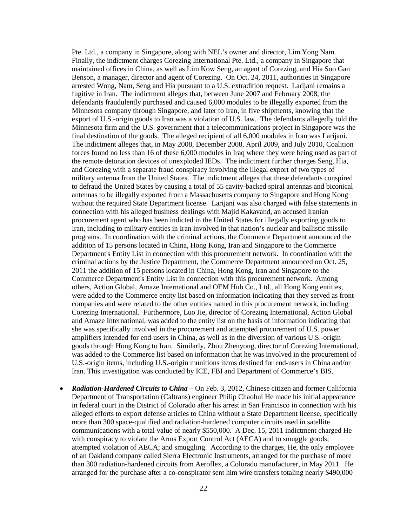Pte. Ltd., a company in Singapore, along with NEL's owner and director, Lim Yong Nam. Finally, the indictment charges Corezing International Pte. Ltd., a company in Singapore that maintained offices in China, as well as Lim Kow Seng, an agent of Corezing, and Hia Soo Gan Benson, a manager, director and agent of Corezing. On Oct. 24, 2011, authorities in Singapore arrested Wong, Nam, Seng and Hia pursuant to a U.S. extradition request. Larijani remains a fugitive in Iran. The indictment alleges that, between June 2007 and February 2008, the defendants fraudulently purchased and caused 6,000 modules to be illegally exported from the Minnesota company through Singapore, and later to Iran, in five shipments, knowing that the export of U.S.-origin goods to Iran was a violation of U.S. law. The defendants allegedly told the Minnesota firm and the U.S. government that a telecommunications project in Singapore was the final destination of the goods. The alleged recipient of all 6,000 modules in Iran was Larijani. The indictment alleges that, in May 2008, December 2008, April 2009, and July 2010, Coalition forces found no less than 16 of these 6,000 modules in Iraq where they were being used as part of the remote detonation devices of unexploded IEDs. The indictment further charges Seng, Hia, and Corezing with a separate fraud conspiracy involving the illegal export of two types of military antenna from the United States. The indictment alleges that these defendants conspired to defraud the United States by causing a total of 55 cavity-backed spiral antennas and biconical antennas to be illegally exported from a Massachusetts company to Singapore and Hong Kong without the required State Department license. Larijani was also charged with false statements in connection with his alleged business dealings with Majid Kakavand, an accused Iranian procurement agent who has been indicted in the United States for illegally exporting goods to Iran, including to military entities in Iran involved in that nation's nuclear and ballistic missile programs. In coordination with the criminal actions, the Commerce Department announced the addition of 15 persons located in China, Hong Kong, Iran and Singapore to the Commerce Department's Entity List in connection with this procurement network. In coordination with the criminal actions by the Justice Department, the Commerce Department announced on Oct. 25, 2011 the addition of 15 persons located in China, Hong Kong, Iran and Singapore to the Commerce Department's Entity List in connection with this procurement network. Among others, Action Global, Amaze International and OEM Hub Co., Ltd., all Hong Kong entities, were added to the Commerce entity list based on information indicating that they served as front companies and were related to the other entities named in this procurement network, including Corezing International. Furthermore, Luo Jie, director of Corezing International, Action Global and Amaze International, was added to the entity list on the basis of information indicating that she was specifically involved in the procurement and attempted procurement of U.S. power amplifiers intended for end-users in China, as well as in the diversion of various U.S.-origin goods through Hong Kong to Iran. Similarly, Zhou Zhenyong, director of Corezing International, was added to the Commerce list based on information that he was involved in the procurement of U.S.-origin items, including U.S.-origin munitions items destined for end-users in China and/or Iran. This investigation was conducted by ICE, FBI and Department of Commerce's BIS.

• *Radiation-Hardened Circuits to China* – On Feb. 3, 2012, Chinese citizen and former California Department of Transportation (Caltrans) engineer Philip Chaohui He made his initial appearance in federal court in the District of Colorado after his arrest in San Francisco in connection with his alleged efforts to export defense articles to China without a State Department license, specifically more than 300 space-qualified and radiation-hardened computer circuits used in satellite communications with a total value of nearly \$550,000. A Dec. 15, 2011 indictment charged He with conspiracy to violate the Arms Export Control Act (AECA) and to smuggle goods; attempted violation of AECA; and smuggling. According to the charges, He, the only employee of an Oakland company called Sierra Electronic Instruments, arranged for the purchase of more than 300 radiation-hardened circuits from Aeroflex, a Colorado manufacturer, in May 2011. He arranged for the purchase after a co-conspirator sent him wire transfers totaling nearly \$490,000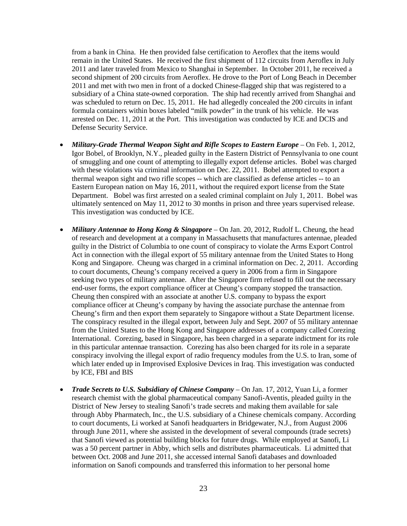from a bank in China. He then provided false certification to Aeroflex that the items would remain in the United States. He received the first shipment of 112 circuits from Aeroflex in July 2011 and later traveled from Mexico to Shanghai in September. In October 2011, he received a second shipment of 200 circuits from Aeroflex. He drove to the Port of Long Beach in December 2011 and met with two men in front of a docked Chinese-flagged ship that was registered to a subsidiary of a China state-owned corporation. The ship had recently arrived from Shanghai and was scheduled to return on Dec. 15, 2011. He had allegedly concealed the 200 circuits in infant formula containers within boxes labeled "milk powder" in the trunk of his vehicle. He was arrested on Dec. 11, 2011 at the Port. This investigation was conducted by ICE and DCIS and Defense Security Service.

- *Military-Grade Thermal Weapon Sight and Rifle Scopes to Eastern Europe* On Feb. 1, 2012, Igor Bobel, of Brooklyn, N.Y., pleaded guilty in the Eastern District of Pennsylvania to one count of smuggling and one count of attempting to illegally export defense articles. Bobel was charged with these violations via criminal information on Dec. 22, 2011. Bobel attempted to export a thermal weapon sight and two rifle scopes -- which are classified as defense articles -- to an Eastern European nation on May 16, 2011, without the required export license from the State Department. Bobel was first arrested on a sealed criminal complaint on July 1, 2011. Bobel was ultimately sentenced on May 11, 2012 to 30 months in prison and three years supervised release. This investigation was conducted by ICE.
- *Military Antennae to Hong Kong & Singapore* On Jan. 20, 2012, Rudolf L. Cheung, the head of research and development at a company in Massachusetts that manufactures antennae, pleaded guilty in the District of Columbia to one count of conspiracy to violate the Arms Export Control Act in connection with the illegal export of 55 military antennae from the United States to Hong Kong and Singapore. Cheung was charged in a criminal information on Dec. 2, 2011. According to court documents, Cheung's company received a query in 2006 from a firm in Singapore seeking two types of military antennae. After the Singapore firm refused to fill out the necessary end-user forms, the export compliance officer at Cheung's company stopped the transaction. Cheung then conspired with an associate at another U.S. company to bypass the export compliance officer at Cheung's company by having the associate purchase the antennae from Cheung's firm and then export them separately to Singapore without a State Department license. The conspiracy resulted in the illegal export, between July and Sept. 2007 of 55 military antennae from the United States to the Hong Kong and Singapore addresses of a company called Corezing International. Corezing, based in Singapore, has been charged in a separate indictment for its role in this particular antennae transaction. Corezing has also been charged for its role in a separate conspiracy involving the illegal export of radio frequency modules from the U.S. to Iran, some of which later ended up in Improvised Explosive Devices in Iraq. This investigation was conducted by ICE, FBI and BIS
- *Trade Secrets to U.S. Subsidiary of Chinese Company* On Jan. 17, 2012, Yuan Li, a former research chemist with the global pharmaceutical company Sanofi-Aventis, pleaded guilty in the District of New Jersey to stealing Sanofi's trade secrets and making them available for sale through Abby Pharmatech, Inc., the U.S. subsidiary of a Chinese chemicals company. According to court documents, Li worked at Sanofi headquarters in Bridgewater, N.J., from August 2006 through June 2011, where she assisted in the development of several compounds (trade secrets) that Sanofi viewed as potential building blocks for future drugs. While employed at Sanofi, Li was a 50 percent partner in Abby, which sells and distributes pharmaceuticals. Li admitted that between Oct. 2008 and June 2011, she accessed internal Sanofi databases and downloaded information on Sanofi compounds and transferred this information to her personal home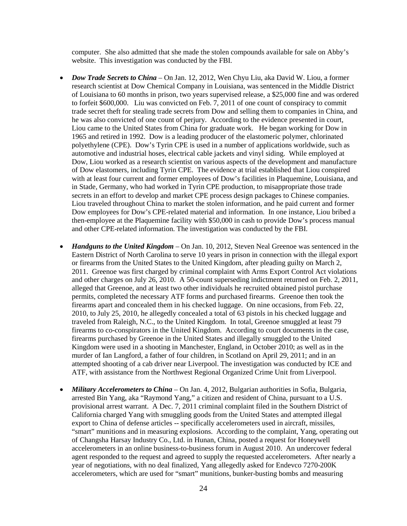computer. She also admitted that she made the stolen compounds available for sale on Abby's website. This investigation was conducted by the FBI.

- *Dow Trade Secrets to China* On Jan. 12, 2012, Wen Chyu Liu, aka David W. Liou, a former research scientist at Dow Chemical Company in Louisiana, was sentenced in the Middle District of Louisiana to 60 months in prison, two years supervised release, a \$25,000 fine and was ordered to forfeit \$600,000. Liu was convicted on Feb. 7, 2011 of one count of conspiracy to commit trade secret theft for stealing trade secrets from Dow and selling them to companies in China, and he was also convicted of one count of perjury. According to the evidence presented in court, Liou came to the United States from China for graduate work. He began working for Dow in 1965 and retired in 1992. Dow is a leading producer of the elastomeric polymer, chlorinated polyethylene (CPE). Dow's Tyrin CPE is used in a number of applications worldwide, such as automotive and industrial hoses, electrical cable jackets and vinyl siding. While employed at Dow, Liou worked as a research scientist on various aspects of the development and manufacture of Dow elastomers, including Tyrin CPE. The evidence at trial established that Liou conspired with at least four current and former employees of Dow's facilities in Plaquemine, Louisiana, and in Stade, Germany, who had worked in Tyrin CPE production, to misappropriate those trade secrets in an effort to develop and market CPE process design packages to Chinese companies. Liou traveled throughout China to market the stolen information, and he paid current and former Dow employees for Dow's CPE-related material and information. In one instance, Liou bribed a then-employee at the Plaquemine facility with \$50,000 in cash to provide Dow's process manual and other CPE-related information. The investigation was conducted by the FBI.
- *Handguns to the United Kingdom* On Jan. 10, 2012, Steven Neal Greenoe was sentenced in the Eastern District of North Carolina to serve 10 years in prison in connection with the illegal export or firearms from the United States to the United Kingdom, after pleading guilty on March 2, 2011. Greenoe was first charged by criminal complaint with Arms Export Control Act violations and other charges on July 26, 2010. A 50-count superseding indictment returned on Feb. 2, 2011, alleged that Greenoe, and at least two other individuals he recruited obtained pistol purchase permits, completed the necessary ATF forms and purchased firearms. Greenoe then took the firearms apart and concealed them in his checked luggage. On nine occasions, from Feb. 22, 2010, to July 25, 2010, he allegedly concealed a total of 63 pistols in his checked luggage and traveled from Raleigh, N.C., to the United Kingdom. In total, Greenoe smuggled at least 79 firearms to co-conspirators in the United Kingdom. According to court documents in the case, firearms purchased by Greenoe in the United States and illegally smuggled to the United Kingdom were used in a shooting in Manchester, England, in October 2010; as well as in the murder of Ian Langford, a father of four children, in Scotland on April 29, 2011; and in an attempted shooting of a cab driver near Liverpool. The investigation was conducted by ICE and ATF, with assistance from the Northwest Regional Organized Crime Unit from Liverpool.
- *Military Accelerometers to China* On Jan. 4, 2012, Bulgarian authorities in Sofia, Bulgaria, arrested Bin Yang, aka "Raymond Yang," a citizen and resident of China, pursuant to a U.S. provisional arrest warrant. A Dec. 7, 2011 criminal complaint filed in the Southern District of California charged Yang with smuggling goods from the United States and attempted illegal export to China of defense articles -- specifically accelerometers used in aircraft, missiles, "smart" munitions and in measuring explosions. According to the complaint, Yang, operating out of Changsha Harsay Industry Co., Ltd. in Hunan, China, posted a request for Honeywell accelerometers in an online business-to-business forum in August 2010. An undercover federal agent responded to the request and agreed to supply the requested accelerometers. After nearly a year of negotiations, with no deal finalized, Yang allegedly asked for Endevco 7270-200K accelerometers, which are used for "smart" munitions, bunker-busting bombs and measuring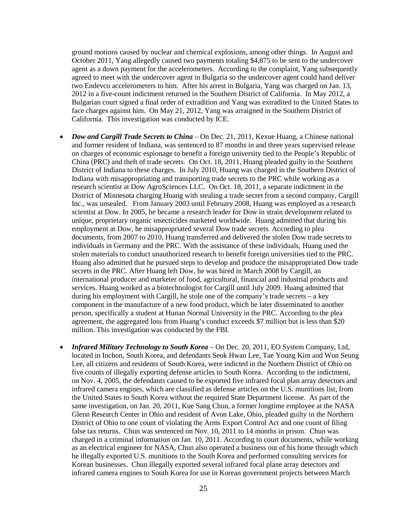ground motions caused by nuclear and chemical explosions, among other things. In August and October 2011, Yang allegedly caused two payments totaling \$4,875 to be sent to the undercover agent as a down payment for the accelerometers. According to the complaint, Yang subsequently agreed to meet with the undercover agent in Bulgaria so the undercover agent could hand deliver two Endevco accelerometers to him. After his arrest in Bulgaria, Yang was charged on Jan. 13, 2012 in a five-count indictment returned in the Southern District of California. In May 2012, a Bulgarian court signed a final order of extradition and Yang was extradited to the United States to face charges against him. On May 21, 2012, Yang was arraigned in the Southern District of California. This investigation was conducted by ICE.

- *Dow and Cargill Trade Secrets to China* On Dec. 21, 2011, Kexue Huang, a Chinese national and former resident of Indiana, was sentenced to 87 months in and three years supervised release on charges of economic espionage to benefit a foreign university tied to the People's Republic of China (PRC) and theft of trade secrets. On Oct. 18, 2011, Huang pleaded guilty in the Southern District of Indiana to these charges. In July 2010, Huang was charged in the Southern District of Indiana with misappropriating and transporting trade secrets to the PRC while working as a research scientist at Dow AgroSciences LLC. On Oct. 18, 2011, a separate indictment in the District of Minnesota charging Huang with stealing a trade secret from a second company, Cargill Inc., was unsealed. From January 2003 until February 2008, Huang was employed as a research scientist at Dow. In 2005, he became a research leader for Dow in strain development related to unique, proprietary organic insecticides marketed worldwide. Huang admitted that during his employment at Dow, he misappropriated several Dow trade secrets. According to plea documents, from 2007 to 2010, Huang transferred and delivered the stolen Dow trade secrets to individuals in Germany and the PRC. With the assistance of these individuals, Huang used the stolen materials to conduct unauthorized research to benefit foreign universities tied to the PRC. Huang also admitted that he pursued steps to develop and produce the misappropriated Dow trade secrets in the PRC. After Huang left Dow, he was hired in March 2008 by Cargill, an international producer and marketer of food, agricultural, financial and industrial products and services. Huang worked as a biotechnologist for Cargill until July 2009. Huang admitted that during his employment with Cargill, he stole one of the company's trade secrets – a key component in the manufacture of a new food product, which he later disseminated to another person, specifically a student at Hunan Normal University in the PRC. According to the plea agreement, the aggregated loss from Huang's conduct exceeds \$7 million but is less than \$20 million. This investigation was conducted by the FBI.
- *Infrared Military Technology to South Korea* On Dec. 20, 2011, EO System Company, Ltd, located in Inchon, South Korea, and defendants Seok Hwan Lee, Tae Young Kim and Won Seung Lee, all citizens and residents of South Korea, were indicted in the Northern District of Ohio on five counts of illegally exporting defense articles to South Korea. According to the indictment, on Nov. 4, 2005, the defendants caused to be exported five infrared focal plan array detectors and infrared camera engines, which are classified as defense articles on the U.S. munitions list, from the United States to South Korea without the required State Department license. As part of the same investigation, on Jan. 20, 2011, Kue Sang Chun, a former longtime employee at the NASA Glenn Research Center in Ohio and resident of Avon Lake, Ohio, pleaded guilty in the Northern District of Ohio to one count of violating the Arms Export Control Act and one count of filing false tax returns. Chun was sentenced on Nov. 10, 2011 to 14 months in prison. Chun was charged in a criminal information on Jan. 10, 2011. According to court documents, while working as an electrical engineer for NASA, Chun also operated a business out of his home through which he illegally exported U.S. munitions to the South Korea and performed consulting services for Korean businesses. Chun illegally exported several infrared focal plane array detectors and infrared camera engines to South Korea for use in Korean government projects between March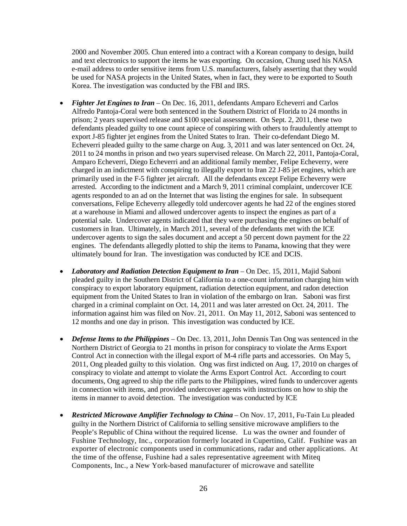2000 and November 2005. Chun entered into a contract with a Korean company to design, build and text electronics to support the items he was exporting. On occasion, Chung used his NASA e-mail address to order sensitive items from U.S. manufacturers, falsely asserting that they would be used for NASA projects in the United States, when in fact, they were to be exported to South Korea. The investigation was conducted by the FBI and IRS.

- *Fighter Jet Engines to Iran* On Dec. 16, 2011, defendants Amparo Echeverri and Carlos Alfredo Pantoja-Coral were both sentenced in the Southern District of Florida to 24 months in prison; 2 years supervised release and \$100 special assessment. On Sept. 2, 2011, these two defendants pleaded guilty to one count apiece of conspiring with others to fraudulently attempt to export J-85 fighter jet engines from the United States to Iran. Their co-defendant Diego M. Echeverri pleaded guilty to the same charge on Aug. 3, 2011 and was later sentenced on Oct. 24, 2011 to 24 months in prison and two years supervised release. On March 22, 2011, Pantoja-Coral, Amparo Echeverri, Diego Echeverri and an additional family member, Felipe Echeverry, were charged in an indictment with conspiring to illegally export to Iran 22 J-85 jet engines, which are primarily used in the F-5 fighter jet aircraft. All the defendants except Felipe Echeverry were arrested. According to the indictment and a March 9, 2011 criminal complaint, undercover ICE agents responded to an ad on the Internet that was listing the engines for sale. In subsequent conversations, Felipe Echeverry allegedly told undercover agents he had 22 of the engines stored at a warehouse in Miami and allowed undercover agents to inspect the engines as part of a potential sale. Undercover agents indicated that they were purchasing the engines on behalf of customers in Iran. Ultimately, in March 2011, several of the defendants met with the ICE undercover agents to sign the sales document and accept a 50 percent down payment for the 22 engines. The defendants allegedly plotted to ship the items to Panama, knowing that they were ultimately bound for Iran. The investigation was conducted by ICE and DCIS.
- *Laboratory and Radiation Detection Equipment to Iran* On Dec. 15, 2011, Majid Saboni pleaded guilty in the Southern District of California to a one-count information charging him with conspiracy to export laboratory equipment, radiation detection equipment, and radon detection equipment from the United States to Iran in violation of the embargo on Iran. Saboni was first charged in a criminal complaint on Oct. 14, 2011 and was later arrested on Oct. 24, 2011. The information against him was filed on Nov. 21, 2011. On May 11, 2012, Saboni was sentenced to 12 months and one day in prison. This investigation was conducted by ICE.
- *Defense Items to the Philippines* On Dec. 13, 2011, John Dennis Tan Ong was sentenced in the Northern District of Georgia to 21 months in prison for conspiracy to violate the Arms Export Control Act in connection with the illegal export of M-4 rifle parts and accessories. On May 5, 2011, Ong pleaded guilty to this violation. Ong was first indicted on Aug. 17, 2010 on charges of conspiracy to violate and attempt to violate the Arms Export Control Act. According to court documents, Ong agreed to ship the rifle parts to the Philippines, wired funds to undercover agents in connection with items, and provided undercover agents with instructions on how to ship the items in manner to avoid detection. The investigation was conducted by ICE
- *Restricted Microwave Amplifier Technology to China* On Nov. 17, 2011, Fu-Tain Lu pleaded guilty in the Northern District of California to selling sensitive microwave amplifiers to the People's Republic of China without the required license. Lu was the owner and founder of Fushine Technology, Inc., corporation formerly located in Cupertino, Calif. Fushine was an exporter of electronic components used in communications, radar and other applications. At the time of the offense, Fushine had a sales representative agreement with Miteq Components, Inc., a New York-based manufacturer of microwave and satellite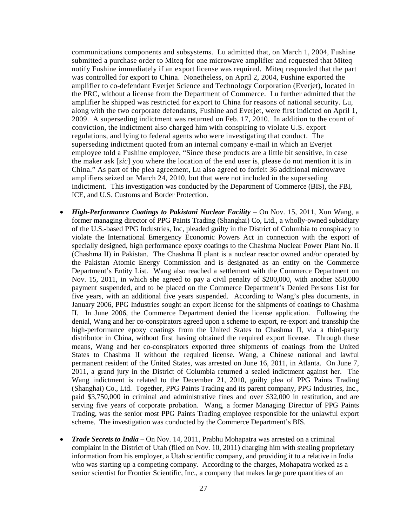communications components and subsystems. Lu admitted that, on March 1, 2004, Fushine submitted a purchase order to Miteq for one microwave amplifier and requested that Miteq notify Fushine immediately if an export license was required. Miteq responded that the part was controlled for export to China. Nonetheless, on April 2, 2004, Fushine exported the amplifier to co-defendant Everjet Science and Technology Corporation (Everjet), located in the PRC, without a license from the Department of Commerce. Lu further admitted that the amplifier he shipped was restricted for export to China for reasons of national security. Lu, along with the two corporate defendants, Fushine and Everjet, were first indicted on April 1, 2009. A superseding indictment was returned on Feb. 17, 2010. In addition to the count of conviction, the indictment also charged him with conspiring to violate U.S. export regulations, and lying to federal agents who were investigating that conduct. The superseding indictment quoted from an internal company e-mail in which an Everjet employee told a Fushine employee, "Since these products are a little bit sensitive, in case the maker ask [*sic*] you where the location of the end user is, please do not mention it is in China." As part of the plea agreement, Lu also agreed to forfeit 36 additional microwave amplifiers seized on March 24, 2010, but that were not included in the superseding indictment. This investigation was conducted by the Department of Commerce (BIS), the FBI, ICE, and U.S. Customs and Border Protection.

- *High-Performance Coatings to Pakistani Nuclear Facility* On Nov. 15, 2011, Xun Wang, a former managing director of PPG Paints Trading (Shanghai) Co, Ltd., a wholly-owned subsidiary of the U.S.-based PPG Industries, Inc, pleaded guilty in the District of Columbia to conspiracy to violate the International Emergency Economic Powers Act in connection with the export of specially designed, high performance epoxy coatings to the Chashma Nuclear Power Plant No. II (Chashma II) in Pakistan. The Chashma II plant is a nuclear reactor owned and/or operated by the Pakistan Atomic Energy Commission and is designated as an entity on the Commerce Department's Entity List. Wang also reached a settlement with the Commerce Department on Nov. 15, 2011, in which she agreed to pay a civil penalty of \$200,000, with another \$50,000 payment suspended, and to be placed on the Commerce Department's Denied Persons List for five years, with an additional five years suspended. According to Wang's plea documents, in January 2006, PPG Industries sought an export license for the shipments of coatings to Chashma II. In June 2006, the Commerce Department denied the license application. Following the denial, Wang and her co-conspirators agreed upon a scheme to export, re-export and transship the high-performance epoxy coatings from the United States to Chashma II, via a third-party distributor in China, without first having obtained the required export license. Through these means, Wang and her co-conspirators exported three shipments of coatings from the United States to Chashma II without the required license. Wang, a Chinese national and lawful permanent resident of the United States, was arrested on June 16, 2011, in Atlanta. On June 7, 2011, a grand jury in the District of Columbia returned a sealed indictment against her. The Wang indictment is related to the December 21, 2010, guilty plea of PPG Paints Trading (Shanghai) Co., Ltd. Together, PPG Paints Trading and its parent company, PPG Industries, Inc., paid \$3,750,000 in criminal and administrative fines and over \$32,000 in restitution, and are serving five years of corporate probation. Wang, a former Managing Director of PPG Paints Trading, was the senior most PPG Paints Trading employee responsible for the unlawful export scheme. The investigation was conducted by the Commerce Department's BIS.
- *Trade Secrets to India* On Nov. 14, 2011, Prabhu Mohapatra was arrested on a criminal complaint in the District of Utah (filed on Nov. 10, 2011) charging him with stealing proprietary information from his employer, a Utah scientific company, and providing it to a relative in India who was starting up a competing company. According to the charges, Mohapatra worked as a senior scientist for Frontier Scientific, Inc., a company that makes large pure quantities of an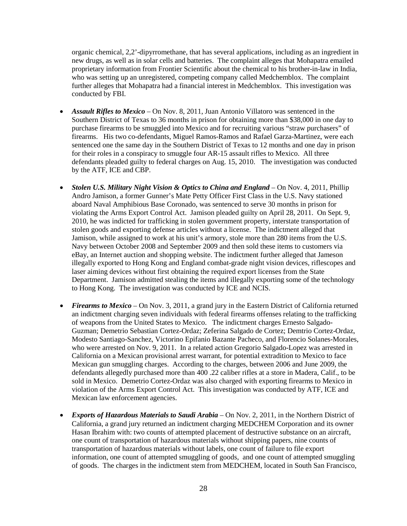organic chemical, 2,2'-dipyrromethane, that has several applications, including as an ingredient in new drugs, as well as in solar cells and batteries. The complaint alleges that Mohapatra emailed proprietary information from Frontier Scientific about the chemical to his brother-in-law in India, who was setting up an unregistered, competing company called Medchemblox. The complaint further alleges that Mohapatra had a financial interest in Medchemblox. This investigation was conducted by FBI.

- *Assault Rifles to Mexico* On Nov. 8, 2011, Juan Antonio Villatoro was sentenced in the Southern District of Texas to 36 months in prison for obtaining more than \$38,000 in one day to purchase firearms to be smuggled into Mexico and for recruiting various "straw purchasers" of firearms. His two co-defendants, Miguel Ramos-Ramos and Rafael Garza-Martinez, were each sentenced one the same day in the Southern District of Texas to 12 months and one day in prison for their roles in a conspiracy to smuggle four AR-15 assault rifles to Mexico. All three defendants pleaded guilty to federal charges on Aug. 15, 2010. The investigation was conducted by the ATF, ICE and CBP.
- *Stolen U.S. Military Night Vision & Optics to China and England* On Nov. 4, 2011, Phillip Andro Jamison, a former Gunner's Mate Petty Officer First Class in the U.S. Navy stationed aboard Naval Amphibious Base Coronado, was sentenced to serve 30 months in prison for violating the Arms Export Control Act. Jamison pleaded guilty on April 28, 2011. On Sept. 9, 2010, he was indicted for trafficking in stolen government property, interstate transportation of stolen goods and exporting defense articles without a license. The indictment alleged that Jamison, while assigned to work at his unit's armory, stole more than 280 items from the U.S. Navy between October 2008 and September 2009 and then sold these items to customers via eBay, an Internet auction and shopping website. The indictment further alleged that Jameson illegally exported to Hong Kong and England combat-grade night vision devices, riflescopes and laser aiming devices without first obtaining the required export licenses from the State Department. Jamison admitted stealing the items and illegally exporting some of the technology to Hong Kong. The investigation was conducted by ICE and NCIS.
- *Firearms to Mexico* On Nov. 3, 2011, a grand jury in the Eastern District of California returned an indictment charging seven individuals with federal firearms offenses relating to the trafficking of weapons from the United States to Mexico. The indictment charges Ernesto Salgado-Guzman; Demetrio Sebastian Cortez-Ordaz; Zeferina Salgado de Cortez; Demtrio Cortez-Ordaz, Modesto Santiago-Sanchez, Victorino Epifanio Bazante Pacheco, and Florencio Solanes-Morales, who were arrested on Nov. 9, 2011. In a related action Gregorio Salgado-Lopez was arrested in California on a Mexican provisional arrest warrant, for potential extradition to Mexico to face Mexican gun smuggling charges. According to the charges, between 2006 and June 2009, the defendants allegedly purchased more than 400 .22 caliber rifles at a store in Madera, Calif., to be sold in Mexico. Demetrio Cortez-Ordaz was also charged with exporting firearms to Mexico in violation of the Arms Export Control Act. This investigation was conducted by ATF, ICE and Mexican law enforcement agencies.
- *Exports of Hazardous Materials to Saudi Arabia* On Nov. 2, 2011, in the Northern District of California, a grand jury returned an indictment charging MEDCHEM Corporation and its owner Hasan Ibrahim with: two counts of attempted placement of destructive substance on an aircraft, one count of transportation of hazardous materials without shipping papers, nine counts of transportation of hazardous materials without labels, one count of failure to file export information, one count of attempted smuggling of goods, and one count of attempted smuggling of goods. The charges in the indictment stem from MEDCHEM, located in South San Francisco,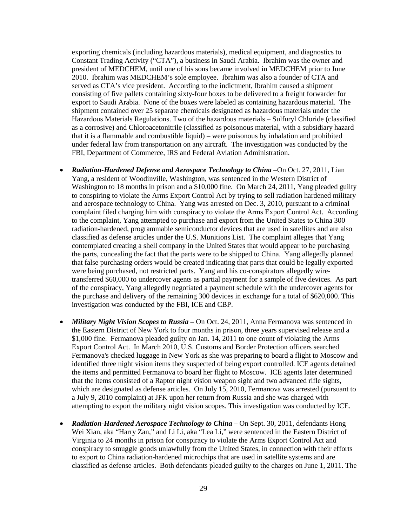exporting chemicals (including hazardous materials), medical equipment, and diagnostics to Constant Trading Activity ("CTA"), a business in Saudi Arabia. Ibrahim was the owner and president of MEDCHEM, until one of his sons became involved in MEDCHEM prior to June 2010. Ibrahim was MEDCHEM's sole employee. Ibrahim was also a founder of CTA and served as CTA's vice president. According to the indictment, Ibrahim caused a shipment consisting of five pallets containing sixty-four boxes to be delivered to a freight forwarder for export to Saudi Arabia. None of the boxes were labeled as containing hazardous material. The shipment contained over 25 separate chemicals designated as hazardous materials under the Hazardous Materials Regulations. Two of the hazardous materials – Sulfuryl Chloride (classified as a corrosive) and Chloroacetonitrile (classified as poisonous material, with a subsidiary hazard that it is a flammable and combustible liquid) – were poisonous by inhalation and prohibited under federal law from transportation on any aircraft. The investigation was conducted by the FBI, Department of Commerce, IRS and Federal Aviation Administration.

- *Radiation-Hardened Defense and Aerospace Technology to China* –On Oct. 27, 2011, Lian Yang, a resident of Woodinville, Washington, was sentenced in the Western District of Washington to 18 months in prison and a \$10,000 fine. On March 24, 2011, Yang pleaded guilty to conspiring to violate the Arms Export Control Act by trying to sell radiation hardened military and aerospace technology to China. Yang was arrested on Dec. 3, 2010, pursuant to a criminal complaint filed charging him with conspiracy to violate the Arms Export Control Act. According to the complaint, Yang attempted to purchase and export from the United States to China 300 radiation-hardened, programmable semiconductor devices that are used in satellites and are also classified as defense articles under the U.S. Munitions List. The complaint alleges that Yang contemplated creating a shell company in the United States that would appear to be purchasing the parts, concealing the fact that the parts were to be shipped to China. Yang allegedly planned that false purchasing orders would be created indicating that parts that could be legally exported were being purchased, not restricted parts. Yang and his co-conspirators allegedly wiretransferred \$60,000 to undercover agents as partial payment for a sample of five devices. As part of the conspiracy, Yang allegedly negotiated a payment schedule with the undercover agents for the purchase and delivery of the remaining 300 devices in exchange for a total of \$620,000. This investigation was conducted by the FBI, ICE and CBP.
- *Military Night Vision Scopes to Russia* On Oct. 24, 2011, Anna Fermanova was sentenced in the Eastern District of New York to four months in prison, three years supervised release and a \$1,000 fine. Fermanova pleaded guilty on Jan. 14, 2011 to one count of violating the Arms Export Control Act. In March 2010, U.S. Customs and Border Protection officers searched Fermanova's checked luggage in New York as she was preparing to board a flight to Moscow and identified three night vision items they suspected of being export controlled. ICE agents detained the items and permitted Fermanova to board her flight to Moscow. ICE agents later determined that the items consisted of a Raptor night vision weapon sight and two advanced rifle sights, which are designated as defense articles. On July 15, 2010, Fermanova was arrested (pursuant to a July 9, 2010 complaint) at JFK upon her return from Russia and she was charged with attempting to export the military night vision scopes. This investigation was conducted by ICE.
- *Radiation-Hardened Aerospace Technology to China* On Sept. 30, 2011, defendants Hong Wei Xian, aka "Harry Zan," and Li Li, aka "Lea Li," were sentenced in the Eastern District of Virginia to 24 months in prison for conspiracy to violate the Arms Export Control Act and conspiracy to smuggle goods unlawfully from the United States, in connection with their efforts to export to China radiation-hardened microchips that are used in satellite systems and are classified as defense articles. Both defendants pleaded guilty to the charges on June 1, 2011. The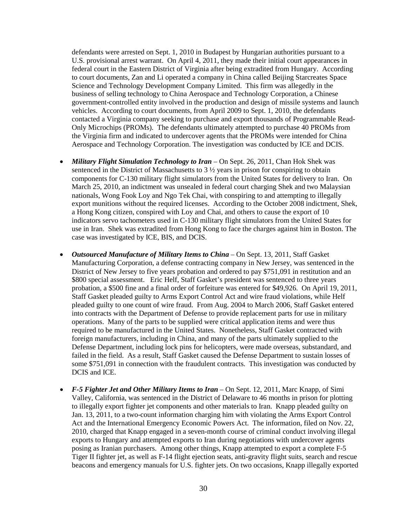defendants were arrested on Sept. 1, 2010 in Budapest by Hungarian authorities pursuant to a U.S. provisional arrest warrant. On April 4, 2011, they made their initial court appearances in federal court in the Eastern District of Virginia after being extradited from Hungary. According to court documents, Zan and Li operated a company in China called Beijing Starcreates Space Science and Technology Development Company Limited. This firm was allegedly in the business of selling technology to China Aerospace and Technology Corporation, a Chinese government-controlled entity involved in the production and design of missile systems and launch vehicles. According to court documents, from April 2009 to Sept. 1, 2010, the defendants contacted a Virginia company seeking to purchase and export thousands of Programmable Read-Only Microchips (PROMs). The defendants ultimately attempted to purchase 40 PROMs from the Virginia firm and indicated to undercover agents that the PROMs were intended for China Aerospace and Technology Corporation. The investigation was conducted by ICE and DCIS.

- *Military Flight Simulation Technology to Iran* On Sept. 26, 2011, Chan Hok Shek was sentenced in the District of Massachusetts to 3 ½ years in prison for conspiring to obtain components for C-130 military flight simulators from the United States for delivery to Iran. On March 25, 2010, an indictment was unsealed in federal court charging Shek and two Malaysian nationals, Wong Fook Loy and Ngo Tek Chai, with conspiring to and attempting to illegally export munitions without the required licenses. According to the October 2008 indictment, Shek, a Hong Kong citizen, conspired with Loy and Chai, and others to cause the export of 10 indicators servo tachometers used in C-130 military flight simulators from the United States for use in Iran. Shek was extradited from Hong Kong to face the charges against him in Boston. The case was investigated by ICE, BIS, and DCIS.
- *Outsourced Manufacture of Military Items to China*  On Sept. 13, 2011, Staff Gasket Manufacturing Corporation, a defense contracting company in New Jersey, was sentenced in the District of New Jersey to five years probation and ordered to pay \$751,091 in restitution and an \$800 special assessment. Eric Helf, Staff Gasket's president was sentenced to three years probation, a \$500 fine and a final order of forfeiture was entered for \$49,926. On April 19, 2011, Staff Gasket pleaded guilty to Arms Export Control Act and wire fraud violations, while Helf pleaded guilty to one count of wire fraud. From Aug. 2004 to March 2006, Staff Gasket entered into contracts with the Department of Defense to provide replacement parts for use in military operations. Many of the parts to be supplied were critical application items and were thus required to be manufactured in the United States. Nonetheless, Staff Gasket contracted with foreign manufacturers, including in China, and many of the parts ultimately supplied to the Defense Department, including lock pins for helicopters, were made overseas, substandard, and failed in the field. As a result, Staff Gasket caused the Defense Department to sustain losses of some \$751,091 in connection with the fraudulent contracts. This investigation was conducted by DCIS and ICE.
- *F-5 Fighter Jet and Other Military Items to Iran* On Sept. 12, 2011, Marc Knapp, of Simi Valley, California, was sentenced in the District of Delaware to 46 months in prison for plotting to illegally export fighter jet components and other materials to Iran. Knapp pleaded guilty on Jan. 13, 2011, to a two-count information charging him with violating the Arms Export Control Act and the International Emergency Economic Powers Act. The information, filed on Nov. 22, 2010, charged that Knapp engaged in a seven-month course of criminal conduct involving illegal exports to Hungary and attempted exports to Iran during negotiations with undercover agents posing as Iranian purchasers. Among other things, Knapp attempted to export a complete F-5 Tiger II fighter jet, as well as F-14 flight ejection seats, anti-gravity flight suits, search and rescue beacons and emergency manuals for U.S. fighter jets. On two occasions, Knapp illegally exported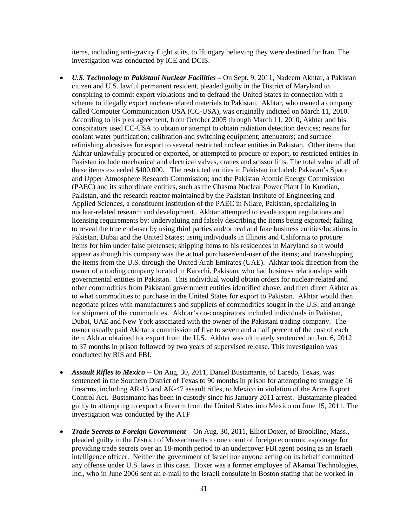items, including anti-gravity flight suits, to Hungary believing they were destined for Iran. The investigation was conducted by ICE and DCIS.

- *U.S. Technology to Pakistani Nuclear Facilities* On Sept. 9, 2011, Nadeem Akhtar, a Pakistan citizen and U.S. lawful permanent resident, pleaded guilty in the District of Maryland to conspiring to commit export violations and to defraud the United States in connection with a scheme to illegally export nuclear-related materials to Pakistan. Akhtar, who owned a company called Computer Communication USA (CC-USA), was originally indicted on March 11, 2010. According to his plea agreement, from October 2005 through March 11, 2010, Akhtar and his conspirators used CC-USA to obtain or attempt to obtain radiation detection devices; resins for coolant water purification; calibration and switching equipment; attenuators; and surface refinishing abrasives for export to several restricted nuclear entities in Pakistan. Other items that Akhtar unlawfully procured or exported, or attempted to procure or export, to restricted entities in Pakistan include mechanical and electrical valves, cranes and scissor lifts. The total value of all of these items exceeded \$400,000. The restricted entities in Pakistan included: Pakistan's Space and Upper Atmosphere Research Commission; and the Pakistan Atomic Energy Commission (PAEC) and its subordinate entities, such as the Chasma Nuclear Power Plant I in Kundian, Pakistan, and the research reactor maintained by the Pakistan Institute of Engineering and Applied Sciences, a constituent institution of the PAEC in Nilare, Pakistan, specializing in nuclear-related research and development. Akhtar attempted to evade export regulations and licensing requirements by: undervaluing and falsely describing the items being exported; failing to reveal the true end-user by using third parties and/or real and fake business entities/locations in Pakistan, Dubai and the United States; using individuals in Illinois and California to procure items for him under false pretenses; shipping items to his residences in Maryland so it would appear as though his company was the actual purchaser/end-user of the items; and transshipping the items from the U.S. through the United Arab Emirates (UAE). Akhtar took direction from the owner of a trading company located in Karachi, Pakistan, who had business relationships with governmental entities in Pakistan. This individual would obtain orders for nuclear-related and other commodities from Pakistani government entities identified above, and then direct Akhtar as to what commodities to purchase in the United States for export to Pakistan. Akhtar would then negotiate prices with manufacturers and suppliers of commodities sought in the U.S. and arrange for shipment of the commodities. Akhtar's co-conspirators included individuals in Pakistan, Dubai, UAE and New York associated with the owner of the Pakistani trading company. The owner usually paid Akhtar a commission of five to seven and a half percent of the cost of each item Akhtar obtained for export from the U.S. Akhtar was ultimately sentenced on Jan. 6, 2012 to 37 months in prison followed by two years of supervised release. This investigation was conducted by BIS and FBI.
- *Assault Rifles to Mexico* -- On Aug. 30, 2011, Daniel Bustamante, of Laredo, Texas, was sentenced in the Southern District of Texas to 90 months in prison for attempting to smuggle 16 firearms, including AR-15 and AK-47 assault rifles, to Mexico in violation of the Arms Export Control Act. Bustamante has been in custody since his January 2011 arrest. Bustamante pleaded guilty to attempting to export a firearm from the United States into Mexico on June 15, 2011. The investigation was conducted by the ATF
- *Trade Secrets to Foreign Government* On Aug. 30, 2011, Elliot Doxer, of Brookline, Mass., pleaded guilty in the District of Massachusetts to one count of foreign economic espionage for providing trade secrets over an 18-month period to an undercover FBI agent posing as an Israeli intelligence officer. Neither the government of Israel nor anyone acting on its behalf committed any offense under U.S. laws in this case. Doxer was a former employee of Akamai Technologies, Inc., who in June 2006 sent an e-mail to the Israeli consulate in Boston stating that he worked in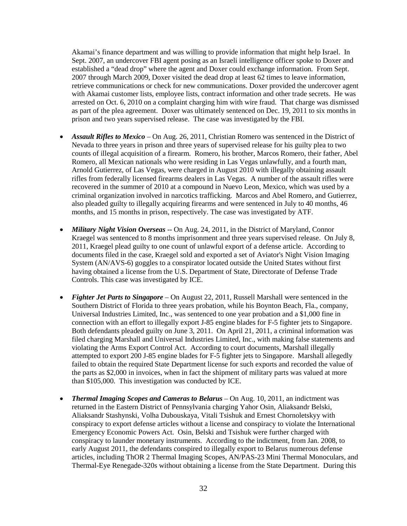Akamai's finance department and was willing to provide information that might help Israel. In Sept. 2007, an undercover FBI agent posing as an Israeli intelligence officer spoke to Doxer and established a "dead drop" where the agent and Doxer could exchange information. From Sept. 2007 through March 2009, Doxer visited the dead drop at least 62 times to leave information, retrieve communications or check for new communications. Doxer provided the undercover agent with Akamai customer lists, employee lists, contract information and other trade secrets. He was arrested on Oct. 6, 2010 on a complaint charging him with wire fraud. That charge was dismissed as part of the plea agreement. Doxer was ultimately sentenced on Dec. 19, 2011 to six months in prison and two years supervised release. The case was investigated by the FBI.

- *Assault Rifles to Mexico* On Aug. 26, 2011, Christian Romero was sentenced in the District of Nevada to three years in prison and three years of supervised release for his guilty plea to two counts of illegal acquisition of a firearm. Romero, his brother, Marcos Romero, their father, Abel Romero, all Mexican nationals who were residing in Las Vegas unlawfully, and a fourth man, Arnold Gutierrez, of Las Vegas, were charged in August 2010 with illegally obtaining assault rifles from federally licensed firearms dealers in Las Vegas. A number of the assault rifles were recovered in the summer of 2010 at a compound in Nuevo Leon, Mexico, which was used by a criminal organization involved in narcotics trafficking. Marcos and Abel Romero, and Gutierrez, also pleaded guilty to illegally acquiring firearms and were sentenced in July to 40 months, 46 months, and 15 months in prison, respectively. The case was investigated by ATF.
- *Military Night Vision Overseas* -- On Aug. 24, 2011, in the District of Maryland, Connor Kraegel was sentenced to 8 months imprisonment and three years supervised release. On July 8, 2011, Kraegel plead guilty to one count of unlawful export of a defense article. According to documents filed in the case, Kraegel sold and exported a set of Aviator's Night Vision Imaging System (AN/AVS-6) goggles to a conspirator located outside the United States without first having obtained a license from the U.S. Department of State, Directorate of Defense Trade Controls. This case was investigated by ICE.
- *Fighter Jet Parts to Singapore* On August 22, 2011, Russell Marshall were sentenced in the Southern District of Florida to three years probation, while his Boynton Beach, Fla., company, Universal Industries Limited, Inc., was sentenced to one year probation and a \$1,000 fine in connection with an effort to illegally export J-85 engine blades for F-5 fighter jets to Singapore. Both defendants pleaded guilty on June 3, 2011. On April 21, 2011, a criminal information was filed charging Marshall and Universal Industries Limited, Inc., with making false statements and violating the Arms Export Control Act. According to court documents, Marshall illegally attempted to export 200 J-85 engine blades for F-5 fighter jets to Singapore. Marshall allegedly failed to obtain the required State Department license for such exports and recorded the value of the parts as \$2,000 in invoices, when in fact the shipment of military parts was valued at more than \$105,000. This investigation was conducted by ICE.
- *Thermal Imaging Scopes and Cameras to Belarus*  On Aug. 10, 2011, an indictment was returned in the Eastern District of Pennsylvania charging Yahor Osin, Aliaksandr Belski, Aliaksandr Stashynski, Volha Dubouskaya, Vitali Tsishuk and Ernest Chornoletskyy with conspiracy to export defense articles without a license and conspiracy to violate the International Emergency Economic Powers Act. Osin, Belski and Tsishuk were further charged with conspiracy to launder monetary instruments. According to the indictment, from Jan. 2008, to early August 2011, the defendants conspired to illegally export to Belarus numerous defense articles, including ThOR 2 Thermal Imaging Scopes, AN/PAS-23 Mini Thermal Monoculars, and Thermal-Eye Renegade-320s without obtaining a license from the State Department. During this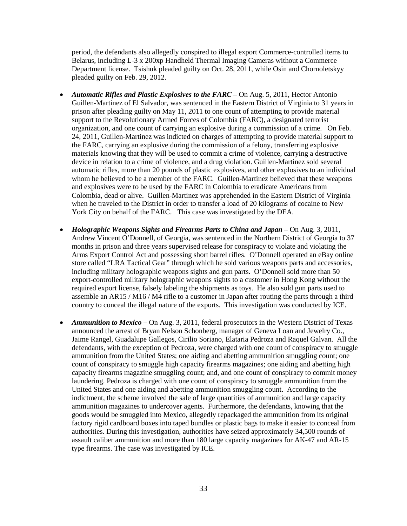period, the defendants also allegedly conspired to illegal export Commerce-controlled items to Belarus, including L-3 x 200xp Handheld Thermal Imaging Cameras without a Commerce Department license. Tsishuk pleaded guilty on Oct. 28, 2011, while Osin and Chornoletskyy pleaded guilty on Feb. 29, 2012.

- *Automatic Rifles and Plastic Explosives to the FARC* On Aug. 5, 2011, Hector Antonio Guillen-Martinez of El Salvador, was sentenced in the Eastern District of Virginia to 31 years in prison after pleading guilty on May 11, 2011 to one count of attempting to provide material support to the Revolutionary Armed Forces of Colombia (FARC), a designated terrorist organization, and one count of carrying an explosive during a commission of a crime. On Feb. 24, 2011, Guillen-Martinez was indicted on charges of attempting to provide material support to the FARC, carrying an explosive during the commission of a felony, transferring explosive materials knowing that they will be used to commit a crime of violence, carrying a destructive device in relation to a crime of violence, and a drug violation. Guillen-Martinez sold several automatic rifles, more than 20 pounds of plastic explosives, and other explosives to an individual whom he believed to be a member of the FARC. Guillen-Martinez believed that these weapons and explosives were to be used by the FARC in Colombia to eradicate Americans from Colombia, dead or alive. Guillen-Martinez was apprehended in the Eastern District of Virginia when he traveled to the District in order to transfer a load of 20 kilograms of cocaine to New York City on behalf of the FARC. This case was investigated by the DEA.
- *Holographic Weapons Sights and Firearms Parts to China and Japan* On Aug. 3, 2011, Andrew Vincent O'Donnell, of Georgia, was sentenced in the Northern District of Georgia to 37 months in prison and three years supervised release for conspiracy to violate and violating the Arms Export Control Act and possessing short barrel rifles. O'Donnell operated an eBay online store called "LRA Tactical Gear" through which he sold various weapons parts and accessories, including military holographic weapons sights and gun parts. O'Donnell sold more than 50 export-controlled military holographic weapons sights to a customer in Hong Kong without the required export license, falsely labeling the shipments as toys. He also sold gun parts used to assemble an AR15 / M16 / M4 rifle to a customer in Japan after routing the parts through a third country to conceal the illegal nature of the exports. This investigation was conducted by ICE.
- *Ammunition to Mexico* On Aug. 3, 2011, federal prosecutors in the Western District of Texas announced the arrest of Bryan Nelson Schonberg, manager of Geneva Loan and Jewelry Co., Jaime Rangel, Guadalupe Gallegos, Cirilio Soriano, Elataria Pedroza and Raquel Galvan. All the defendants, with the exception of Pedroza, were charged with one count of conspiracy to smuggle ammunition from the United States; one aiding and abetting ammunition smuggling count; one count of conspiracy to smuggle high capacity firearms magazines; one aiding and abetting high capacity firearms magazine smuggling count; and, and one count of conspiracy to commit money laundering. Pedroza is charged with one count of conspiracy to smuggle ammunition from the United States and one aiding and abetting ammunition smuggling count. According to the indictment, the scheme involved the sale of large quantities of ammunition and large capacity ammunition magazines to undercover agents. Furthermore, the defendants, knowing that the goods would be smuggled into Mexico, allegedly repackaged the ammunition from its original factory rigid cardboard boxes into taped bundles or plastic bags to make it easier to conceal from authorities. During this investigation, authorities have seized approximately 34,500 rounds of assault caliber ammunition and more than 180 large capacity magazines for AK-47 and AR-15 type firearms. The case was investigated by ICE.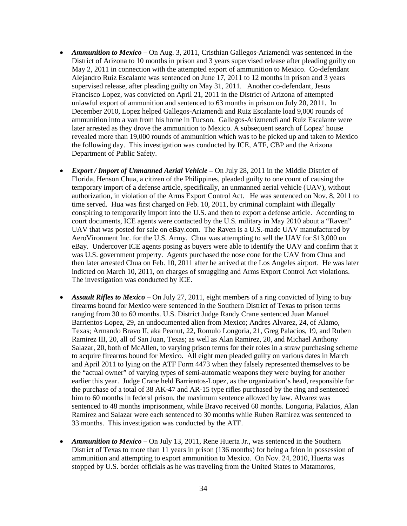- *Ammunition to Mexico* On Aug. 3, 2011, Cristhian Gallegos-Arizmendi was sentenced in the District of Arizona to 10 months in prison and 3 years supervised release after pleading guilty on May 2, 2011 in connection with the attempted export of ammunition to Mexico. Co-defendant Alejandro Ruiz Escalante was sentenced on June 17, 2011 to 12 months in prison and 3 years supervised release, after pleading guilty on May 31, 2011. Another co-defendant, Jesus Francisco Lopez, was convicted on April 21, 2011 in the District of Arizona of attempted unlawful export of ammunition and sentenced to 63 months in prison on July 20, 2011. In December 2010, Lopez helped Gallegos-Arizmendi and Ruiz Escalante load 9,000 rounds of ammunition into a van from his home in Tucson. Gallegos-Arizmendi and Ruiz Escalante were later arrested as they drove the ammunition to Mexico. A subsequent search of Lopez' house revealed more than 19,000 rounds of ammunition which was to be picked up and taken to Mexico the following day. This investigation was conducted by ICE, ATF, CBP and the Arizona Department of Public Safety.
- *Export / Import of Unmanned Aerial Vehicle*  On July 28, 2011 in the Middle District of Florida, Henson Chua, a citizen of the Philippines, pleaded guilty to one count of causing the temporary import of a defense article, specifically, an unmanned aerial vehicle (UAV), without authorization, in violation of the Arms Export Control Act. He was sentenced on Nov. 8, 2011 to time served. Hua was first charged on Feb. 10, 2011, by criminal complaint with illegally conspiring to temporarily import into the U.S. and then to export a defense article. According to court documents, ICE agents were contacted by the U.S. military in May 2010 about a "Raven" UAV that was posted for sale on eBay.com. The Raven is a U.S.-made UAV manufactured by AeroVironment Inc. for the U.S. Army. Chua was attempting to sell the UAV for \$13,000 on eBay. Undercover ICE agents posing as buyers were able to identify the UAV and confirm that it was U.S. government property. Agents purchased the nose cone for the UAV from Chua and then later arrested Chua on Feb. 10, 2011 after he arrived at the Los Angeles airport. He was later indicted on March 10, 2011, on charges of smuggling and Arms Export Control Act violations. The investigation was conducted by ICE.
- *Assault Rifles to Mexico* On July 27, 2011, eight members of a ring convicted of lying to buy firearms bound for Mexico were sentenced in the Southern District of Texas to prison terms ranging from 30 to 60 months. U.S. District Judge Randy Crane sentenced Juan Manuel Barrientos-Lopez, 29, an undocumented alien from Mexico; Andres Alvarez, 24, of Alamo, Texas; Armando Bravo II, aka Peanut, 22, Romulo Longoria, 21, Greg Palacios, 19, and Ruben Ramirez III, 20, all of San Juan, Texas; as well as Alan Ramirez, 20, and Michael Anthony Salazar, 20, both of McAllen, to varying prison terms for their roles in a straw purchasing scheme to acquire firearms bound for Mexico. All eight men pleaded guilty on various dates in March and April 2011 to lying on the ATF Form 4473 when they falsely represented themselves to be the "actual owner" of varying types of semi-automatic weapons they were buying for another earlier this year. Judge Crane held Barrientos-Lopez, as the organization's head, responsible for the purchase of a total of 38 AK-47 and AR-15 type rifles purchased by the ring and sentenced him to 60 months in federal prison, the maximum sentence allowed by law. Alvarez was sentenced to 48 months imprisonment, while Bravo received 60 months. Longoria, Palacios, Alan Ramirez and Salazar were each sentenced to 30 months while Ruben Ramirez was sentenced to 33 months. This investigation was conducted by the ATF.
- *Ammunition to Mexico* On July 13, 2011, Rene Huerta Jr., was sentenced in the Southern District of Texas to more than 11 years in prison (136 months) for being a felon in possession of ammunition and attempting to export ammunition to Mexico. On Nov. 24, 2010, Huerta was stopped by U.S. border officials as he was traveling from the United States to Matamoros,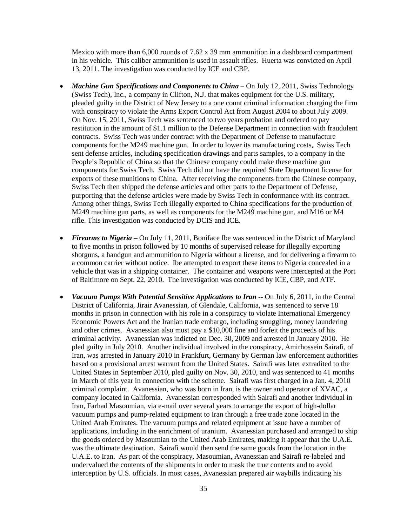Mexico with more than  $6,000$  rounds of  $7.62 \times 39$  mm ammunition in a dashboard compartment in his vehicle. This caliber ammunition is used in assault rifles. Huerta was convicted on April 13, 2011. The investigation was conducted by ICE and CBP.

- *Machine Gun Specifications and Components to China* On July 12, 2011, Swiss Technology (Swiss Tech), Inc., a company in Clifton, N.J. that makes equipment for the U.S. military, pleaded guilty in the District of New Jersey to a one count criminal information charging the firm with conspiracy to violate the Arms Export Control Act from August 2004 to about July 2009. On Nov. 15, 2011, Swiss Tech was sentenced to two years probation and ordered to pay restitution in the amount of \$1.1 million to the Defense Department in connection with fraudulent contracts. Swiss Tech was under contract with the Department of Defense to manufacture components for the M249 machine gun. In order to lower its manufacturing costs, Swiss Tech sent defense articles, including specification drawings and parts samples, to a company in the People's Republic of China so that the Chinese company could make these machine gun components for Swiss Tech. Swiss Tech did not have the required State Department license for exports of these munitions to China. After receiving the components from the Chinese company, Swiss Tech then shipped the defense articles and other parts to the Department of Defense, purporting that the defense articles were made by Swiss Tech in conformance with its contract. Among other things, Swiss Tech illegally exported to China specifications for the production of M249 machine gun parts, as well as components for the M249 machine gun, and M16 or M4 rifle. This investigation was conducted by DCIS and ICE.
- *Firearms to Nigeria* On July 11, 2011, Boniface Ibe was sentenced in the District of Maryland to five months in prison followed by 10 months of supervised release for illegally exporting shotguns, a handgun and ammunition to Nigeria without a license, and for delivering a firearm to a common carrier without notice. Ibe attempted to export these items to Nigeria concealed in a vehicle that was in a shipping container. The container and weapons were intercepted at the Port of Baltimore on Sept. 22, 2010. The investigation was conducted by ICE, CBP, and ATF.
- *Vacuum Pumps With Potential Sensitive Applications to Iran* -- On July 6, 2011, in the Central District of California, Jirair Avanessian, of Glendale, California, was sentenced to serve 18 months in prison in connection with his role in a conspiracy to violate International Emergency Economic Powers Act and the Iranian trade embargo, including smuggling, money laundering and other crimes. Avanessian also must pay a \$10,000 fine and forfeit the proceeds of his criminal activity. Avanessian was indicted on Dec. 30, 2009 and arrested in January 2010. He pled guilty in July 2010. Another individual involved in the conspiracy, Amirhossein Sairafi, of Iran, was arrested in January 2010 in Frankfurt, Germany by German law enforcement authorities based on a provisional arrest warrant from the United States. Sairafi was later extradited to the United States in September 2010, pled guilty on Nov. 30, 2010, and was sentenced to 41 months in March of this year in connection with the scheme. Sairafi was first charged in a Jan. 4, 2010 criminal complaint. Avanessian, who was born in Iran, is the owner and operator of XVAC, a company located in California. Avanessian corresponded with Sairafi and another individual in Iran, Farhad Masoumian, via e-mail over several years to arrange the export of high-dollar vacuum pumps and pump-related equipment to Iran through a free trade zone located in the United Arab Emirates. The vacuum pumps and related equipment at issue have a number of applications, including in the enrichment of uranium. Avanessian purchased and arranged to ship the goods ordered by Masoumian to the United Arab Emirates, making it appear that the U.A.E. was the ultimate destination. Sairafi would then send the same goods from the location in the U.A.E. to Iran. As part of the conspiracy, Masoumian, Avanessian and Sairafi re-labeled and undervalued the contents of the shipments in order to mask the true contents and to avoid interception by U.S. officials. In most cases, Avanessian prepared air waybills indicating his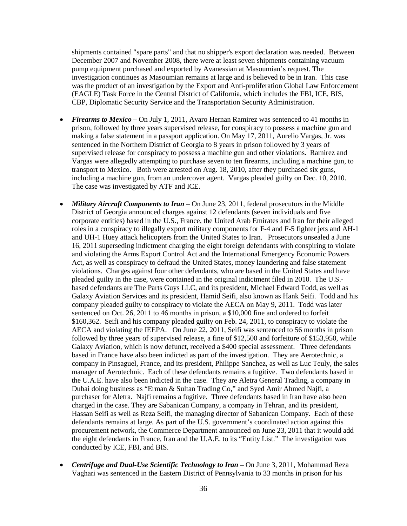shipments contained "spare parts" and that no shipper's export declaration was needed. Between December 2007 and November 2008, there were at least seven shipments containing vacuum pump equipment purchased and exported by Avanessian at Masoumian's request. The investigation continues as Masoumian remains at large and is believed to be in Iran. This case was the product of an investigation by the Export and Anti-proliferation Global Law Enforcement (EAGLE) Task Force in the Central District of California, which includes the FBI, ICE, BIS, CBP, Diplomatic Security Service and the Transportation Security Administration.

- *Firearms to Mexico* On July 1, 2011, Avaro Hernan Ramirez was sentenced to 41 months in prison, followed by three years supervised release, for conspiracy to possess a machine gun and making a false statement in a passport application. On May 17, 2011, Aurelio Vargas, Jr. was sentenced in the Northern District of Georgia to 8 years in prison followed by 3 years of supervised release for conspiracy to possess a machine gun and other violations. Ramirez and Vargas were allegedly attempting to purchase seven to ten firearms, including a machine gun, to transport to Mexico. Both were arrested on Aug. 18, 2010, after they purchased six guns, including a machine gun, from an undercover agent. Vargas pleaded guilty on Dec. 10, 2010. The case was investigated by ATF and ICE.
- *Military Aircraft Components to Iran* On June 23, 2011, federal prosecutors in the Middle District of Georgia announced charges against 12 defendants (seven individuals and five corporate entities) based in the U.S., France, the United Arab Emirates and Iran for their alleged roles in a conspiracy to illegally export military components for F-4 and F-5 fighter jets and AH-1 and UH-1 Huey attack helicopters from the United States to Iran. Prosecutors unsealed a June 16, 2011 superseding indictment charging the eight foreign defendants with conspiring to violate and violating the Arms Export Control Act and the International Emergency Economic Powers Act, as well as conspiracy to defraud the United States, money laundering and false statement violations. Charges against four other defendants, who are based in the United States and have pleaded guilty in the case, were contained in the original indictment filed in 2010. The U.S. based defendants are The Parts Guys LLC, and its president, Michael Edward Todd, as well as Galaxy Aviation Services and its president, Hamid Seifi, also known as Hank Seifi. Todd and his company pleaded guilty to conspiracy to violate the AECA on May 9, 2011. Todd was later sentenced on Oct. 26, 2011 to 46 months in prison, a \$10,000 fine and ordered to forfeit \$160,362. Seifi and his company pleaded guilty on Feb. 24, 2011, to conspiracy to violate the AECA and violating the IEEPA. On June 22, 2011, Seifi was sentenced to 56 months in prison followed by three years of supervised release, a fine of \$12,500 and forfeiture of \$153,950, while Galaxy Aviation, which is now defunct, received a \$400 special assessment. Three defendants based in France have also been indicted as part of the investigation. They are Aerotechnic, a company in Pinsaguel, France, and its president, Philippe Sanchez, as well as Luc Teuly, the sales manager of Aerotechnic. Each of these defendants remains a fugitive. Two defendants based in the U.A.E. have also been indicted in the case. They are Aletra General Trading, a company in Dubai doing business as "Erman & Sultan Trading Co," and Syed Amir Ahmed Najfi, a purchaser for Aletra. Najfi remains a fugitive. Three defendants based in Iran have also been charged in the case. They are Sabanican Company, a company in Tehran, and its president, Hassan Seifi as well as Reza Seifi, the managing director of Sabanican Company. Each of these defendants remains at large. As part of the U.S. government's coordinated action against this procurement network, the Commerce Department announced on June 23, 2011 that it would add the eight defendants in France, Iran and the U.A.E. to its "Entity List." The investigation was conducted by ICE, FBI, and BIS.
- *Centrifuge and Dual-Use Scientific Technology to Iran* On June 3, 2011, Mohammad Reza Vaghari was sentenced in the Eastern District of Pennsylvania to 33 months in prison for his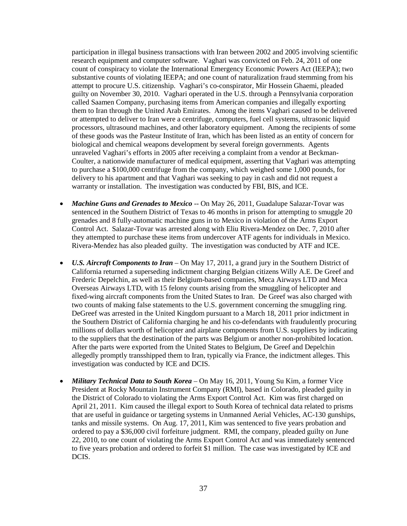participation in illegal business transactions with Iran between 2002 and 2005 involving scientific research equipment and computer software. Vaghari was convicted on Feb. 24, 2011 of one count of conspiracy to violate the International Emergency Economic Powers Act (IEEPA); two substantive counts of violating IEEPA; and one count of naturalization fraud stemming from his attempt to procure U.S. citizenship. Vaghari's co-conspirator, Mir Hossein Ghaemi, pleaded guilty on November 30, 2010. Vaghari operated in the U.S. through a Pennsylvania corporation called Saamen Company, purchasing items from American companies and illegally exporting them to Iran through the United Arab Emirates. Among the items Vaghari caused to be delivered or attempted to deliver to Iran were a centrifuge, computers, fuel cell systems, ultrasonic liquid processors, ultrasound machines, and other laboratory equipment. Among the recipients of some of these goods was the Pasteur Institute of Iran, which has been listed as an entity of concern for biological and chemical weapons development by several foreign governments. Agents unraveled Vaghari's efforts in 2005 after receiving a complaint from a vendor at Beckman-Coulter, a nationwide manufacturer of medical equipment, asserting that Vaghari was attempting to purchase a \$100,000 centrifuge from the company, which weighed some 1,000 pounds, for delivery to his apartment and that Vaghari was seeking to pay in cash and did not request a warranty or installation. The investigation was conducted by FBI, BIS, and ICE.

- *Machine Guns and Grenades to Mexico --* On May 26, 2011, Guadalupe Salazar-Tovar was sentenced in the Southern District of Texas to 46 months in prison for attempting to smuggle 20 grenades and 8 fully-automatic machine guns in to Mexico in violation of the Arms Export Control Act. Salazar-Tovar was arrested along with Eliu Rivera-Mendez on Dec. 7, 2010 after they attempted to purchase these items from undercover ATF agents for individuals in Mexico. Rivera-Mendez has also pleaded guilty. The investigation was conducted by ATF and ICE.
- *U.S. Aircraft Components to Iran* On May 17, 2011, a grand jury in the Southern District of California returned a superseding indictment charging Belgian citizens Willy A.E. De Greef and Frederic Depelchin, as well as their Belgium-based companies, Meca Airways LTD and Meca Overseas Airways LTD, with 15 felony counts arising from the smuggling of helicopter and fixed-wing aircraft components from the United States to Iran. De Greef was also charged with two counts of making false statements to the U.S. government concerning the smuggling ring. DeGreef was arrested in the United Kingdom pursuant to a March 18, 2011 prior indictment in the Southern District of California charging he and his co-defendants with fraudulently procuring millions of dollars worth of helicopter and airplane components from U.S. suppliers by indicating to the suppliers that the destination of the parts was Belgium or another non-prohibited location. After the parts were exported from the United States to Belgium, De Greef and Depelchin allegedly promptly transshipped them to Iran, typically via France, the indictment alleges. This investigation was conducted by ICE and DCIS.
- *Military Technical Data to South Korea* On May 16, 2011, Young Su Kim, a former Vice President at Rocky Mountain Instrument Company (RMI), based in Colorado, pleaded guilty in the District of Colorado to violating the Arms Export Control Act. Kim was first charged on April 21, 2011. Kim caused the illegal export to South Korea of technical data related to prisms that are useful in guidance or targeting systems in Unmanned Aerial Vehicles, AC-130 gunships, tanks and missile systems. On Aug. 17, 2011, Kim was sentenced to five years probation and ordered to pay a \$36,000 civil forfeiture judgment. RMI, the company, pleaded guilty on June 22, 2010, to one count of violating the Arms Export Control Act and was immediately sentenced to five years probation and ordered to forfeit \$1 million. The case was investigated by ICE and DCIS.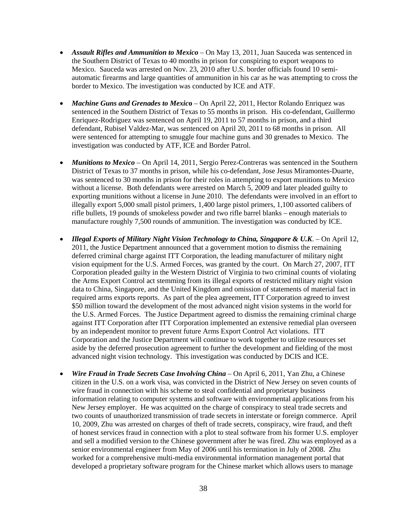- *Assault Rifles and Ammunition to Mexico* On May 13, 2011, Juan Sauceda was sentenced in the Southern District of Texas to 40 months in prison for conspiring to export weapons to Mexico. Sauceda was arrested on Nov. 23, 2010 after U.S. border officials found 10 semiautomatic firearms and large quantities of ammunition in his car as he was attempting to cross the border to Mexico. The investigation was conducted by ICE and ATF.
- *Machine Guns and Grenades to Mexic***o** On April 22, 2011, Hector Rolando Enriquez was sentenced in the Southern District of Texas to 55 months in prison. His co-defendant, Guillermo Enriquez-Rodriguez was sentenced on April 19, 2011 to 57 months in prison, and a third defendant, Rubisel Valdez-Mar, was sentenced on April 20, 2011 to 68 months in prison. All were sentenced for attempting to smuggle four machine guns and 30 grenades to Mexico. The investigation was conducted by ATF, ICE and Border Patrol.
- *Munitions to Mexico* On April 14, 2011, Sergio Perez-Contreras was sentenced in the Southern District of Texas to 37 months in prison, while his co-defendant, Jose Jesus Miramontes-Duarte, was sentenced to 30 months in prison for their roles in attempting to export munitions to Mexico without a license. Both defendants were arrested on March 5, 2009 and later pleaded guilty to exporting munitions without a license in June 2010. The defendants were involved in an effort to illegally export 5,000 small pistol primers, 1,400 large pistol primers, 1,100 assorted calibers of rifle bullets, 19 pounds of smokeless powder and two rifle barrel blanks – enough materials to manufacture roughly 7,500 rounds of ammunition. The investigation was conducted by ICE.
- *Illegal Exports of Military Night Vision Technology to China, Singapore & U.K*. On April 12, 2011, the Justice Department announced that a government motion to dismiss the remaining deferred criminal charge against ITT Corporation, the leading manufacturer of military night vision equipment for the U.S. Armed Forces, was granted by the court. On March 27, 2007, ITT Corporation pleaded guilty in the Western District of Virginia to two criminal counts of violating the Arms Export Control act stemming from its illegal exports of restricted military night vision data to China, Singapore, and the United Kingdom and omission of statements of material fact in required arms exports reports. As part of the plea agreement, ITT Corporation agreed to invest \$50 million toward the development of the most advanced night vision systems in the world for the U.S. Armed Forces. The Justice Department agreed to dismiss the remaining criminal charge against ITT Corporation after ITT Corporation implemented an extensive remedial plan overseen by an independent monitor to prevent future Arms Export Control Act violations. ITT Corporation and the Justice Department will continue to work together to utilize resources set aside by the deferred prosecution agreement to further the development and fielding of the most advanced night vision technology. This investigation was conducted by DCIS and ICE.
- *Wire Fraud in Trade Secrets Case Involving China On April 6, 2011, Yan Zhu, a Chinese* citizen in the U.S. on a work visa, was convicted in the District of New Jersey on seven counts of wire fraud in connection with his scheme to steal confidential and proprietary business information relating to computer systems and software with environmental applications from his New Jersey employer. He was acquitted on the charge of conspiracy to steal trade secrets and two counts of unauthorized transmission of trade secrets in interstate or foreign commerce. April 10, 2009, Zhu was arrested on charges of theft of trade secrets, conspiracy, wire fraud, and theft of honest services fraud in connection with a plot to steal software from his former U.S. employer and sell a modified version to the Chinese government after he was fired. Zhu was employed as a senior environmental engineer from May of 2006 until his termination in July of 2008. Zhu worked for a comprehensive multi-media environmental information management portal that developed a proprietary software program for the Chinese market which allows users to manage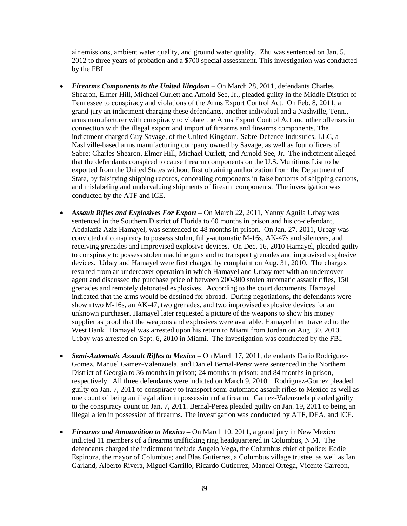air emissions, ambient water quality, and ground water quality. Zhu was sentenced on Jan. 5, 2012 to three years of probation and a \$700 special assessment. This investigation was conducted by the FBI

- *Firearms Components to the United Kingdom* On March 28, 2011, defendants Charles Shearon, Elmer Hill, Michael Curlett and Arnold See, Jr., pleaded guilty in the Middle District of Tennessee to conspiracy and violations of the Arms Export Control Act. On Feb. 8, 2011, a grand jury an indictment charging these defendants, another individual and a Nashville, Tenn., arms manufacturer with conspiracy to violate the Arms Export Control Act and other offenses in connection with the illegal export and import of firearms and firearms components. The indictment charged Guy Savage, of the United Kingdom, Sabre Defence Industries, LLC, a Nashville-based arms manufacturing company owned by Savage, as well as four officers of Sabre: Charles Shearon, Elmer Hill, Michael Curlett, and Arnold See, Jr. The indictment alleged that the defendants conspired to cause firearm components on the U.S. Munitions List to be exported from the United States without first obtaining authorization from the Department of State, by falsifying shipping records, concealing components in false bottoms of shipping cartons, and mislabeling and undervaluing shipments of firearm components. The investigation was conducted by the ATF and ICE.
- *Assault Rifles and Explosives For Export* On March 22, 2011, Yanny Aguila Urbay was sentenced in the Southern District of Florida to 60 months in prison and his co-defendant, Abdalaziz Aziz Hamayel, was sentenced to 48 months in prison. On Jan. 27, 2011, Urbay was convicted of conspiracy to possess stolen, fully-automatic M-16s, AK-47s and silencers, and receiving grenades and improvised explosive devices. On Dec. 16, 2010 Hamayel, pleaded guilty to conspiracy to possess stolen machine guns and to transport grenades and improvised explosive devices. Urbay and Hamayel were first charged by complaint on Aug. 31, 2010. The charges resulted from an undercover operation in which Hamayel and Urbay met with an undercover agent and discussed the purchase price of between 200-300 stolen automatic assault rifles, 150 grenades and remotely detonated explosives. According to the court documents, Hamayel indicated that the arms would be destined for abroad. During negotiations, the defendants were shown two M-16s, an AK-47, two grenades, and two improvised explosive devices for an unknown purchaser. Hamayel later requested a picture of the weapons to show his money supplier as proof that the weapons and explosives were available. Hamayel then traveled to the West Bank. Hamayel was arrested upon his return to Miami from Jordan on Aug. 30, 2010. Urbay was arrested on Sept. 6, 2010 in Miami. The investigation was conducted by the FBI.
- *Semi-Automatic Assault Rifles to Mexico* On March 17, 2011, defendants Dario Rodriguez-Gomez, Manuel Gamez-Valenzuela, and Daniel Bernal-Perez were sentenced in the Northern District of Georgia to 36 months in prison; 24 months in prison; and 84 months in prison, respectively. All three defendants were indicted on March 9, 2010. Rodriguez-Gomez pleaded guilty on Jan. 7, 2011 to conspiracy to transport semi-automatic assault rifles to Mexico as well as one count of being an illegal alien in possession of a firearm. Gamez-Valenzuela pleaded guilty to the conspiracy count on Jan. 7, 2011. Bernal-Perez pleaded guilty on Jan. 19, 2011 to being an illegal alien in possession of firearms. The investigation was conducted by ATF, DEA, and ICE.
- *Firearms and Ammunition to Mexico* **–** On March 10, 2011, a grand jury in New Mexico indicted 11 members of a firearms trafficking ring headquartered in Columbus, N.M. The defendants charged the indictment include Angelo Vega, the Columbus chief of police; Eddie Espinoza, the mayor of Columbus; and Blas Gutierrez, a Columbus village trustee, as well as Ian Garland, Alberto Rivera, Miguel Carrillo, Ricardo Gutierrez, Manuel Ortega, Vicente Carreon,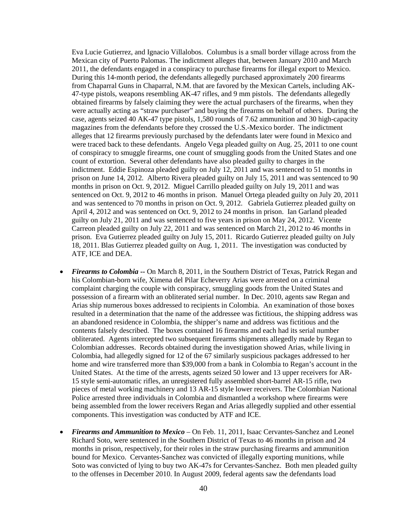Eva Lucie Gutierrez, and Ignacio Villalobos. Columbus is a small border village across from the Mexican city of Puerto Palomas. The indictment alleges that, between January 2010 and March 2011, the defendants engaged in a conspiracy to purchase firearms for illegal export to Mexico. During this 14-month period, the defendants allegedly purchased approximately 200 firearms from Chaparral Guns in Chaparral, N.M. that are favored by the Mexican Cartels, including AK-47-type pistols, weapons resembling AK-47 rifles, and 9 mm pistols. The defendants allegedly obtained firearms by falsely claiming they were the actual purchasers of the firearms, when they were actually acting as "straw purchaser" and buying the firearms on behalf of others. During the case, agents seized 40 AK-47 type pistols, 1,580 rounds of 7.62 ammunition and 30 high-capacity magazines from the defendants before they crossed the U.S.-Mexico border. The indictment alleges that 12 firearms previously purchased by the defendants later were found in Mexico and were traced back to these defendants. Angelo Vega pleaded guilty on Aug. 25, 2011 to one count of conspiracy to smuggle firearms, one count of smuggling goods from the United States and one count of extortion. Several other defendants have also pleaded guilty to charges in the indictment. Eddie Espinoza pleaded guilty on July 12, 2011 and was sentenced to 51 months in prison on June 14, 2012. Alberto Rivera pleaded guilty on July 15, 2011 and was sentenced to 90 months in prison on Oct. 9, 2012. Miguel Carrillo pleaded guilty on July 19, 2011 and was sentenced on Oct. 9, 2012 to 46 months in prison. Manuel Ortega pleaded guilty on July 20, 2011 and was sentenced to 70 months in prison on Oct. 9, 2012. Gabriela Gutierrez pleaded guilty on April 4, 2012 and was sentenced on Oct. 9, 2012 to 24 months in prison. Ian Garland pleaded guilty on July 21, 2011 and was sentenced to five years in prison on May 24, 2012. Vicente Carreon pleaded guilty on July 22, 2011 and was sentenced on March 21, 2012 to 46 months in prison. Eva Gutierrez pleaded guilty on July 15, 2011. Ricardo Gutierrez pleaded guilty on July 18, 2011. Blas Gutierrez pleaded guilty on Aug. 1, 2011. The investigation was conducted by ATF, ICE and DEA.

- *Firearms to Colombia* **--** On March 8, 2011, in the Southern District of Texas, Patrick Regan and his Colombian-born wife, Ximena del Pilar Echeverry Arias were arrested on a criminal complaint charging the couple with conspiracy, smuggling goods from the United States and possession of a firearm with an obliterated serial number. In Dec. 2010, agents saw Regan and Arias ship numerous boxes addressed to recipients in Colombia. An examination of those boxes resulted in a determination that the name of the addressee was fictitious, the shipping address was an abandoned residence in Colombia, the shipper's name and address was fictitious and the contents falsely described. The boxes contained 16 firearms and each had its serial number obliterated. Agents intercepted two subsequent firearms shipments allegedly made by Regan to Colombian addresses. Records obtained during the investigation showed Arias, while living in Colombia, had allegedly signed for 12 of the 67 similarly suspicious packages addressed to her home and wire transferred more than \$39,000 from a bank in Colombia to Regan's account in the United States. At the time of the arrests, agents seized 50 lower and 13 upper receivers for AR-15 style semi-automatic rifles, an unregistered fully assembled short-barrel AR-15 rifle, two pieces of metal working machinery and 13 AR-15 style lower receivers. The Colombian National Police arrested three individuals in Colombia and dismantled a workshop where firearms were being assembled from the lower receivers Regan and Arias allegedly supplied and other essential components. This investigation was conducted by ATF and ICE.
- *Firearms and Ammunition to Mexico* On Feb. 11, 2011, Isaac Cervantes-Sanchez and Leonel Richard Soto, were sentenced in the Southern District of Texas to 46 months in prison and 24 months in prison, respectively, for their roles in the straw purchasing firearms and ammunition bound for Mexico. Cervantes-Sanchez was convicted of illegally exporting munitions, while Soto was convicted of lying to buy two AK-47s for Cervantes-Sanchez. Both men pleaded guilty to the offenses in December 2010. In August 2009, federal agents saw the defendants load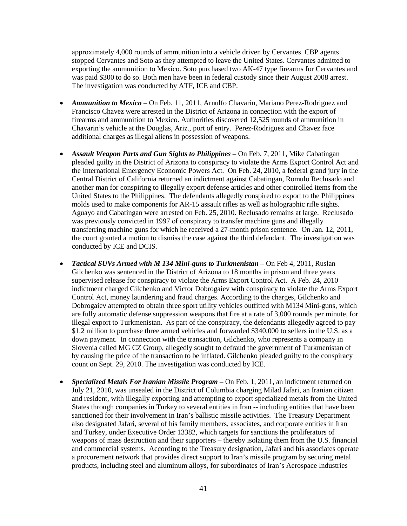approximately 4,000 rounds of ammunition into a vehicle driven by Cervantes. CBP agents stopped Cervantes and Soto as they attempted to leave the United States. Cervantes admitted to exporting the ammunition to Mexico. Soto purchased two AK-47 type firearms for Cervantes and was paid \$300 to do so. Both men have been in federal custody since their August 2008 arrest. The investigation was conducted by ATF, ICE and CBP.

- *Ammunition to Mexico* On Feb. 11, 2011, Arnulfo Chavarin, Mariano Perez-Rodriguez and Francisco Chavez were arrested in the District of Arizona in connection with the export of firearms and ammunition to Mexico. Authorities discovered 12,525 rounds of ammunition in Chavarin's vehicle at the Douglas, Ariz., port of entry. Perez-Rodriguez and Chavez face additional charges as illegal aliens in possession of weapons.
- *Assault Weapon Parts and Gun Sights to Philippines* On Feb. 7, 2011, Mike Cabatingan pleaded guilty in the District of Arizona to conspiracy to violate the Arms Export Control Act and the International Emergency Economic Powers Act. On Feb. 24, 2010, a federal grand jury in the Central District of California returned an indictment against Cabatingan, Romulo Reclusado and another man for conspiring to illegally export defense articles and other controlled items from the United States to the Philippines. The defendants allegedly conspired to export to the Philippines molds used to make components for AR-15 assault rifles as well as holographic rifle sights. Aguayo and Cabatingan were arrested on Feb. 25, 2010. Reclusado remains at large. Reclusado was previously convicted in 1997 of conspiracy to transfer machine guns and illegally transferring machine guns for which he received a 27-month prison sentence. On Jan. 12, 2011, the court granted a motion to dismiss the case against the third defendant. The investigation was conducted by ICE and DCIS.
- *Tactical SUVs Armed with M 134 Mini-guns to Turkmenistan* On Feb 4, 2011, Ruslan Gilchenko was sentenced in the District of Arizona to 18 months in prison and three years supervised release for conspiracy to violate the Arms Export Control Act. A Feb. 24, 2010 indictment charged Gilchenko and Victor Dobrogaiev with conspiracy to violate the Arms Export Control Act, money laundering and fraud charges. According to the charges, Gilchenko and Dobrogaiev attempted to obtain three sport utility vehicles outfitted with M134 Mini-guns, which are fully automatic defense suppression weapons that fire at a rate of 3,000 rounds per minute, for illegal export to Turkmenistan. As part of the conspiracy, the defendants allegedly agreed to pay \$1.2 million to purchase three armed vehicles and forwarded \$340,000 to sellers in the U.S. as a down payment. In connection with the transaction, Gilchenko, who represents a company in Slovenia called MG CZ Group, allegedly sought to defraud the government of Turkmenistan of by causing the price of the transaction to be inflated. Gilchenko pleaded guilty to the conspiracy count on Sept. 29, 2010. The investigation was conducted by ICE.
- *Specialized Metals For Iranian Missile Program*  On Feb. 1, 2011, an indictment returned on July 21, 2010, was unsealed in the District of Columbia charging Milad Jafari, an Iranian citizen and resident, with illegally exporting and attempting to export specialized metals from the United States through companies in Turkey to several entities in Iran -- including entities that have been sanctioned for their involvement in Iran's ballistic missile activities. The Treasury Department also designated Jafari, several of his family members, associates, and corporate entities in Iran and Turkey, under Executive Order 13382, which targets for sanctions the proliferators of weapons of mass destruction and their supporters – thereby isolating them from the U.S. financial and commercial systems. According to the Treasury designation, Jafari and his associates operate a procurement network that provides direct support to Iran's missile program by securing metal products, including steel and aluminum alloys, for subordinates of Iran's Aerospace Industries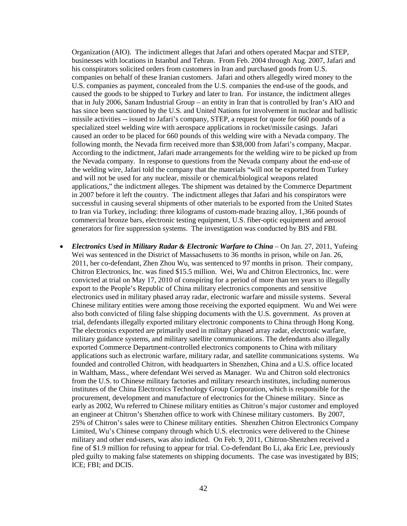Organization (AIO). The indictment alleges that Jafari and others operated Macpar and STEP, businesses with locations in Istanbul and Tehran. From Feb. 2004 through Aug. 2007, Jafari and his conspirators solicited orders from customers in Iran and purchased goods from U.S. companies on behalf of these Iranian customers. Jafari and others allegedly wired money to the U.S. companies as payment, concealed from the U.S. companies the end-use of the goods, and caused the goods to be shipped to Turkey and later to Iran. For instance, the indictment alleges that in July 2006, Sanam Industrial Group – an entity in Iran that is controlled by Iran's AIO and has since been sanctioned by the U.S. and United Nations for involvement in nuclear and ballistic missile activities -- issued to Jafari's company, STEP, a request for quote for 660 pounds of a specialized steel welding wire with aerospace applications in rocket/missile casings. Jafari caused an order to be placed for 660 pounds of this welding wire with a Nevada company. The following month, the Nevada firm received more than \$38,000 from Jafari's company, Macpar. According to the indictment, Jafari made arrangements for the welding wire to be picked up from the Nevada company. In response to questions from the Nevada company about the end-use of the welding wire, Jafari told the company that the materials "will not be exported from Turkey and will not be used for any nuclear, missile or chemical/biological weapons related applications," the indictment alleges. The shipment was detained by the Commerce Department in 2007 before it left the country. The indictment alleges that Jafari and his conspirators were successful in causing several shipments of other materials to be exported from the United States to Iran via Turkey, including: three kilograms of custom-made brazing alloy, 1,366 pounds of commercial bronze bars, electronic testing equipment, U.S. fiber-optic equipment and aerosol generators for fire suppression systems. The investigation was conducted by BIS and FBI.

• *Electronics Used in Military Radar & Electronic Warfare to China* – On Jan. 27, 2011, Yufeing Wei was sentenced in the District of Massachusetts to 36 months in prison, while on Jan. 26, 2011, her co-defendant, Zhen Zhou Wu, was sentenced to 97 months in prison. Their company, Chitron Electronics, Inc. was fined \$15.5 million. Wei, Wu and Chitron Electronics, Inc. were convicted at trial on May 17, 2010 of conspiring for a period of more than ten years to illegally export to the People's Republic of China military electronics components and sensitive electronics used in military phased array radar, electronic warfare and missile systems. Several Chinese military entities were among those receiving the exported equipment. Wu and Wei were also both convicted of filing false shipping documents with the U.S. government. As proven at trial, defendants illegally exported military electronic components to China through Hong Kong. The electronics exported are primarily used in military phased array radar, electronic warfare, military guidance systems, and military satellite communications. The defendants also illegally exported Commerce Department-controlled electronics components to China with military applications such as electronic warfare, military radar, and satellite communications systems. Wu founded and controlled Chitron, with headquarters in Shenzhen, China and a U.S. office located in Waltham, Mass., where defendant Wei served as Manager. Wu and Chitron sold electronics from the U.S. to Chinese military factories and military research institutes, including numerous institutes of the China Electronics Technology Group Corporation, which is responsible for the procurement, development and manufacture of electronics for the Chinese military. Since as early as 2002, Wu referred to Chinese military entities as Chitron's major customer and employed an engineer at Chitron's Shenzhen office to work with Chinese military customers. By 2007, 25% of Chitron's sales were to Chinese military entities. Shenzhen Chitron Electronics Company Limited, Wu's Chinese company through which U.S. electronics were delivered to the Chinese military and other end-users, was also indicted. On Feb. 9, 2011, Chitron-Shenzhen received a fine of \$1.9 million for refusing to appear for trial. Co-defendant Bo Li, aka Eric Lee, previously pled guilty to making false statements on shipping documents. The case was investigated by BIS; ICE; FBI; and DCIS.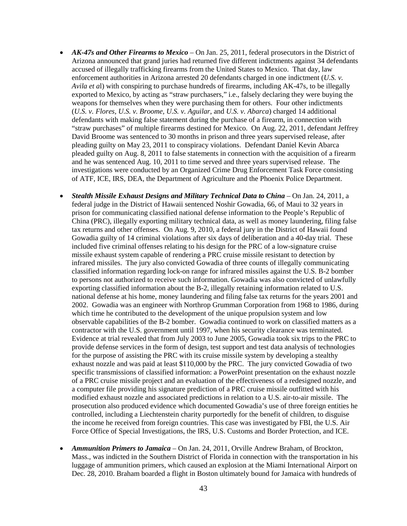- **AK-47s and Other Firearms to Mexico** On Jan. 25, 2011, federal prosecutors in the District of Arizona announced that grand juries had returned five different indictments against 34 defendants accused of illegally trafficking firearms from the United States to Mexico. That day, law enforcement authorities in Arizona arrested 20 defendants charged in one indictment (*U.S. v. Avila et a*l) with conspiring to purchase hundreds of firearms, including AK-47s, to be illegally exported to Mexico, by acting as "straw purchasers," i.e., falsely declaring they were buying the weapons for themselves when they were purchasing them for others. Four other indictments (*U.S. v. Flores, U.S. v. Broome, U.S. v. Aguilar*, and *U.S. v. Abarca*) charged 14 additional defendants with making false statement during the purchase of a firearm, in connection with "straw purchases" of multiple firearms destined for Mexico. On Aug. 22, 2011, defendant Jeffrey David Broome was sentenced to 30 months in prison and three years supervised release, after pleading guilty on May 23, 2011 to conspiracy violations. Defendant Daniel Kevin Abarca pleaded guilty on Aug. 8, 2011 to false statements in connection with the acquisition of a firearm and he was sentenced Aug. 10, 2011 to time served and three years supervised release. The investigations were conducted by an Organized Crime Drug Enforcement Task Force consisting of ATF, ICE, IRS, DEA, the Department of Agriculture and the Phoenix Police Department.
- *Stealth Missile Exhaust Designs and Military Technical Data to China* On Jan. 24, 2011, a federal judge in the District of Hawaii sentenced Noshir Gowadia, 66, of Maui to 32 years in prison for communicating classified national defense information to the People's Republic of China (PRC), illegally exporting military technical data, as well as money laundering, filing false tax returns and other offenses. On Aug. 9, 2010, a federal jury in the District of Hawaii found Gowadia guilty of 14 criminal violations after six days of deliberation and a 40-day trial. These included five criminal offenses relating to his design for the PRC of a low-signature cruise missile exhaust system capable of rendering a PRC cruise missile resistant to detection by infrared missiles. The jury also convicted Gowadia of three counts of illegally communicating classified information regarding lock-on range for infrared missiles against the U.S. B-2 bomber to persons not authorized to receive such information. Gowadia was also convicted of unlawfully exporting classified information about the B-2, illegally retaining information related to U.S. national defense at his home, money laundering and filing false tax returns for the years 2001 and 2002. Gowadia was an engineer with Northrop Grumman Corporation from 1968 to 1986, during which time he contributed to the development of the unique propulsion system and low observable capabilities of the B-2 bomber. Gowadia continued to work on classified matters as a contractor with the U.S. government until 1997, when his security clearance was terminated. Evidence at trial revealed that from July 2003 to June 2005, Gowadia took six trips to the PRC to provide defense services in the form of design, test support and test data analysis of technologies for the purpose of assisting the PRC with its cruise missile system by developing a stealthy exhaust nozzle and was paid at least \$110,000 by the PRC. The jury convicted Gowadia of two specific transmissions of classified information: a PowerPoint presentation on the exhaust nozzle of a PRC cruise missile project and an evaluation of the effectiveness of a redesigned nozzle, and a computer file providing his signature prediction of a PRC cruise missile outfitted with his modified exhaust nozzle and associated predictions in relation to a U.S. air-to-air missile. The prosecution also produced evidence which documented Gowadia's use of three foreign entities he controlled, including a Liechtenstein charity purportedly for the benefit of children, to disguise the income he received from foreign countries. This case was investigated by FBI, the U.S. Air Force Office of Special Investigations, the IRS, U.S. Customs and Border Protection, and ICE.
- *Ammunition Primers to Jamaica* On Jan. 24, 2011, Orville Andrew Braham, of Brockton, Mass., was indicted in the Southern District of Florida in connection with the transportation in his luggage of ammunition primers, which caused an explosion at the Miami International Airport on Dec. 28, 2010. Braham boarded a flight in Boston ultimately bound for Jamaica with hundreds of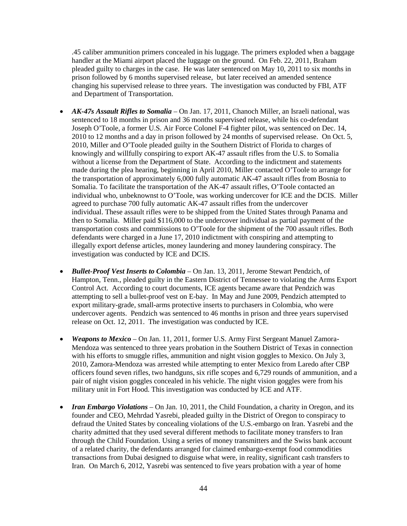.45 caliber ammunition primers concealed in his luggage. The primers exploded when a baggage handler at the Miami airport placed the luggage on the ground. On Feb. 22, 2011, Braham pleaded guilty to charges in the case. He was later sentenced on May 10, 2011 to six months in prison followed by 6 months supervised release, but later received an amended sentence changing his supervised release to three years. The investigation was conducted by FBI, ATF and Department of Transportation.

- *AK-47s Assault Rifles to Somalia*  On Jan. 17, 2011, Chanoch Miller, an Israeli national, was sentenced to 18 months in prison and 36 months supervised release, while his co-defendant Joseph O'Toole, a former U.S. Air Force Colonel F-4 fighter pilot, was sentenced on Dec. 14, 2010 to 12 months and a day in prison followed by 24 months of supervised release. On Oct. 5, 2010, Miller and O'Toole pleaded guilty in the Southern District of Florida to charges of knowingly and willfully conspiring to export AK-47 assault rifles from the U.S. to Somalia without a license from the Department of State. According to the indictment and statements made during the plea hearing, beginning in April 2010, Miller contacted O'Toole to arrange for the transportation of approximately 6,000 fully automatic AK-47 assault rifles from Bosnia to Somalia. To facilitate the transportation of the AK-47 assault rifles, O'Toole contacted an individual who, unbeknownst to O'Toole, was working undercover for ICE and the DCIS. Miller agreed to purchase 700 fully automatic AK-47 assault rifles from the undercover individual. These assault rifles were to be shipped from the United States through Panama and then to Somalia. Miller paid \$116,000 to the undercover individual as partial payment of the transportation costs and commissions to O'Toole for the shipment of the 700 assault rifles. Both defendants were charged in a June 17, 2010 indictment with conspiring and attempting to illegally export defense articles, money laundering and money laundering conspiracy. The investigation was conducted by ICE and DCIS.
- *Bullet-Proof Vest Inserts to Colombia*  On Jan. 13, 2011, Jerome Stewart Pendzich, of Hampton, Tenn., pleaded guilty in the Eastern District of Tennessee to violating the Arms Export Control Act. According to court documents, ICE agents became aware that Pendzich was attempting to sell a bullet-proof vest on E-bay. In May and June 2009, Pendzich attempted to export military-grade, small-arms protective inserts to purchasers in Colombia, who were undercover agents. Pendzich was sentenced to 46 months in prison and three years supervised release on Oct. 12, 2011. The investigation was conducted by ICE.
- *Weapons to Mexico* On Jan. 11, 2011, former U.S. Army First Sergeant Manuel Zamora-Mendoza was sentenced to three years probation in the Southern District of Texas in connection with his efforts to smuggle rifles, ammunition and night vision goggles to Mexico. On July 3, 2010, Zamora-Mendoza was arrested while attempting to enter Mexico from Laredo after CBP officers found seven rifles, two handguns, six rifle scopes and 6,729 rounds of ammunition, and a pair of night vision goggles concealed in his vehicle. The night vision goggles were from his military unit in Fort Hood. This investigation was conducted by ICE and ATF.
- *Iran Embargo Violations* On Jan. 10, 2011, the Child Foundation, a charity in Oregon, and its founder and CEO, Mehrdad Yasrebi, pleaded guilty in the District of Oregon to conspiracy to defraud the United States by concealing violations of the U.S.-embargo on Iran. Yasrebi and the charity admitted that they used several different methods to facilitate money transfers to Iran through the Child Foundation. Using a series of money transmitters and the Swiss bank account of a related charity, the defendants arranged for claimed embargo-exempt food commodities transactions from Dubai designed to disguise what were, in reality, significant cash transfers to Iran. On March 6, 2012, Yasrebi was sentenced to five years probation with a year of home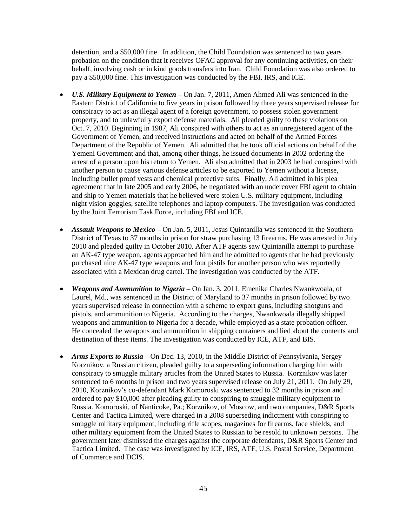detention, and a \$50,000 fine. In addition, the Child Foundation was sentenced to two years probation on the condition that it receives OFAC approval for any continuing activities, on their behalf, involving cash or in kind goods transfers into Iran. Child Foundation was also ordered to pay a \$50,000 fine. This investigation was conducted by the FBI, IRS, and ICE.

- *U.S. Military Equipment to Yemen* On Jan. 7, 2011, Amen Ahmed Ali was sentenced in the Eastern District of California to five years in prison followed by three years supervised release for conspiracy to act as an illegal agent of a foreign government, to possess stolen government property, and to unlawfully export defense materials. Ali pleaded guilty to these violations on Oct. 7, 2010. Beginning in 1987, Ali conspired with others to act as an unregistered agent of the Government of Yemen, and received instructions and acted on behalf of the Armed Forces Department of the Republic of Yemen. Ali admitted that he took official actions on behalf of the Yemeni Government and that, among other things, he issued documents in 2002 ordering the arrest of a person upon his return to Yemen. Ali also admitted that in 2003 he had conspired with another person to cause various defense articles to be exported to Yemen without a license, including bullet proof vests and chemical protective suits. Finally, Ali admitted in his plea agreement that in late 2005 and early 2006, he negotiated with an undercover FBI agent to obtain and ship to Yemen materials that he believed were stolen U.S. military equipment, including night vision goggles, satellite telephones and laptop computers. The investigation was conducted by the Joint Terrorism Task Force, including FBI and ICE.
- *Assault Weapons to Mexico* On Jan. 5, 2011, Jesus Quintanilla was sentenced in the Southern District of Texas to 37 months in prison for straw purchasing 13 firearms. He was arrested in July 2010 and pleaded guilty in October 2010. After ATF agents saw Quintanilla attempt to purchase an AK-47 type weapon, agents approached him and he admitted to agents that he had previously purchased nine AK-47 type weapons and four pistils for another person who was reportedly associated with a Mexican drug cartel. The investigation was conducted by the ATF.
- *Weapons and Ammunition to Nigeria* On Jan. 3, 2011, Emenike Charles Nwankwoala, of Laurel, Md., was sentenced in the District of Maryland to 37 months in prison followed by two years supervised release in connection with a scheme to export guns, including shotguns and pistols, and ammunition to Nigeria. According to the charges, Nwankwoala illegally shipped weapons and ammunition to Nigeria for a decade, while employed as a state probation officer. He concealed the weapons and ammunition in shipping containers and lied about the contents and destination of these items. The investigation was conducted by ICE, ATF, and BIS.
- *Arms Exports to Russia* On Dec. 13, 2010, in the Middle District of Pennsylvania, Sergey Korznikov, a Russian citizen, pleaded guilty to a superseding information charging him with conspiracy to smuggle military articles from the United States to Russia. Korznikov was later sentenced to 6 months in prison and two years supervised release on July 21, 2011. On July 29, 2010, Korznikov's co-defendant Mark Komoroski was sentenced to 32 months in prison and ordered to pay \$10,000 after pleading guilty to conspiring to smuggle military equipment to Russia. Komoroski, of Nanticoke, Pa.; Korznikov, of Moscow, and two companies, D&R Sports Center and Tactica Limited, were charged in a 2008 superseding indictment with conspiring to smuggle military equipment, including rifle scopes, magazines for firearms, face shields, and other military equipment from the United States to Russian to be resold to unknown persons. The government later dismissed the charges against the corporate defendants, D&R Sports Center and Tactica Limited. The case was investigated by ICE, IRS, ATF, U.S. Postal Service, Department of Commerce and DCIS.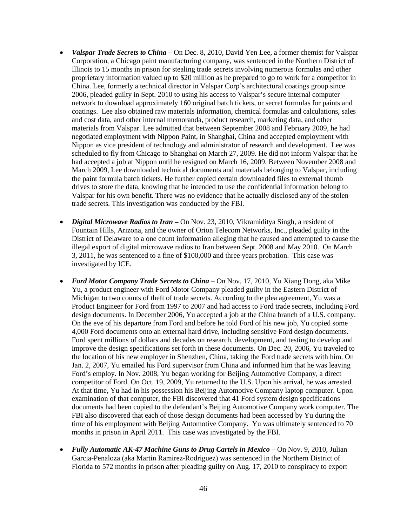- *Valspar Trade Secrets to China* On Dec. 8, 2010, David Yen Lee, a former chemist for Valspar Corporation, a Chicago paint manufacturing company, was sentenced in the Northern District of Illinois to 15 months in prison for stealing trade secrets involving numerous formulas and other proprietary information valued up to \$20 million as he prepared to go to work for a competitor in China. Lee, formerly a technical director in Valspar Corp's architectural coatings group since 2006, pleaded guilty in Sept. 2010 to using his access to Valspar's secure internal computer network to download approximately 160 original batch tickets, or secret formulas for paints and coatings. Lee also obtained raw materials information, chemical formulas and calculations, sales and cost data, and other internal memoranda, product research, marketing data, and other materials from Valspar. Lee admitted that between September 2008 and February 2009, he had negotiated employment with Nippon Paint, in Shanghai, China and accepted employment with Nippon as vice president of technology and administrator of research and development. Lee was scheduled to fly from Chicago to Shanghai on March 27, 2009. He did not inform Valspar that he had accepted a job at Nippon until he resigned on March 16, 2009. Between November 2008 and March 2009, Lee downloaded technical documents and materials belonging to Valspar, including the paint formula batch tickets. He further copied certain downloaded files to external thumb drives to store the data, knowing that he intended to use the confidential information belong to Valspar for his own benefit. There was no evidence that he actually disclosed any of the stolen trade secrets. This investigation was conducted by the FBI.
- *Digital Microwave Radios to Iran* On Nov. 23, 2010, Vikramiditya Singh, a resident of Fountain Hills, Arizona, and the owner of Orion Telecom Networks, Inc., pleaded guilty in the District of Delaware to a one count information alleging that he caused and attempted to cause the illegal export of digital microwave radios to Iran between Sept. 2008 and May 2010. On March 3, 2011, he was sentenced to a fine of \$100,000 and three years probation. This case was investigated by ICE.
- *Ford Motor Company Trade Secrets to China* On Nov. 17, 2010, Yu Xiang Dong, aka Mike Yu, a product engineer with Ford Motor Company pleaded guilty in the Eastern District of Michigan to two counts of theft of trade secrets. According to the plea agreement, Yu was a Product Engineer for Ford from 1997 to 2007 and had access to Ford trade secrets, including Ford design documents. In December 2006, Yu accepted a job at the China branch of a U.S. company. On the eve of his departure from Ford and before he told Ford of his new job, Yu copied some 4,000 Ford documents onto an external hard drive, including sensitive Ford design documents. Ford spent millions of dollars and decades on research, development, and testing to develop and improve the design specifications set forth in these documents. On Dec. 20, 2006, Yu traveled to the location of his new employer in Shenzhen, China, taking the Ford trade secrets with him. On Jan. 2, 2007, Yu emailed his Ford supervisor from China and informed him that he was leaving Ford's employ. In Nov. 2008, Yu began working for Beijing Automotive Company, a direct competitor of Ford. On Oct. 19, 2009, Yu returned to the U.S. Upon his arrival, he was arrested. At that time, Yu had in his possession his Beijing Automotive Company laptop computer. Upon examination of that computer, the FBI discovered that 41 Ford system design specifications documents had been copied to the defendant's Beijing Automotive Company work computer. The FBI also discovered that each of those design documents had been accessed by Yu during the time of his employment with Beijing Automotive Company. Yu was ultimately sentenced to 70 months in prison in April 2011. This case was investigated by the FBI.
- *Fully Automatic AK-47 Machine Guns to Drug Cartels in Mexico* On Nov. 9, 2010, Julian Garcia-Penaloza (aka Martin Ramirez-Rodriguez) was sentenced in the Northern District of Florida to 572 months in prison after pleading guilty on Aug. 17, 2010 to conspiracy to export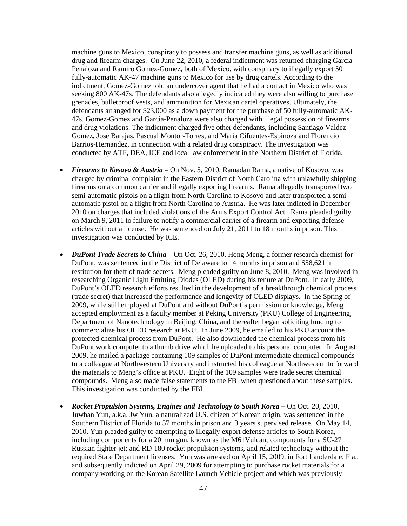machine guns to Mexico, conspiracy to possess and transfer machine guns, as well as additional drug and firearm charges. On June 22, 2010, a federal indictment was returned charging Garcia-Penaloza and Ramiro Gomez-Gomez, both of Mexico, with conspiracy to illegally export 50 fully-automatic AK-47 machine guns to Mexico for use by drug cartels. According to the indictment, Gomez-Gomez told an undercover agent that he had a contact in Mexico who was seeking 800 AK-47s. The defendants also allegedly indicated they were also willing to purchase grenades, bulletproof vests, and ammunition for Mexican cartel operatives. Ultimately, the defendants arranged for \$23,000 as a down payment for the purchase of 50 fully-automatic AK-47s. Gomez-Gomez and Garcia-Penaloza were also charged with illegal possession of firearms and drug violations. The indictment charged five other defendants, including Santiago Valdez-Gomez, Jose Barajas, Pascual Montor-Torres, and Maria Cifuentes-Espinoza and Florencio Barrios-Hernandez, in connection with a related drug conspiracy. The investigation was conducted by ATF, DEA, ICE and local law enforcement in the Northern District of Florida.

- *Firearms to Kosovo & Austria* On Nov. 5, 2010, Ramadan Rama, a native of Kosovo, was charged by criminal complaint in the Eastern District of North Carolina with unlawfully shipping firearms on a common carrier and illegally exporting firearms. Rama allegedly transported two semi-automatic pistols on a flight from North Carolina to Kosovo and later transported a semiautomatic pistol on a flight from North Carolina to Austria. He was later indicted in December 2010 on charges that included violations of the Arms Export Control Act. Rama pleaded guilty on March 9, 2011 to failure to notify a commercial carrier of a firearm and exporting defense articles without a license. He was sentenced on July 21, 2011 to 18 months in prison. This investigation was conducted by ICE.
- *DuPont Trade Secrets to China* On Oct. 26, 2010, Hong Meng, a former research chemist for DuPont, was sentenced in the District of Delaware to 14 months in prison and \$58,621 in restitution for theft of trade secrets. Meng pleaded guilty on June 8, 2010. Meng was involved in researching Organic Light Emitting Diodes (OLED) during his tenure at DuPont. In early 2009, DuPont's OLED research efforts resulted in the development of a breakthrough chemical process (trade secret) that increased the performance and longevity of OLED displays. In the Spring of 2009, while still employed at DuPont and without DuPont's permission or knowledge, Meng accepted employment as a faculty member at Peking University (PKU) College of Engineering, Department of Nanotechnology in Beijing, China, and thereafter began soliciting funding to commercialize his OLED research at PKU. In June 2009, he emailed to his PKU account the protected chemical process from DuPont. He also downloaded the chemical process from his DuPont work computer to a thumb drive which he uploaded to his personal computer. In August 2009, he mailed a package containing 109 samples of DuPont intermediate chemical compounds to a colleague at Northwestern University and instructed his colleague at Northwestern to forward the materials to Meng's office at PKU. Eight of the 109 samples were trade secret chemical compounds. Meng also made false statements to the FBI when questioned about these samples. This investigation was conducted by the FBI.
- *Rocket Propulsion Systems, Engines and Technology to South Korea* On Oct. 20, 2010, Juwhan Yun, a.k.a. Jw Yun, a naturalized U.S. citizen of Korean origin, was sentenced in the Southern District of Florida to 57 months in prison and 3 years supervised release. On May 14, 2010, Yun pleaded guilty to attempting to illegally export defense articles to South Korea, including components for a 20 mm gun, known as the M61Vulcan; components for a SU-27 Russian fighter jet; and RD-180 rocket propulsion systems, and related technology without the required State Department licenses. Yun was arrested on April 15, 2009, in Fort Lauderdale, Fla., and subsequently indicted on April 29, 2009 for attempting to purchase rocket materials for a company working on the Korean Satellite Launch Vehicle project and which was previously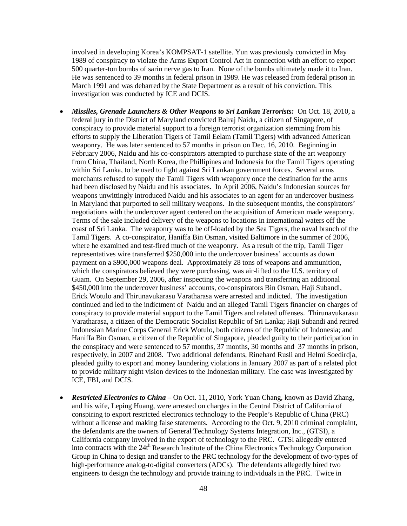involved in developing Korea's KOMPSAT-1 satellite. Yun was previously convicted in May 1989 of conspiracy to violate the Arms Export Control Act in connection with an effort to export 500 quarter-ton bombs of sarin nerve gas to Iran. None of the bombs ultimately made it to Iran. He was sentenced to 39 months in federal prison in 1989. He was released from federal prison in March 1991 and was debarred by the State Department as a result of his conviction. This investigation was conducted by ICE and DCIS.

- *Missiles, Grenade Launchers & Other Weapons to Sri Lankan Terrorists:* On Oct. 18, 2010, a federal jury in the District of Maryland convicted Balraj Naidu, a citizen of Singapore, of conspiracy to provide material support to a foreign terrorist organization stemming from his efforts to supply the Liberation Tigers of Tamil Eelam (Tamil Tigers) with advanced American weaponry. He was later sentenced to 57 months in prison on Dec. 16, 2010. Beginning in February 2006, Naidu and his co-conspirators attempted to purchase state of the art weaponry from China, Thailand, North Korea, the Phillipines and Indonesia for the Tamil Tigers operating within Sri Lanka, to be used to fight against Sri Lankan government forces. Several arms merchants refused to supply the Tamil Tigers with weaponry once the destination for the arms had been disclosed by Naidu and his associates. In April 2006, Naidu's Indonesian sources for weapons unwittingly introduced Naidu and his associates to an agent for an undercover business in Maryland that purported to sell military weapons. In the subsequent months, the conspirators' negotiations with the undercover agent centered on the acquisition of American made weaponry. Terms of the sale included delivery of the weapons to locations in international waters off the coast of Sri Lanka. The weaponry was to be off-loaded by the Sea Tigers, the naval branch of the Tamil Tigers. A co-conspirator, Haniffa Bin Osman, visited Baltimore in the summer of 2006, where he examined and test-fired much of the weaponry. As a result of the trip, Tamil Tiger representatives wire transferred \$250,000 into the undercover business' accounts as down payment on a \$900,000 weapons deal. Approximately 28 tons of weapons and ammunition, which the conspirators believed they were purchasing, was air-lifted to the U.S. territory of Guam. On September 29, 2006, after inspecting the weapons and transferring an additional \$450,000 into the undercover business' accounts, co-conspirators Bin Osman, Haji Subandi, Erick Wotulo and Thirunavukarasu Varatharasa were arrested and indicted. The investigation continued and led to the indictment of Naidu and an alleged Tamil Tigers financier on charges of conspiracy to provide material support to the Tamil Tigers and related offenses. Thirunavukarasu Varatharasa, a citizen of the Democratic Socialist Republic of Sri Lanka; Haji Subandi and retired Indonesian Marine Corps General Erick Wotulo, both citizens of the Republic of Indonesia; and Haniffa Bin Osman, a citizen of the Republic of Singapore, pleaded guilty to their participation in the conspiracy and were sentenced to 57 months, 37 months, 30 months and 37 months in prison, respectively, in 2007 and 2008. Two additional defendants, Rinehard Rusli and Helmi Soedirdja, pleaded guilty to export and money laundering violations in January 2007 as part of a related plot to provide military night vision devices to the Indonesian military. The case was investigated by ICE, FBI, and DCIS.
- *Restricted Electronics to China* On Oct. 11, 2010, York Yuan Chang, known as David Zhang, and his wife, Leping Huang, were arrested on charges in the Central District of California of conspiring to export restricted electronics technology to the People's Republic of China (PRC) without a license and making false statements. According to the Oct. 9, 2010 criminal complaint, the defendants are the owners of General Technology Systems Integration, Inc., (GTSI), a California company involved in the export of technology to the PRC. GTSI allegedly entered into contracts with the  $24t^h$  Research Institute of the China Electronics Technology Corporation Group in China to design and transfer to the PRC technology for the development of two-types of high-performance analog-to-digital converters (ADCs). The defendants allegedly hired two engineers to design the technology and provide training to individuals in the PRC. Twice in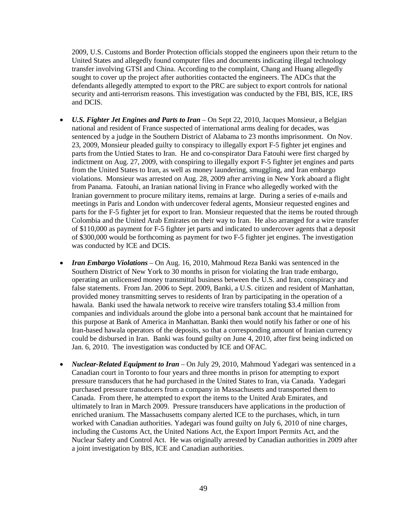2009, U.S. Customs and Border Protection officials stopped the engineers upon their return to the United States and allegedly found computer files and documents indicating illegal technology transfer involving GTSI and China. According to the complaint, Chang and Huang allegedly sought to cover up the project after authorities contacted the engineers. The ADCs that the defendants allegedly attempted to export to the PRC are subject to export controls for national security and anti-terrorism reasons. This investigation was conducted by the FBI, BIS, ICE, IRS and DCIS.

- *U.S. Fighter Jet Engines and Parts to Iran* On Sept 22, 2010, Jacques Monsieur, a Belgian national and resident of France suspected of international arms dealing for decades, was sentenced by a judge in the Southern District of Alabama to 23 months imprisonment. On Nov. 23, 2009, Monsieur pleaded guilty to conspiracy to illegally export F-5 fighter jet engines and parts from the Untied States to Iran. He and co-conspirator Dara Fatouhi were first charged by indictment on Aug. 27, 2009, with conspiring to illegally export F-5 fighter jet engines and parts from the United States to Iran, as well as money laundering, smuggling, and Iran embargo violations. Monsieur was arrested on Aug. 28, 2009 after arriving in New York aboard a flight from Panama. Fatouhi, an Iranian national living in France who allegedly worked with the Iranian government to procure military items, remains at large. During a series of e-mails and meetings in Paris and London with undercover federal agents, Monsieur requested engines and parts for the F-5 fighter jet for export to Iran. Monsieur requested that the items be routed through Colombia and the United Arab Emirates on their way to Iran. He also arranged for a wire transfer of \$110,000 as payment for F-5 fighter jet parts and indicated to undercover agents that a deposit of \$300,000 would be forthcoming as payment for two F-5 fighter jet engines. The investigation was conducted by ICE and DCIS.
- *Iran Embargo Violations* On Aug. 16, 2010, Mahmoud Reza Banki was sentenced in the Southern District of New York to 30 months in prison for violating the Iran trade embargo, operating an unlicensed money transmittal business between the U.S. and Iran, conspiracy and false statements. From Jan. 2006 to Sept. 2009, Banki, a U.S. citizen and resident of Manhattan, provided money transmitting serves to residents of Iran by participating in the operation of a hawala. Banki used the hawala network to receive wire transfers totaling \$3.4 million from companies and individuals around the globe into a personal bank account that he maintained for this purpose at Bank of America in Manhattan. Banki then would notify his father or one of his Iran-based hawala operators of the deposits, so that a corresponding amount of Iranian currency could be disbursed in Iran. Banki was found guilty on June 4, 2010, after first being indicted on Jan. 6, 2010. The investigation was conducted by ICE and OFAC.
- *Nuclear-Related Equipment to Iran* On July 29, 2010, Mahmoud Yadegari was sentenced in a Canadian court in Toronto to four years and three months in prison for attempting to export pressure transducers that he had purchased in the United States to Iran, via Canada. Yadegari purchased pressure transducers from a company in Massachusetts and transported them to Canada. From there, he attempted to export the items to the United Arab Emirates, and ultimately to Iran in March 2009. Pressure transducers have applications in the production of enriched uranium. The Massachusetts company alerted ICE to the purchases, which, in turn worked with Canadian authorities. Yadegari was found guilty on July 6, 2010 of nine charges, including the Customs Act, the United Nations Act, the Export Import Permits Act, and the Nuclear Safety and Control Act. He was originally arrested by Canadian authorities in 2009 after a joint investigation by BIS, ICE and Canadian authorities.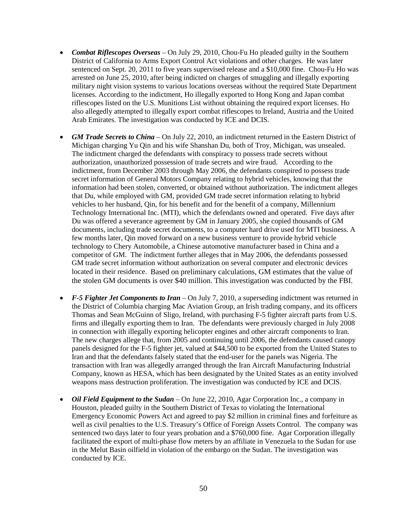- *Combat Riflescopes Overseas* On July 29, 2010, Chou-Fu Ho pleaded guilty in the Southern District of California to Arms Export Control Act violations and other charges. He was later sentenced on Sept. 20, 2011 to five years supervised release and a \$10,000 fine. Chou-Fu Ho was arrested on June 25, 2010, after being indicted on charges of smuggling and illegally exporting military night vision systems to various locations overseas without the required State Department licenses. According to the indictment, Ho illegally exported to Hong Kong and Japan combat riflescopes listed on the U.S. Munitions List without obtaining the required export licenses. Ho also allegedly attempted to illegally export combat riflescopes to Ireland, Austria and the United Arab Emirates. The investigation was conducted by ICE and DCIS.
- *GM Trade Secrets to China* On July 22, 2010, an indictment returned in the Eastern District of Michigan charging Yu Qin and his wife Shanshan Du, both of Troy, Michigan, was unsealed. The indictment charged the defendants with conspiracy to possess trade secrets without authorization, unauthorized possession of trade secrets and wire fraud. According to the indictment, from December 2003 through May 2006, the defendants conspired to possess trade secret information of General Motors Company relating to hybrid vehicles, knowing that the information had been stolen, converted, or obtained without authorization. The indictment alleges that Du, while employed with GM, provided GM trade secret information relating to hybrid vehicles to her husband, Qin, for his benefit and for the benefit of a company, Millennium Technology International Inc. (MTI), which the defendants owned and operated. Five days after Du was offered a severance agreement by GM in January 2005, she copied thousands of GM documents, including trade secret documents, to a computer hard drive used for MTI business. A few months later, Qin moved forward on a new business venture to provide hybrid vehicle technology to Chery Automobile, a Chinese automotive manufacturer based in China and a competitor of GM. The indictment further alleges that in May 2006, the defendants possessed GM trade secret information without authorization on several computer and electronic devices located in their residence. Based on preliminary calculations, GM estimates that the value of the stolen GM documents is over \$40 million. This investigation was conducted by the FBI.
- *F-5 Fighter Jet Components to Iran* On July 7, 2010, a superseding indictment was returned in the District of Columbia charging Mac Aviation Group, an Irish trading company, and its officers Thomas and Sean McGuinn of Sligo, Ireland, with purchasing F-5 fighter aircraft parts from U.S. firms and illegally exporting them to Iran. The defendants were previously charged in July 2008 in connection with illegally exporting helicopter engines and other aircraft components to Iran. The new charges allege that, from 2005 and continuing until 2006, the defendants caused canopy panels designed for the F-5 fighter jet, valued at \$44,500 to be exported from the United States to Iran and that the defendants falsely stated that the end-user for the panels was Nigeria. The transaction with Iran was allegedly arranged through the Iran Aircraft Manufacturing Industrial Company, known as HESA, which has been designated by the United States as an entity involved weapons mass destruction proliferation. The investigation was conducted by ICE and DCIS.
- *Oil Field Equipment to the Sudan* On June 22, 2010, Agar Corporation Inc., a company in Houston, pleaded guilty in the Southern District of Texas to violating the International Emergency Economic Powers Act and agreed to pay \$2 million in criminal fines and forfeiture as well as civil penalties to the U.S. Treasury's Office of Foreign Assets Control. The company was sentenced two days later to four years probation and a \$760,000 fine. Agar Corporation illegally facilitated the export of multi-phase flow meters by an affiliate in Venezuela to the Sudan for use in the Melut Basin oilfield in violation of the embargo on the Sudan. The investigation was conducted by ICE.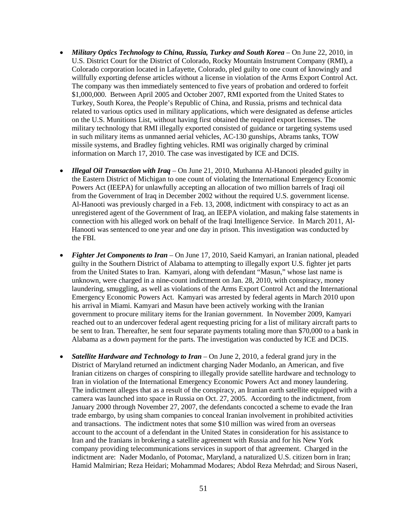- *Military Optics Technology to China, Russia, Turkey and South Korea* On June 22, 2010, in U.S. District Court for the District of Colorado, Rocky Mountain Instrument Company (RMI), a Colorado corporation located in Lafayette, Colorado, pled guilty to one count of knowingly and willfully exporting defense articles without a license in violation of the Arms Export Control Act. The company was then immediately sentenced to five years of probation and ordered to forfeit \$1,000,000. Between April 2005 and October 2007, RMI exported from the United States to Turkey, South Korea, the People's Republic of China, and Russia, prisms and technical data related to various optics used in military applications, which were designated as defense articles on the U.S. Munitions List, without having first obtained the required export licenses. The military technology that RMI illegally exported consisted of guidance or targeting systems used in such military items as unmanned aerial vehicles, AC-130 gunships, Abrams tanks, TOW missile systems, and Bradley fighting vehicles. RMI was originally charged by criminal information on March 17, 2010. The case was investigated by ICE and DCIS.
- *Illegal Oil Transaction with Iraq* On June 21, 2010, Muthanna Al-Hanooti pleaded guilty in the Eastern District of Michigan to one count of violating the International Emergency Economic Powers Act (IEEPA) for unlawfully accepting an allocation of two million barrels of Iraqi oil from the Government of Iraq in December 2002 without the required U.S. government license. Al-Hanooti was previously charged in a Feb. 13, 2008, indictment with conspiracy to act as an unregistered agent of the Government of Iraq, an IEEPA violation, and making false statements in connection with his alleged work on behalf of the Iraqi Intelligence Service. In March 2011, Al-Hanooti was sentenced to one year and one day in prison. This investigation was conducted by the FBI.
- *Fighter Jet Components to Iran* On June 17, 2010, Saeid Kamyari, an Iranian national, pleaded guilty in the Southern District of Alabama to attempting to illegally export U.S. fighter jet parts from the United States to Iran. Kamyari, along with defendant "Masun," whose last name is unknown, were charged in a nine-count indictment on Jan. 28, 2010, with conspiracy, money laundering, smuggling, as well as violations of the Arms Export Control Act and the International Emergency Economic Powers Act. Kamyari was arrested by federal agents in March 2010 upon his arrival in Miami. Kamyari and Masun have been actively working with the Iranian government to procure military items for the Iranian government. In November 2009, Kamyari reached out to an undercover federal agent requesting pricing for a list of military aircraft parts to be sent to Iran. Thereafter, he sent four separate payments totaling more than \$70,000 to a bank in Alabama as a down payment for the parts. The investigation was conducted by ICE and DCIS.
- *Satellite Hardware and Technology to Iran* On June 2, 2010, a federal grand jury in the District of Maryland returned an indictment charging Nader Modanlo, an American, and five Iranian citizens on charges of conspiring to illegally provide satellite hardware and technology to Iran in violation of the International Emergency Economic Powers Act and money laundering. The indictment alleges that as a result of the conspiracy, an Iranian earth satellite equipped with a camera was launched into space in Russia on Oct. 27, 2005. According to the indictment, from January 2000 through November 27, 2007, the defendants concocted a scheme to evade the Iran trade embargo, by using sham companies to conceal Iranian involvement in prohibited activities and transactions. The indictment notes that some \$10 million was wired from an overseas account to the account of a defendant in the United States in consideration for his assistance to Iran and the Iranians in brokering a satellite agreement with Russia and for his New York company providing telecommunications services in support of that agreement. Charged in the indictment are: Nader Modanlo, of Potomac, Maryland, a naturalized U.S. citizen born in Iran; Hamid Malmirian; Reza Heidari; Mohammad Modares; Abdol Reza Mehrdad; and Sirous Naseri,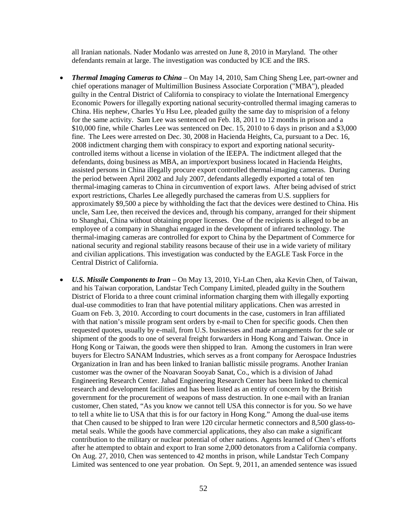all Iranian nationals. Nader Modanlo was arrested on June 8, 2010 in Maryland. The other defendants remain at large. The investigation was conducted by ICE and the IRS.

- *Thermal Imaging Cameras to China* On May 14, 2010, Sam Ching Sheng Lee, part-owner and chief operations manager of Multimillion Business Associate Corporation ("MBA"), pleaded guilty in the Central District of California to conspiracy to violate the International Emergency Economic Powers for illegally exporting national security-controlled thermal imaging cameras to China. His nephew, Charles Yu Hsu Lee, pleaded guilty the same day to misprision of a felony for the same activity. Sam Lee was sentenced on Feb. 18, 2011 to 12 months in prison and a \$10,000 fine, while Charles Lee was sentenced on Dec. 15, 2010 to 6 days in prison and a \$3,000 fine. The Lees were arrested on Dec. 30, 2008 in Hacienda Heights, Ca, pursuant to a Dec. 16, 2008 indictment charging them with conspiracy to export and exporting national securitycontrolled items without a license in violation of the IEEPA. The indictment alleged that the defendants, doing business as MBA, an import/export business located in Hacienda Heights, assisted persons in China illegally procure export controlled thermal-imaging cameras. During the period between April 2002 and July 2007, defendants allegedly exported a total of ten thermal-imaging cameras to China in circumvention of export laws. After being advised of strict export restrictions, Charles Lee allegedly purchased the cameras from U.S. suppliers for approximately \$9,500 a piece by withholding the fact that the devices were destined to China. His uncle, Sam Lee, then received the devices and, through his company, arranged for their shipment to Shanghai, China without obtaining proper licenses. One of the recipients is alleged to be an employee of a company in Shanghai engaged in the development of infrared technology. The thermal-imaging cameras are controlled for export to China by the Department of Commerce for national security and regional stability reasons because of their use in a wide variety of military and civilian applications. This investigation was conducted by the EAGLE Task Force in the Central District of California.
- *U.S. Missile Components to Iran* On May 13, 2010, Yi-Lan Chen, aka Kevin Chen, of Taiwan, and his Taiwan corporation, Landstar Tech Company Limited, pleaded guilty in the Southern District of Florida to a three count criminal information charging them with illegally exporting dual-use commodities to Iran that have potential military applications. Chen was arrested in Guam on Feb. 3, 2010. According to court documents in the case, customers in Iran affiliated with that nation's missile program sent orders by e-mail to Chen for specific goods. Chen then requested quotes, usually by e-mail, from U.S. businesses and made arrangements for the sale or shipment of the goods to one of several freight forwarders in Hong Kong and Taiwan. Once in Hong Kong or Taiwan, the goods were then shipped to Iran. Among the customers in Iran were buyers for Electro SANAM Industries, which serves as a front company for Aerospace Industries Organization in Iran and has been linked to Iranian ballistic missile programs. Another Iranian customer was the owner of the Noavaran Sooyab Sanat, Co., which is a division of Jahad Engineering Research Center. Jahad Engineering Research Center has been linked to chemical research and development facilities and has been listed as an entity of concern by the British government for the procurement of weapons of mass destruction. In one e-mail with an Iranian customer, Chen stated, "As you know we cannot tell USA this connector is for you. So we have to tell a white lie to USA that this is for our factory in Hong Kong." Among the dual-use items that Chen caused to be shipped to Iran were 120 circular hermetic connectors and 8,500 glass-tometal seals. While the goods have commercial applications, they also can make a significant contribution to the military or nuclear potential of other nations. Agents learned of Chen's efforts after he attempted to obtain and export to Iran some 2,000 detonators from a California company. On Aug. 27, 2010, Chen was sentenced to 42 months in prison, while Landstar Tech Company Limited was sentenced to one year probation. On Sept. 9, 2011, an amended sentence was issued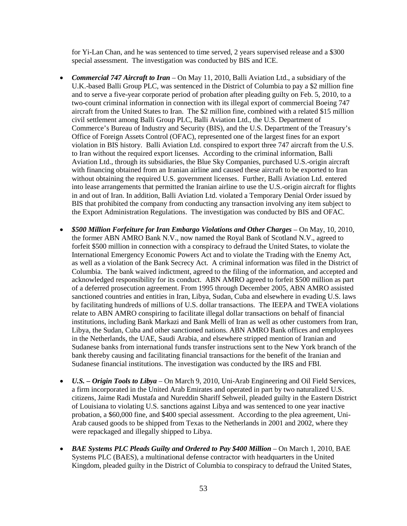for Yi-Lan Chan, and he was sentenced to time served, 2 years supervised release and a \$300 special assessment. The investigation was conducted by BIS and ICE.

- *Commercial 747 Aircraft to Iran* On May 11, 2010, Balli Aviation Ltd., a subsidiary of the U.K.-based Balli Group PLC, was sentenced in the District of Columbia to pay a \$2 million fine and to serve a five-year corporate period of probation after pleading guilty on Feb. 5, 2010, to a two-count criminal information in connection with its illegal export of commercial Boeing 747 aircraft from the United States to Iran. The \$2 million fine, combined with a related \$15 million civil settlement among Balli Group PLC, Balli Aviation Ltd., the U.S. Department of Commerce's Bureau of Industry and Security (BIS), and the U.S. Department of the Treasury's Office of Foreign Assets Control (OFAC), represented one of the largest fines for an export violation in BIS history. Balli Aviation Ltd. conspired to export three 747 aircraft from the U.S. to Iran without the required export licenses. According to the criminal information, Balli Aviation Ltd., through its subsidiaries, the Blue Sky Companies, purchased U.S.-origin aircraft with financing obtained from an Iranian airline and caused these aircraft to be exported to Iran without obtaining the required U.S. government licenses. Further, Balli Aviation Ltd. entered into lease arrangements that permitted the Iranian airline to use the U.S.-origin aircraft for flights in and out of Iran. In addition, Balli Aviation Ltd. violated a Temporary Denial Order issued by BIS that prohibited the company from conducting any transaction involving any item subject to the Export Administration Regulations. The investigation was conducted by BIS and OFAC.
- *\$500 Million Forfeiture for Iran Embargo Violations and Other Charges* On May, 10, 2010, the former ABN AMRO Bank N.V., now named the Royal Bank of Scotland N.V., agreed to forfeit \$500 million in connection with a conspiracy to defraud the United States, to violate the International Emergency Economic Powers Act and to violate the Trading with the Enemy Act, as well as a violation of the Bank Secrecy Act. A criminal information was filed in the District of Columbia. The bank waived indictment, agreed to the filing of the information, and accepted and acknowledged responsibility for its conduct. ABN AMRO agreed to forfeit \$500 million as part of a deferred prosecution agreement. From 1995 through December 2005, ABN AMRO assisted sanctioned countries and entities in Iran, Libya, Sudan, Cuba and elsewhere in evading U.S. laws by facilitating hundreds of millions of U.S. dollar transactions. The IEEPA and TWEA violations relate to ABN AMRO conspiring to facilitate illegal dollar transactions on behalf of financial institutions, including Bank Markazi and Bank Melli of Iran as well as other customers from Iran, Libya, the Sudan, Cuba and other sanctioned nations. ABN AMRO Bank offices and employees in the Netherlands, the UAE, Saudi Arabia, and elsewhere stripped mention of Iranian and Sudanese banks from international funds transfer instructions sent to the New York branch of the bank thereby causing and facilitating financial transactions for the benefit of the Iranian and Sudanese financial institutions. The investigation was conducted by the IRS and FBI.
- *U.S. – Origin Tools to Libya* On March 9, 2010, Uni-Arab Engineering and Oil Field Services, a firm incorporated in the United Arab Emirates and operated in part by two naturalized U.S. citizens, Jaime Radi Mustafa and Nureddin Shariff Sehweil, pleaded guilty in the Eastern District of Louisiana to violating U.S. sanctions against Libya and was sentenced to one year inactive probation, a \$60,000 fine, and \$400 special assessment. According to the plea agreement, Uni-Arab caused goods to be shipped from Texas to the Netherlands in 2001 and 2002, where they were repackaged and illegally shipped to Libya.
- *BAE Systems PLC Pleads Guilty and Ordered to Pay \$400 Million* On March 1, 2010, BAE Systems PLC (BAES), a multinational defense contractor with headquarters in the United Kingdom, pleaded guilty in the District of Columbia to conspiracy to defraud the United States,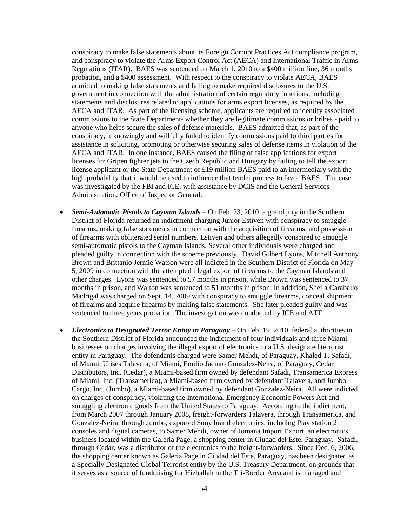conspiracy to make false statements about its Foreign Corrupt Practices Act compliance program, and conspiracy to violate the Arms Export Control Act (AECA) and International Traffic in Arms Regulations (ITAR). BAES was sentenced on March 1, 2010 to a \$400 million fine, 36 months probation, and a \$400 assessment. With respect to the conspiracy to violate AECA, BAES admitted to making false statements and failing to make required disclosures to the U.S. government in connection with the administration of certain regulatory functions, including statements and disclosures related to applications for arms export licenses, as required by the AECA and ITAR. As part of the licensing scheme, applicants are required to identify associated commissions to the State Department- whether they are legitimate commissions or bribes - paid to anyone who helps secure the sales of defense materials. BAES admitted that, as part of the conspiracy, it knowingly and willfully failed to identify commissions paid to third parties for assistance in soliciting, promoting or otherwise securing sales of defense items in violation of the AECA and ITAR. In one instance, BAES caused the filing of false applications for export licenses for Gripen fighter jets to the Czech Republic and Hungary by failing to tell the export license applicant or the State Department of £19 million BAES paid to an intermediary with the high probability that it would be used to influence that tender process to favor BAES. The case was investigated by the FBI and ICE, with assistance by DCIS and the General Services Administration, Office of Inspector General.

- *Semi-Automatic Pistols to Cayman Islands* On Feb. 23, 2010, a grand jury in the Southern District of Florida returned an indictment charging Junior Estiven with conspiracy to smuggle firearms, making false statements in connection with the acquisition of firearms, and possession of firearms with obliterated serial numbers. Estiven and others allegedly conspired to smuggle semi-automatic pistols to the Cayman Islands. Several other individuals were charged and pleaded guilty in connection with the scheme previously. David Gilbert Lyons, Mitchell Anthony Brown and Brittanio Jermie Watson were all indicted in the Southern District of Florida on May 5, 2009 in connection with the attempted illegal export of firearms to the Cayman Islands and other charges. Lyons was sentenced to 57 months in prison, while Brown was sentenced to 37 months in prison, and Walton was sentenced to 51 months in prison. In addition, Sheila Caraballo Madrigal was charged on Sept. 14, 2009 with conspiracy to smuggle firearms, conceal shipment of firearms and acquire firearms by making false statements. She later pleaded guilty and was sentenced to three years probation. The investigation was conducted by ICE and ATF.
- *Electronics to Designated Terror Entity in Paraguay* On Feb. 19, 2010, federal authorities in the Southern District of Florida announced the indictment of four individuals and three Miami businesses on charges involving the illegal export of electronics to a U.S. designated terrorist entity in Paraguay. The defendants charged were Samer Mehdi, of Paraguay, Khaled T. Safadi, of Miami, Ulises Talavera, of Miami, Emilio Jacinto Gonzalez-Neira, of Paraguay, Cedar Distributors, Inc. (Cedar), a Miami-based firm owned by defendant Safadi, Transamerica Express of Miami, Inc. (Transamerica), a Miami-based firm owned by defendant Talavera, and Jumbo Cargo, Inc. (Jumbo), a Miami-based firm owned by defendant Gonzalez-Neira. All were indicted on charges of conspiracy, violating the International Emergency Economic Powers Act and smuggling electronic goods from the United States to Paraguay. According to the indictment, from March 2007 through January 2008, freight-forwarders Talavera, through Transamerica, and Gonzalez-Neira, through Jumbo, exported Sony brand electronics, including Play station 2 consoles and digital cameras, to Samer Mehdi, owner of Jomana Import Export, an electronics business located within the Galeria Page, a shopping center in Ciudad del Este, Paraguay. Safadi, through Cedar, was a distributor of the electronics to the freight-forwarders. Since Dec. 6, 2006, the shopping center known as Galeria Page in Ciudad del Este, Paraguay, has been designated as a Specially Designated Global Terrorist entity by the U.S. Treasury Department, on grounds that it serves as a source of fundraising for Hizballah in the Tri-Border Area and is managed and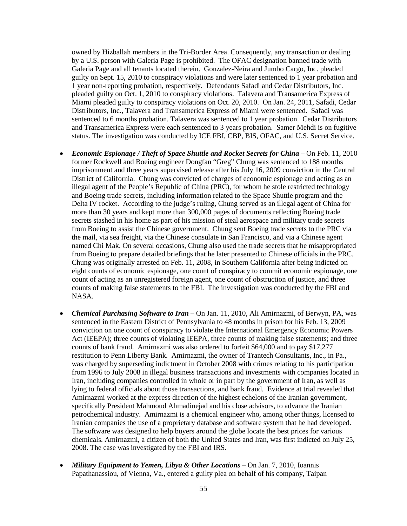owned by Hizballah members in the Tri-Border Area. Consequently, any transaction or dealing by a U.S. person with Galeria Page is prohibited. The OFAC designation banned trade with Galeria Page and all tenants located therein. Gonzalez-Neira and Jumbo Cargo, Inc. pleaded guilty on Sept. 15, 2010 to conspiracy violations and were later sentenced to 1 year probation and 1 year non-reporting probation, respectively. Defendants Safadi and Cedar Distributors, Inc. pleaded guilty on Oct. 1, 2010 to conspiracy violations. Talavera and Transamerica Express of Miami pleaded guilty to conspiracy violations on Oct. 20, 2010. On Jan. 24, 2011, Safadi, Cedar Distributors, Inc., Talavera and Transamerica Express of Miami were sentenced. Safadi was sentenced to 6 months probation. Talavera was sentenced to 1 year probation. Cedar Distributors and Transamerica Express were each sentenced to 3 years probation. Samer Mehdi is on fugitive status. The investigation was conducted by ICE FBI, CBP, BIS, OFAC, and U.S. Secret Service.

- *Economic Espionage / Theft of Space Shuttle and Rocket Secrets for China* On Feb. 11, 2010 former Rockwell and Boeing engineer Dongfan "Greg" Chung was sentenced to 188 months imprisonment and three years supervised release after his July 16, 2009 conviction in the Central District of California. Chung was convicted of charges of economic espionage and acting as an illegal agent of the People's Republic of China (PRC), for whom he stole restricted technology and Boeing trade secrets, including information related to the Space Shuttle program and the Delta IV rocket. According to the judge's ruling, Chung served as an illegal agent of China for more than 30 years and kept more than 300,000 pages of documents reflecting Boeing trade secrets stashed in his home as part of his mission of steal aerospace and military trade secrets from Boeing to assist the Chinese government. Chung sent Boeing trade secrets to the PRC via the mail, via sea freight, via the Chinese consulate in San Francisco, and via a Chinese agent named Chi Mak. On several occasions, Chung also used the trade secrets that he misappropriated from Boeing to prepare detailed briefings that he later presented to Chinese officials in the PRC. Chung was originally arrested on Feb. 11, 2008, in Southern California after being indicted on eight counts of economic espionage, one count of conspiracy to commit economic espionage, one count of acting as an unregistered foreign agent, one count of obstruction of justice, and three counts of making false statements to the FBI. The investigation was conducted by the FBI and NASA.
- *Chemical Purchasing Software to Iran* On Jan. 11, 2010, Ali Amirnazmi, of Berwyn, PA, was sentenced in the Eastern District of Pennsylvania to 48 months in prison for his Feb. 13, 2009 conviction on one count of conspiracy to violate the International Emergency Economic Powers Act (IEEPA); three counts of violating IEEPA, three counts of making false statements; and three counts of bank fraud. Amirnazmi was also ordered to forfeit \$64,000 and to pay \$17,277 restitution to Penn Liberty Bank. Amirnazmi, the owner of Trantech Consultants, Inc., in Pa., was charged by superseding indictment in October 2008 with crimes relating to his participation from 1996 to July 2008 in illegal business transactions and investments with companies located in Iran, including companies controlled in whole or in part by the government of Iran, as well as lying to federal officials about those transactions, and bank fraud. Evidence at trial revealed that Amirnazmi worked at the express direction of the highest echelons of the Iranian government, specifically President Mahmoud Ahmadinejad and his close advisors, to advance the Iranian petrochemical industry. Amirnazmi is a chemical engineer who, among other things, licensed to Iranian companies the use of a proprietary database and software system that he had developed. The software was designed to help buyers around the globe locate the best prices for various chemicals. Amirnazmi, a citizen of both the United States and Iran, was first indicted on July 25, 2008. The case was investigated by the FBI and IRS.
- *Military Equipment to Yemen, Libya & Other Locations* On Jan. 7, 2010, Ioannis Papathanassiou, of Vienna, Va., entered a guilty plea on behalf of his company, Taipan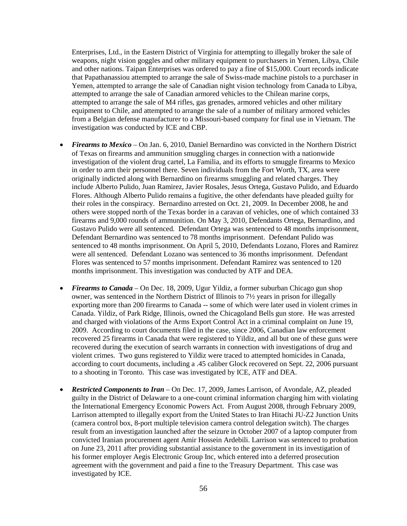Enterprises, Ltd., in the Eastern District of Virginia for attempting to illegally broker the sale of weapons, night vision goggles and other military equipment to purchasers in Yemen, Libya, Chile and other nations. Taipan Enterprises was ordered to pay a fine of \$15,000. Court records indicate that Papathanassiou attempted to arrange the sale of Swiss-made machine pistols to a purchaser in Yemen, attempted to arrange the sale of Canadian night vision technology from Canada to Libya, attempted to arrange the sale of Canadian armored vehicles to the Chilean marine corps, attempted to arrange the sale of M4 rifles, gas grenades, armored vehicles and other military equipment to Chile, and attempted to arrange the sale of a number of military armored vehicles from a Belgian defense manufacturer to a Missouri-based company for final use in Vietnam. The investigation was conducted by ICE and CBP.

- *Firearms to Mexico*  On Jan. 6, 2010, Daniel Bernardino was convicted in the Northern District of Texas on firearms and ammunition smuggling charges in connection with a nationwide investigation of the violent drug cartel, La Familia, and its efforts to smuggle firearms to Mexico in order to arm their personnel there. Seven individuals from the Fort Worth, TX, area were originally indicted along with Bernardino on firearms smuggling and related charges. They include Alberto Pulido, Juan Ramirez, Javier Rosales, Jesus Ortega, Gustavo Pulido, and Eduardo Flores. Although Alberto Pulido remains a fugitive, the other defendants have pleaded guilty for their roles in the conspiracy. Bernardino arrested on Oct. 21, 2009. In December 2008, he and others were stopped north of the Texas border in a caravan of vehicles, one of which contained 33 firearms and 9,000 rounds of ammunition. On May 3, 2010, Defendants Ortega, Bernardino, and Gustavo Pulido were all sentenced. Defendant Ortega was sentenced to 48 months imprisonment, Defendant Bernardino was sentenced to 78 months imprisonment. Defendant Pulido was sentenced to 48 months imprisonment. On April 5, 2010, Defendants Lozano, Flores and Ramirez were all sentenced. Defendant Lozano was sentenced to 36 months imprisonment. Defendant Flores was sentenced to 57 months imprisonment. Defendant Ramirez was sentenced to 120 months imprisonment. This investigation was conducted by ATF and DEA.
- *Firearms to Canada* On Dec. 18, 2009, Ugur Yildiz, a former suburban Chicago gun shop owner, was sentenced in the Northern District of Illinois to 7½ years in prison for illegally exporting more than 200 firearms to Canada -- some of which were later used in violent crimes in Canada. Yildiz, of Park Ridge, Illinois, owned the Chicagoland Bells gun store. He was arrested and charged with violations of the Arms Export Control Act in a criminal complaint on June 19, 2009. According to court documents filed in the case, since 2006, Canadian law enforcement recovered 25 firearms in Canada that were registered to Yildiz, and all but one of these guns were recovered during the execution of search warrants in connection with investigations of drug and violent crimes. Two guns registered to Yildiz were traced to attempted homicides in Canada, according to court documents, including a .45 caliber Glock recovered on Sept. 22, 2006 pursuant to a shooting in Toronto. This case was investigated by ICE, ATF and DEA.
- *Restricted Components to Iran* On Dec. 17, 2009, James Larrison, of Avondale, AZ, pleaded guilty in the District of Delaware to a one-count criminal information charging him with violating the International Emergency Economic Powers Act. From August 2008, through February 2009, Larrison attempted to illegally export from the United States to Iran Hitachi JU-Z2 Junction Units (camera control box, 8-port multiple television camera control delegation switch). The charges result from an investigation launched after the seizure in October 2007 of a laptop computer from convicted Iranian procurement agent Amir Hossein Ardebili. Larrison was sentenced to probation on June 23, 2011 after providing substantial assistance to the government in its investigation of his former employer Aegis Electronic Group Inc, which entered into a deferred prosecution agreement with the government and paid a fine to the Treasury Department. This case was investigated by ICE.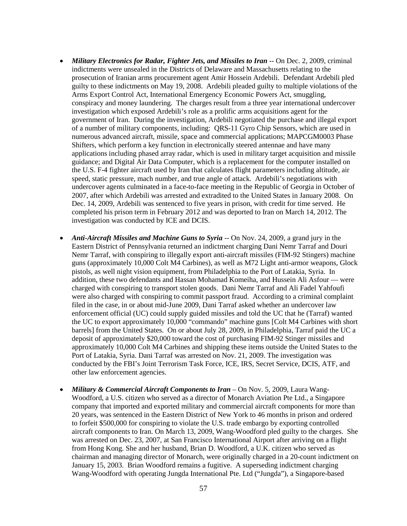- *Military Electronics for Radar, Fighter Jets, and Missiles to Iran -- On Dec. 2, 2009, criminal* indictments were unsealed in the Districts of Delaware and Massachusetts relating to the prosecution of Iranian arms procurement agent Amir Hossein Ardebili. Defendant Ardebili pled guilty to these indictments on May 19, 2008. Ardebili pleaded guilty to multiple violations of the Arms Export Control Act, International Emergency Economic Powers Act, smuggling, conspiracy and money laundering. The charges result from a three year international undercover investigation which exposed Ardebili's role as a prolific arms acquisitions agent for the government of Iran. During the investigation, Ardebili negotiated the purchase and illegal export of a number of military components, including: QRS-11 Gyro Chip Sensors, which are used in numerous advanced aircraft, missile, space and commercial applications; MAPCGM0003 Phase Shifters, which perform a key function in electronically steered antennae and have many applications including phased array radar, which is used in military target acquisition and missile guidance; and Digital Air Data Computer, which is a replacement for the computer installed on the U.S. F-4 fighter aircraft used by Iran that calculates flight parameters including altitude, air speed, static pressure, mach number, and true angle of attack. Ardebili's negotiations with undercover agents culminated in a face-to-face meeting in the Republic of Georgia in October of 2007, after which Ardebili was arrested and extradited to the United States in January 2008. On Dec. 14, 2009, Ardebili was sentenced to five years in prison, with credit for time served. He completed his prison term in February 2012 and was deported to Iran on March 14, 2012. The investigation was conducted by ICE and DCIS.
- *Anti-Aircraft Missiles and Machine Guns to Syria* -- On Nov. 24, 2009, a grand jury in the Eastern District of Pennsylvania returned an indictment charging Dani Nemr Tarraf and Douri Nemr Tarraf, with conspiring to illegally export anti-aircraft missiles (FIM-92 Stingers) machine guns (approximately 10,000 Colt M4 Carbines), as well as M72 Light anti-armor weapons, Glock pistols, as well night vision equipment, from Philadelphia to the Port of Latakia, Syria. In addition, these two defendants and Hassan Mohamad Komeiha, and Hussein Ali Asfour — were charged with conspiring to transport stolen goods. Dani Nemr Tarraf and Ali Fadel Yahfoufi were also charged with conspiring to commit passport fraud. According to a criminal complaint filed in the case, in or about mid-June 2009, Dani Tarraf asked whether an undercover law enforcement official (UC) could supply guided missiles and told the UC that he (Tarraf) wanted the UC to export approximately 10,000 "commando" machine guns [Colt M4 Carbines with short barrels] from the United States. On or about July 28, 2009, in Philadelphia, Tarraf paid the UC a deposit of approximately \$20,000 toward the cost of purchasing FIM-92 Stinger missiles and approximately 10,000 Colt M4 Carbines and shipping these items outside the United States to the Port of Latakia, Syria. Dani Tarraf was arrested on Nov. 21, 2009. The investigation was conducted by the FBI's Joint Terrorism Task Force, ICE, IRS, Secret Service, DCIS, ATF, and other law enforcement agencies.
- *Military & Commercial Aircraft Components to Iran* On Nov. 5, 2009, Laura Wang-Woodford, a U.S. citizen who served as a director of Monarch Aviation Pte Ltd., a Singapore company that imported and exported military and commercial aircraft components for more than 20 years, was sentenced in the Eastern District of New York to 46 months in prison and ordered to forfeit \$500,000 for conspiring to violate the U.S. trade embargo by exporting controlled aircraft components to Iran. On March 13, 2009, Wang-Woodford pled guilty to the charges. She was arrested on Dec. 23, 2007, at San Francisco International Airport after arriving on a flight from Hong Kong. She and her husband, Brian D. Woodford, a U.K. citizen who served as chairman and managing director of Monarch, were originally charged in a 20-count indictment on January 15, 2003. Brian Woodford remains a fugitive. A superseding indictment charging Wang-Woodford with operating Jungda International Pte. Ltd ("Jungda"), a Singapore-based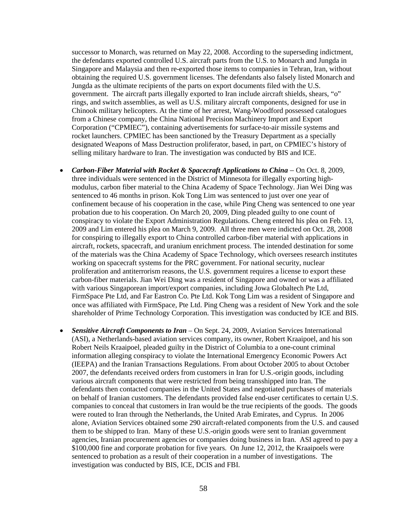successor to Monarch, was returned on May 22, 2008. According to the superseding indictment, the defendants exported controlled U.S. aircraft parts from the U.S. to Monarch and Jungda in Singapore and Malaysia and then re-exported those items to companies in Tehran, Iran, without obtaining the required U.S. government licenses. The defendants also falsely listed Monarch and Jungda as the ultimate recipients of the parts on export documents filed with the U.S. government. The aircraft parts illegally exported to Iran include aircraft shields, shears, "o" rings, and switch assemblies, as well as U.S. military aircraft components, designed for use in Chinook military helicopters. At the time of her arrest, Wang-Woodford possessed catalogues from a Chinese company, the China National Precision Machinery Import and Export Corporation ("CPMIEC"), containing advertisements for surface-to-air missile systems and rocket launchers. CPMIEC has been sanctioned by the Treasury Department as a specially designated Weapons of Mass Destruction proliferator, based, in part, on CPMIEC's history of selling military hardware to Iran. The investigation was conducted by BIS and ICE.

- *Carbon-Fiber Material with Rocket & Spacecraft Applications to China –* On Oct. 8, 2009, three individuals were sentenced in the District of Minnesota for illegally exporting highmodulus, carbon fiber material to the China Academy of Space Technology. Jian Wei Ding was sentenced to 46 months in prison. Kok Tong Lim was sentenced to just over one year of confinement because of his cooperation in the case, while Ping Cheng was sentenced to one year probation due to his cooperation. On March 20, 2009, Ding pleaded guilty to one count of conspiracy to violate the Export Administration Regulations. Cheng entered his plea on Feb. 13, 2009 and Lim entered his plea on March 9, 2009. All three men were indicted on Oct. 28, 2008 for conspiring to illegally export to China controlled carbon-fiber material with applications in aircraft, rockets, spacecraft, and uranium enrichment process. The intended destination for some of the materials was the China Academy of Space Technology, which oversees research institutes working on spacecraft systems for the PRC government. For national security, nuclear proliferation and antiterrorism reasons, the U.S. government requires a license to export these carbon-fiber materials. Jian Wei Ding was a resident of Singapore and owned or was a affiliated with various Singaporean import/export companies, including Jowa Globaltech Pte Ltd, FirmSpace Pte Ltd, and Far Eastron Co. Pte Ltd. Kok Tong Lim was a resident of Singapore and once was affiliated with FirmSpace, Pte Ltd. Ping Cheng was a resident of New York and the sole shareholder of Prime Technology Corporation. This investigation was conducted by ICE and BIS.
- *Sensitive Aircraft Components to Iran* On Sept. 24, 2009, Aviation Services International (ASI), a Netherlands-based aviation services company, its owner, Robert Kraaipoel, and his son Robert Neils Kraaipoel, pleaded guilty in the District of Columbia to a one-count criminal information alleging conspiracy to violate the International Emergency Economic Powers Act (IEEPA) and the Iranian Transactions Regulations. From about October 2005 to about October 2007, the defendants received orders from customers in Iran for U.S.-origin goods, including various aircraft components that were restricted from being transshipped into Iran. The defendants then contacted companies in the United States and negotiated purchases of materials on behalf of Iranian customers. The defendants provided false end-user certificates to certain U.S. companies to conceal that customers in Iran would be the true recipients of the goods. The goods were routed to Iran through the Netherlands, the United Arab Emirates, and Cyprus. In 2006 alone, Aviation Services obtained some 290 aircraft-related components from the U.S. and caused them to be shipped to Iran. Many of these U.S.-origin goods were sent to Iranian government agencies, Iranian procurement agencies or companies doing business in Iran. ASI agreed to pay a \$100,000 fine and corporate probation for five years. On June 12, 2012, the Kraaipoels were sentenced to probation as a result of their cooperation in a number of investigations. The investigation was conducted by BIS, ICE, DCIS and FBI.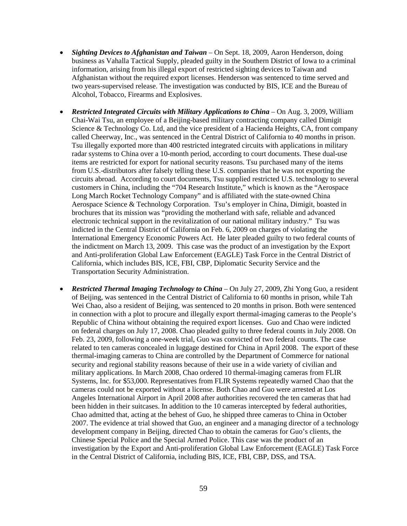- *Sighting Devices to Afghanistan and Taiwan*  On Sept. 18, 2009, Aaron Henderson, doing business as Vahalla Tactical Supply, pleaded guilty in the Southern District of Iowa to a criminal information, arising from his illegal export of restricted sighting devices to Taiwan and Afghanistan without the required export licenses. Henderson was sentenced to time served and two years-supervised release. The investigation was conducted by BIS, ICE and the Bureau of Alcohol, Tobacco, Firearms and Explosives.
- *Restricted Integrated Circuits with Military Applications to China On Aug. 3, 2009, William* Chai-Wai Tsu, an employee of a Beijing-based military contracting company called Dimigit Science & Technology Co. Ltd, and the vice president of a Hacienda Heights, CA, front company called Cheerway, Inc., was sentenced in the Central District of California to 40 months in prison. Tsu illegally exported more than 400 restricted integrated circuits with applications in military radar systems to China over a 10-month period, according to court documents. These dual-use items are restricted for export for national security reasons. Tsu purchased many of the items from U.S.-distributors after falsely telling these U.S. companies that he was not exporting the circuits abroad. According to court documents, Tsu supplied restricted U.S. technology to several customers in China, including the "704 Research Institute," which is known as the "Aerospace Long March Rocket Technology Company" and is affiliated with the state-owned China Aerospace Science & Technology Corporation. Tsu's employer in China, Dimigit, boasted in brochures that its mission was "providing the motherland with safe, reliable and advanced electronic technical support in the revitalization of our national military industry." Tsu was indicted in the Central District of California on Feb. 6, 2009 on charges of violating the International Emergency Economic Powers Act. He later pleaded guilty to two federal counts of the indictment on March 13, 2009. This case was the product of an investigation by the Export and Anti-proliferation Global Law Enforcement (EAGLE) Task Force in the Central District of California, which includes BIS, ICE, FBI, CBP, Diplomatic Security Service and the Transportation Security Administration.
- *Restricted Thermal Imaging Technology to China* On July 27, 2009, Zhi Yong Guo, a resident of Beijing, was sentenced in the Central District of California to 60 months in prison, while Tah Wei Chao, also a resident of Beijing, was sentenced to 20 months in prison. Both were sentenced in connection with a plot to procure and illegally export thermal-imaging cameras to the People's Republic of China without obtaining the required export licenses. Guo and Chao were indicted on federal charges on July 17, 2008. Chao pleaded guilty to three federal counts in July 2008. On Feb. 23, 2009, following a one-week trial, Guo was convicted of two federal counts. The case related to ten cameras concealed in luggage destined for China in April 2008. The export of these thermal-imaging cameras to China are controlled by the Department of Commerce for national security and regional stability reasons because of their use in a wide variety of civilian and military applications. In March 2008, Chao ordered 10 thermal-imaging cameras from FLIR Systems, Inc. for \$53,000. Representatives from FLIR Systems repeatedly warned Chao that the cameras could not be exported without a license. Both Chao and Guo were arrested at Los Angeles International Airport in April 2008 after authorities recovered the ten cameras that had been hidden in their suitcases. In addition to the 10 cameras intercepted by federal authorities, Chao admitted that, acting at the behest of Guo, he shipped three cameras to China in October 2007. The evidence at trial showed that Guo, an engineer and a managing director of a technology development company in Beijing, directed Chao to obtain the cameras for Guo's clients, the Chinese Special Police and the Special Armed Police. This case was the product of an investigation by the Export and Anti-proliferation Global Law Enforcement (EAGLE) Task Force in the Central District of California, including BIS, ICE, FBI, CBP, DSS, and TSA.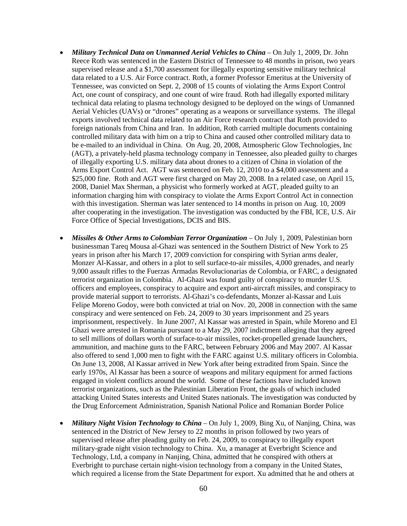- *Military Technical Data on Unmanned Aerial Vehicles to China* On July 1, 2009, Dr. John Reece Roth was sentenced in the Eastern District of Tennessee to 48 months in prison, two years supervised release and a \$1,700 assessment for illegally exporting sensitive military technical data related to a U.S. Air Force contract. Roth, a former Professor Emeritus at the University of Tennessee, was convicted on Sept. 2, 2008 of 15 counts of violating the Arms Export Control Act, one count of conspiracy, and one count of wire fraud. Roth had illegally exported military technical data relating to plasma technology designed to be deployed on the wings of Unmanned Aerial Vehicles (UAVs) or "drones" operating as a weapons or surveillance systems. The illegal exports involved technical data related to an Air Force research contract that Roth provided to foreign nationals from China and Iran. In addition, Roth carried multiple documents containing controlled military data with him on a trip to China and caused other controlled military data to be e-mailed to an individual in China. On Aug. 20, 2008, Atmospheric Glow Technologies, Inc (AGT), a privately-held plasma technology company in Tennessee, also pleaded guilty to charges of illegally exporting U.S. military data about drones to a citizen of China in violation of the Arms Export Control Act. AGT was sentenced on Feb. 12, 2010 to a \$4,000 assessment and a \$25,000 fine. Roth and AGT were first charged on May 20, 2008. In a related case, on April 15, 2008, Daniel Max Sherman, a physicist who formerly worked at AGT, pleaded guilty to an information charging him with conspiracy to violate the Arms Export Control Act in connection with this investigation. Sherman was later sentenced to 14 months in prison on Aug. 10, 2009 after cooperating in the investigation. The investigation was conducted by the FBI, ICE, U.S. Air Force Office of Special Investigations, DCIS and BIS.
- *Missiles & Other Arms to Colombian Terror Organization* On July 1, 2009, Palestinian born businessman Tareq Mousa al-Ghazi was sentenced in the Southern District of New York to 25 years in prison after his March 17, 2009 conviction for conspiring with Syrian arms dealer, Monzer Al-Kassar, and others in a plot to sell surface-to-air missiles, 4,000 grenades, and nearly 9,000 assault rifles to the Fuerzas Armadas Revolucionarias de Colombia, or FARC, a designated terrorist organization in Colombia. Al-Ghazi was found guilty of conspiracy to murder U.S. officers and employees, conspiracy to acquire and export anti-aircraft missiles, and conspiracy to provide material support to terrorists. Al-Ghazi's co-defendants, Monzer al-Kassar and Luis Felipe Moreno Godoy, were both convicted at trial on Nov. 20, 2008 in connection with the same conspiracy and were sentenced on Feb. 24, 2009 to 30 years imprisonment and 25 years imprisonment, respectively. In June 2007, Al Kassar was arrested in Spain, while Moreno and El Ghazi were arrested in Romania pursuant to a May 29, 2007 indictment alleging that they agreed to sell millions of dollars worth of surface-to-air missiles, rocket-propelled grenade launchers, ammunition, and machine guns to the FARC, between February 2006 and May 2007. Al Kassar also offered to send 1,000 men to fight with the FARC against U.S. military officers in Colombia. On June 13, 2008, Al Kassar arrived in New York after being extradited from Spain. Since the early 1970s, Al Kassar has been a source of weapons and military equipment for armed factions engaged in violent conflicts around the world. Some of these factions have included known terrorist organizations, such as the Palestinian Liberation Front, the goals of which included attacking United States interests and United States nationals. The investigation was conducted by the Drug Enforcement Administration, Spanish National Police and Romanian Border Police
- *Military Night Vision Technology to China* On July 1, 2009, Bing Xu, of Nanjing, China, was sentenced in the District of New Jersey to 22 months in prison followed by two years of supervised release after pleading guilty on Feb. 24, 2009, to conspiracy to illegally export military-grade night vision technology to China. Xu, a manager at Everbright Science and Technology, Ltd, a company in Nanjing, China, admitted that he conspired with others at Everbright to purchase certain night-vision technology from a company in the United States, which required a license from the State Department for export. Xu admitted that he and others at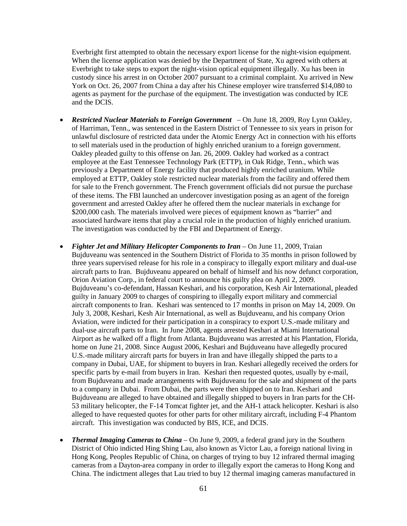Everbright first attempted to obtain the necessary export license for the night-vision equipment. When the license application was denied by the Department of State, Xu agreed with others at Everbright to take steps to export the night-vision optical equipment illegally. Xu has been in custody since his arrest in on October 2007 pursuant to a criminal complaint. Xu arrived in New York on Oct. 26, 2007 from China a day after his Chinese employer wire transferred \$14,080 to agents as payment for the purchase of the equipment. The investigation was conducted by ICE and the DCIS.

- *Restricted Nuclear Materials to Foreign Government* On June 18, 2009, Roy Lynn Oakley, of Harriman, Tenn., was sentenced in the Eastern District of Tennessee to six years in prison for unlawful disclosure of restricted data under the Atomic Energy Act in connection with his efforts to sell materials used in the production of highly enriched uranium to a foreign government. Oakley pleaded guilty to this offense on Jan. 26, 2009. Oakley had worked as a contract employee at the East Tennessee Technology Park (ETTP), in Oak Ridge, Tenn., which was previously a Department of Energy facility that produced highly enriched uranium. While employed at ETTP, Oakley stole restricted nuclear materials from the facility and offered them for sale to the French government. The French government officials did not pursue the purchase of these items. The FBI launched an undercover investigation posing as an agent of the foreign government and arrested Oakley after he offered them the nuclear materials in exchange for \$200,000 cash. The materials involved were pieces of equipment known as "barrier" and associated hardware items that play a crucial role in the production of highly enriched uranium. The investigation was conducted by the FBI and Department of Energy.
- *Fighter Jet and Military Helicopter Components to Iran* On June 11, 2009, Traian Bujduveanu was sentenced in the Southern District of Florida to 35 months in prison followed by three years supervised release for his role in a conspiracy to illegally export military and dual-use aircraft parts to Iran. Bujduveanu appeared on behalf of himself and his now defunct corporation, Orion Aviation Corp., in federal court to announce his guilty plea on April 2, 2009. Bujduveanu's co-defendant, Hassan Keshari, and his corporation, Kesh Air International, pleaded guilty in January 2009 to charges of conspiring to illegally export military and commercial aircraft components to Iran. Keshari was sentenced to 17 months in prison on May 14, 2009. On July 3, 2008, Keshari, Kesh Air International, as well as Bujduveanu, and his company Orion Aviation, were indicted for their participation in a conspiracy to export U.S.-made military and dual-use aircraft parts to Iran. In June 2008, agents arrested Keshari at Miami International Airport as he walked off a flight from Atlanta. Bujduveanu was arrested at his Plantation, Florida, home on June 21, 2008. Since August 2006, Keshari and Bujduveanu have allegedly procured U.S.-made military aircraft parts for buyers in Iran and have illegally shipped the parts to a company in Dubai, UAE, for shipment to buyers in Iran. Keshari allegedly received the orders for specific parts by e-mail from buyers in Iran. Keshari then requested quotes, usually by e-mail, from Bujduveanu and made arrangements with Bujduveanu for the sale and shipment of the parts to a company in Dubai. From Dubai, the parts were then shipped on to Iran. Keshari and Bujduveanu are alleged to have obtained and illegally shipped to buyers in Iran parts for the CH-53 military helicopter, the F-14 Tomcat fighter jet, and the AH-1 attack helicopter. Keshari is also alleged to have requested quotes for other parts for other military aircraft, including F-4 Phantom aircraft. This investigation was conducted by BIS, ICE, and DCIS.
- *Thermal Imaging Cameras to China* On June 9, 2009, a federal grand jury in the Southern District of Ohio indicted Hing Shing Lau, also known as Victor Lau, a foreign national living in Hong Kong, Peoples Republic of China, on charges of trying to buy 12 infrared thermal imaging cameras from a Dayton-area company in order to illegally export the cameras to Hong Kong and China. The indictment alleges that Lau tried to buy 12 thermal imaging cameras manufactured in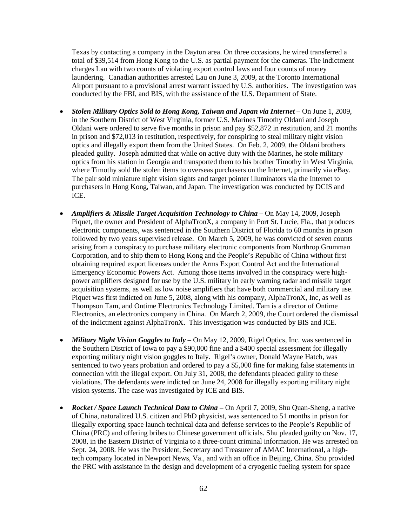Texas by contacting a company in the Dayton area. On three occasions, he wired transferred a total of \$39,514 from Hong Kong to the U.S. as partial payment for the cameras. The indictment charges Lau with two counts of violating export control laws and four counts of money laundering. Canadian authorities arrested Lau on June 3, 2009, at the Toronto International Airport pursuant to a provisional arrest warrant issued by U.S. authorities. The investigation was conducted by the FBI, and BIS, with the assistance of the U.S. Department of State.

- *Stolen Military Optics Sold to Hong Kong, Taiwan and Japan via Internet* On June 1, 2009, in the Southern District of West Virginia, former U.S. Marines Timothy Oldani and Joseph Oldani were ordered to serve five months in prison and pay \$52,872 in restitution, and 21 months in prison and \$72,013 in restitution, respectively, for conspiring to steal military night vision optics and illegally export them from the United States. On Feb. 2, 2009, the Oldani brothers pleaded guilty. Joseph admitted that while on active duty with the Marines, he stole military optics from his station in Georgia and transported them to his brother Timothy in West Virginia, where Timothy sold the stolen items to overseas purchasers on the Internet, primarily via eBay. The pair sold miniature night vision sights and target pointer illuminators via the Internet to purchasers in Hong Kong, Taiwan, and Japan. The investigation was conducted by DCIS and ICE.
- *Amplifiers & Missile Target Acquisition Technology to China* On May 14, 2009, Joseph Piquet, the owner and President of AlphaTronX, a company in Port St. Lucie, Fla., that produces electronic components, was sentenced in the Southern District of Florida to 60 months in prison followed by two years supervised release. On March 5, 2009, he was convicted of seven counts arising from a conspiracy to purchase military electronic components from Northrop Grumman Corporation, and to ship them to Hong Kong and the People's Republic of China without first obtaining required export licenses under the Arms Export Control Act and the International Emergency Economic Powers Act. Among those items involved in the conspiracy were highpower amplifiers designed for use by the U.S. military in early warning radar and missile target acquisition systems, as well as low noise amplifiers that have both commercial and military use. Piquet was first indicted on June 5, 2008, along with his company, AlphaTronX, Inc, as well as Thompson Tam, and Ontime Electronics Technology Limited. Tam is a director of Ontime Electronics, an electronics company in China. On March 2, 2009, the Court ordered the dismissal of the indictment against AlphaTronX. This investigation was conducted by BIS and ICE.
- *Military Night Vision Goggles to Italy –* On May 12, 2009, Rigel Optics, Inc. was sentenced in the Southern District of Iowa to pay a \$90,000 fine and a \$400 special assessment for illegally exporting military night vision goggles to Italy. Rigel's owner, Donald Wayne Hatch, was sentenced to two years probation and ordered to pay a \$5,000 fine for making false statements in connection with the illegal export. On July 31, 2008, the defendants pleaded guilty to these violations. The defendants were indicted on June 24, 2008 for illegally exporting military night vision systems. The case was investigated by ICE and BIS.
- *Rocket / Space Launch Technical Data to China* On April 7, 2009, Shu Quan-Sheng, a native of China, naturalized U.S. citizen and PhD physicist, was sentenced to 51 months in prison for illegally exporting space launch technical data and defense services to the People's Republic of China (PRC) and offering bribes to Chinese government officials. Shu pleaded guilty on Nov. 17, 2008, in the Eastern District of Virginia to a three-count criminal information. He was arrested on Sept. 24, 2008. He was the President, Secretary and Treasurer of AMAC International, a hightech company located in Newport News, Va., and with an office in Beijing, China. Shu provided the PRC with assistance in the design and development of a cryogenic fueling system for space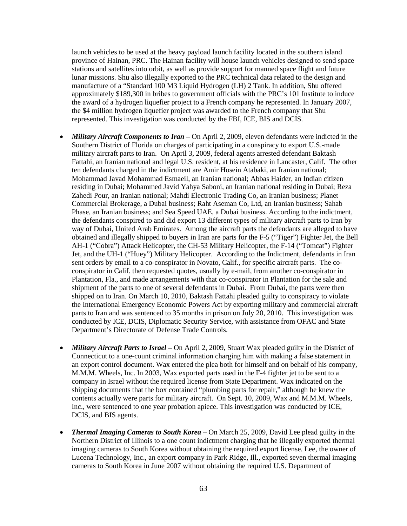launch vehicles to be used at the heavy payload launch facility located in the southern island province of Hainan, PRC. The Hainan facility will house launch vehicles designed to send space stations and satellites into orbit, as well as provide support for manned space flight and future lunar missions. Shu also illegally exported to the PRC technical data related to the design and manufacture of a "Standard 100 M3 Liquid Hydrogen (LH) 2 Tank. In addition, Shu offered approximately \$189,300 in bribes to government officials with the PRC's 101 Institute to induce the award of a hydrogen liquefier project to a French company he represented. In January 2007, the \$4 million hydrogen liquefier project was awarded to the French company that Shu represented. This investigation was conducted by the FBI, ICE, BIS and DCIS.

- *Military Aircraft Components to Iran*  On April 2, 2009, eleven defendants were indicted in the Southern District of Florida on charges of participating in a conspiracy to export U.S.-made military aircraft parts to Iran. On April 3, 2009, federal agents arrested defendant Baktash Fattahi, an Iranian national and legal U.S. resident, at his residence in Lancaster, Calif. The other ten defendants charged in the indictment are Amir Hosein Atabaki, an Iranian national; Mohammad Javad Mohammad Esmaeil, an Iranian national; Abbas Haider, an Indian citizen residing in Dubai; Mohammed Javid Yahya Saboni, an Iranian national residing in Dubai; Reza Zahedi Pour, an Iranian national; Mahdi Electronic Trading Co, an Iranian business; Planet Commercial Brokerage, a Dubai business; Raht Aseman Co, Ltd, an Iranian business; Sahab Phase, an Iranian business; and Sea Speed UAE, a Dubai business. According to the indictment, the defendants conspired to and did export 13 different types of military aircraft parts to Iran by way of Dubai, United Arab Emirates. Among the aircraft parts the defendants are alleged to have obtained and illegally shipped to buyers in Iran are parts for the F-5 ("Tiger") Fighter Jet, the Bell AH-1 ("Cobra") Attack Helicopter, the CH-53 Military Helicopter, the F-14 ("Tomcat") Fighter Jet, and the UH-1 ("Huey") Military Helicopter. According to the Indictment, defendants in Iran sent orders by email to a co-conspirator in Novato, Calif., for specific aircraft parts. The coconspirator in Calif. then requested quotes, usually by e-mail, from another co-conspirator in Plantation, Fla., and made arrangements with that co-conspirator in Plantation for the sale and shipment of the parts to one of several defendants in Dubai. From Dubai, the parts were then shipped on to Iran. On March 10, 2010, Baktash Fattahi pleaded guilty to conspiracy to violate the International Emergency Economic Powers Act by exporting military and commercial aircraft parts to Iran and was sentenced to 35 months in prison on July 20, 2010. This investigation was conducted by ICE, DCIS, Diplomatic Security Service, with assistance from OFAC and State Department's Directorate of Defense Trade Controls.
- *Military Aircraft Parts to Israel* On April 2, 2009, Stuart Wax pleaded guilty in the District of Connecticut to a one-count criminal information charging him with making a false statement in an export control document. Wax entered the plea both for himself and on behalf of his company, M.M.M. Wheels, Inc. In 2003, Wax exported parts used in the F-4 fighter jet to be sent to a company in Israel without the required license from State Department. Wax indicated on the shipping documents that the box contained "plumbing parts for repair," although he knew the contents actually were parts for military aircraft. On Sept. 10, 2009, Wax and M.M.M. Wheels, Inc., were sentenced to one year probation apiece. This investigation was conducted by ICE, DCIS, and BIS agents.
- *Thermal Imaging Cameras to South Korea* On March 25, 2009, David Lee plead guilty in the Northern District of Illinois to a one count indictment charging that he illegally exported thermal imaging cameras to South Korea without obtaining the required export license. Lee, the owner of Lucena Technology, Inc., an export company in Park Ridge, Ill., exported seven thermal imaging cameras to South Korea in June 2007 without obtaining the required U.S. Department of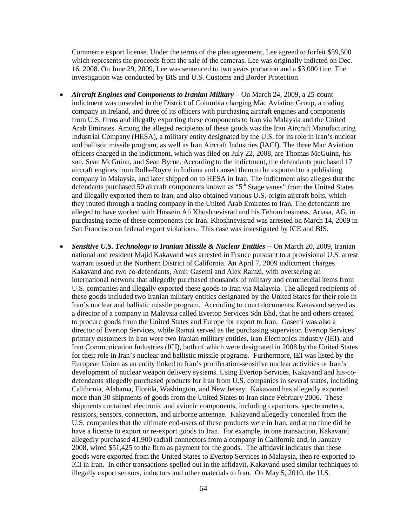Commerce export license. Under the terms of the plea agreement, Lee agreed to forfeit \$59,500 which represents the proceeds from the sale of the cameras. Lee was originally indicted on Dec. 16, 2008. On June 29, 2009, Lee was sentenced to two years probation and a \$3,000 fine. The investigation was conducted by BIS and U.S. Customs and Border Protection.

- *Aircraft Engines and Components to Iranian Military* On March 24, 2009, a 25-count indictment was unsealed in the District of Columbia charging Mac Aviation Group, a trading company in Ireland, and three of its officers with purchasing aircraft engines and components from U.S. firms and illegally exporting these components to Iran via Malaysia and the United Arab Emirates. Among the alleged recipients of these goods was the Iran Aircraft Manufacturing Industrial Company (HESA), a military entity designated by the U.S. for its role in Iran's nuclear and ballistic missile program, as well as Iran Aircraft Industries (IACI). The three Mac Aviation officers charged in the indictment, which was filed on July 22, 2008, are Thomas McGuinn, his son, Sean McGuinn, and Sean Byrne. According to the indictment, the defendants purchased 17 aircraft engines from Rolls-Royce in Indiana and caused them to be exported to a publishing company in Malaysia, and later shipped on to HESA in Iran. The indictment also alleges that the defendants purchased 50 aircraft components known as "5<sup>th</sup> Stage vanes" from the United States and illegally exported them to Iran, and also obtained various U.S.-origin aircraft bolts, which they routed through a trading company in the United Arab Emirates to Iran. The defendants are alleged to have worked with Hossein Ali Khoshnevisrad and his Tehran business, Ariasa, AG, in purchasing some of these components for Iran. Khoshnevisrad was arrested on March 14, 2009 in San Francisco on federal export violations. This case was investigated by ICE and BIS.
- *Sensitive U.S. Technology to Iranian Missile & Nuclear Entities* -- On March 20, 2009, Iranian national and resident Majid Kakavand was arrested in France pursuant to a provisional U.S. arrest warrant issued in the Northern District of California. An April 7, 2009 indictment charges Kakavand and two co-defendants, Amir Gasemi and Alex Ramzi, with overseeing an international network that allegedly purchased thousands of military and commercial items from U.S. companies and illegally exported these goods to Iran via Malaysia. The alleged recipients of these goods included two Iranian military entities designated by the United States for their role in Iran's nuclear and ballistic missile program. According to court documents, Kakavand served as a director of a company in Malaysia called Evertop Services Sdn Bhd, that he and others created to procure goods from the United States and Europe for export to Iran. Gasemi was also a director of Evertop Services, while Ramzi served as the purchasing supervisor. Evertop Services' primary customers in Iran were two Iranian military entities, Iran Electronics Industry (IEI), and Iran Communication Industries (ICI), both of which were designated in 2008 by the United States for their role in Iran's nuclear and ballistic missile programs. Furthermore, IEI was listed by the European Union as an entity linked to Iran's proliferation-sensitive nuclear activities or Iran's development of nuclear weapon delivery systems. Using Evertop Services, Kakavand and his-codefendants allegedly purchased products for Iran from U.S. companies in several states, including California, Alabama, Florida, Washington, and New Jersey. Kakavand has allegedly exported more than 30 shipments of goods from the United States to Iran since February 2006. These shipments contained electronic and avionic components, including capacitors, spectrometers, resistors, sensors, connectors, and airborne antennae. Kakavand allegedly concealed from the U.S. companies that the ultimate end-users of these products were in Iran, and at no time did he have a license to export or re-export goods to Iran. For example, in one transaction, Kakavand allegedly purchased 41,900 radiall connectors from a company in California and, in January 2008, wired \$51,425 to the firm as payment for the goods. The affidavit indicates that these goods were exported from the United States to Evertop Services in Malaysia, then re-exported to ICI in Iran. In other transactions spelled out in the affidavit, Kakavand used similar techniques to illegally export sensors, inductors and other materials to Iran. On May 5, 2010, the U.S.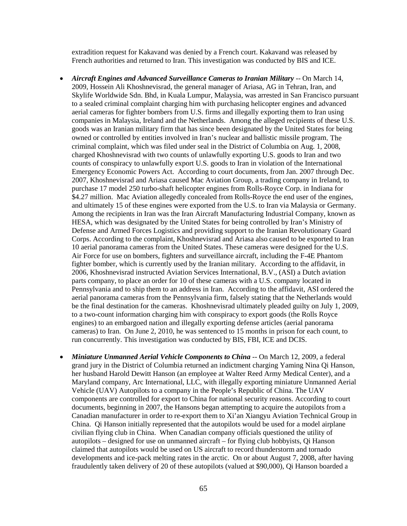extradition request for Kakavand was denied by a French court. Kakavand was released by French authorities and returned to Iran. This investigation was conducted by BIS and ICE.

- *Aircraft Engines and Advanced Surveillance Cameras to Iranian Military* -- On March 14, 2009, Hossein Ali Khoshnevisrad, the general manager of Ariasa, AG in Tehran, Iran, and Skylife Worldwide Sdn. Bhd, in Kuala Lumpur, Malaysia, was arrested in San Francisco pursuant to a sealed criminal complaint charging him with purchasing helicopter engines and advanced aerial cameras for fighter bombers from U.S. firms and illegally exporting them to Iran using companies in Malaysia, Ireland and the Netherlands. Among the alleged recipients of these U.S. goods was an Iranian military firm that has since been designated by the United States for being owned or controlled by entities involved in Iran's nuclear and ballistic missile program. The criminal complaint, which was filed under seal in the District of Columbia on Aug. 1, 2008, charged Khoshnevisrad with two counts of unlawfully exporting U.S. goods to Iran and two counts of conspiracy to unlawfully export U.S. goods to Iran in violation of the International Emergency Economic Powers Act. According to court documents, from Jan. 2007 through Dec. 2007, Khoshnevisrad and Ariasa caused Mac Aviation Group, a trading company in Ireland, to purchase 17 model 250 turbo-shaft helicopter engines from Rolls-Royce Corp. in Indiana for \$4.27 million. Mac Aviation allegedly concealed from Rolls-Royce the end user of the engines, and ultimately 15 of these engines were exported from the U.S. to Iran via Malaysia or Germany. Among the recipients in Iran was the Iran Aircraft Manufacturing Industrial Company, known as HESA, which was designated by the United States for being controlled by Iran's Ministry of Defense and Armed Forces Logistics and providing support to the Iranian Revolutionary Guard Corps. According to the complaint, Khoshnevisrad and Ariasa also caused to be exported to Iran 10 aerial panorama cameras from the United States. These cameras were designed for the U.S. Air Force for use on bombers, fighters and surveillance aircraft, including the F-4E Phantom fighter bomber, which is currently used by the Iranian military. According to the affidavit, in 2006, Khoshnevisrad instructed Aviation Services International, B.V., (ASI) a Dutch aviation parts company, to place an order for 10 of these cameras with a U.S. company located in Pennsylvania and to ship them to an address in Iran. According to the affidavit, ASI ordered the aerial panorama cameras from the Pennsylvania firm, falsely stating that the Netherlands would be the final destination for the cameras. Khoshnevisrad ultimately pleaded guilty on July 1, 2009, to a two-count information charging him with conspiracy to export goods (the Rolls Royce engines) to an embargoed nation and illegally exporting defense articles (aerial panorama cameras) to Iran. On June 2, 2010, he was sentenced to 15 months in prison for each count, to run concurrently. This investigation was conducted by BIS, FBI, ICE and DCIS.
- *Miniature Unmanned Aerial Vehicle Components to China* -- On March 12, 2009, a federal grand jury in the District of Columbia returned an indictment charging Yaming Nina Qi Hanson, her husband Harold Dewitt Hanson (an employee at Walter Reed Army Medical Center), and a Maryland company, Arc International, LLC, with illegally exporting miniature Unmanned Aerial Vehicle (UAV) Autopilots to a company in the People's Republic of China. The UAV components are controlled for export to China for national security reasons. According to court documents, beginning in 2007, the Hansons began attempting to acquire the autopilots from a Canadian manufacturer in order to re-export them to Xi'an Xiangyu Aviation Technical Group in China. Qi Hanson initially represented that the autopilots would be used for a model airplane civilian flying club in China. When Canadian company officials questioned the utility of autopilots – designed for use on unmanned aircraft – for flying club hobbyists, Qi Hanson claimed that autopilots would be used on US aircraft to record thunderstorm and tornado developments and ice-pack melting rates in the arctic. On or about August 7, 2008, after having fraudulently taken delivery of 20 of these autopilots (valued at \$90,000), Qi Hanson boarded a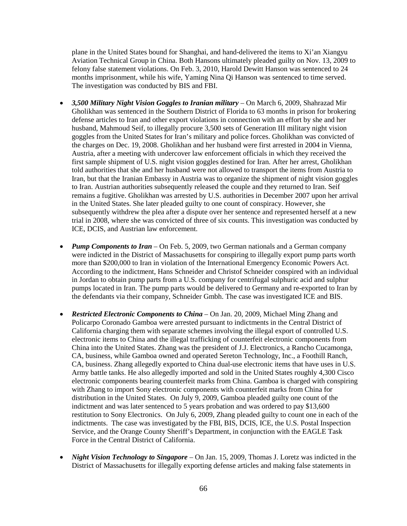plane in the United States bound for Shanghai, and hand-delivered the items to Xi'an Xiangyu Aviation Technical Group in China. Both Hansons ultimately pleaded guilty on Nov. 13, 2009 to felony false statement violations. On Feb. 3, 2010, Harold Dewitt Hanson was sentenced to 24 months imprisonment, while his wife, Yaming Nina Qi Hanson was sentenced to time served. The investigation was conducted by BIS and FBI.

- *3,500 Military Night Vision Goggles to Iranian military* On March 6, 2009, Shahrazad Mir Gholikhan was sentenced in the Southern District of Florida to 63 months in prison for brokering defense articles to Iran and other export violations in connection with an effort by she and her husband, Mahmoud Seif, to illegally procure 3,500 sets of Generation III military night vision goggles from the United States for Iran's military and police forces. Gholikhan was convicted of the charges on Dec. 19, 2008. Gholikhan and her husband were first arrested in 2004 in Vienna, Austria, after a meeting with undercover law enforcement officials in which they received the first sample shipment of U.S. night vision goggles destined for Iran. After her arrest, Gholikhan told authorities that she and her husband were not allowed to transport the items from Austria to Iran, but that the Iranian Embassy in Austria was to organize the shipment of night vision goggles to Iran. Austrian authorities subsequently released the couple and they returned to Iran. Seif remains a fugitive. Gholikhan was arrested by U.S. authorities in December 2007 upon her arrival in the United States. She later pleaded guilty to one count of conspiracy. However, she subsequently withdrew the plea after a dispute over her sentence and represented herself at a new trial in 2008, where she was convicted of three of six counts. This investigation was conducted by ICE, DCIS, and Austrian law enforcement.
- *Pump Components to Iran* On Feb. 5, 2009, two German nationals and a German company were indicted in the District of Massachusetts for conspiring to illegally export pump parts worth more than \$200,000 to Iran in violation of the International Emergency Economic Powers Act. According to the indictment, Hans Schneider and Christof Schneider conspired with an individual in Jordan to obtain pump parts from a U.S. company for centrifugal sulphuric acid and sulphur pumps located in Iran. The pump parts would be delivered to Germany and re-exported to Iran by the defendants via their company, Schneider Gmbh. The case was investigated ICE and BIS.
- *Restricted Electronic Components to China* On Jan. 20, 2009, Michael Ming Zhang and Policarpo Coronado Gamboa were arrested pursuant to indictments in the Central District of California charging them with separate schemes involving the illegal export of controlled U.S. electronic items to China and the illegal trafficking of counterfeit electronic components from China into the United States. Zhang was the president of J.J. Electronics, a Rancho Cucamonga, CA, business, while Gamboa owned and operated Sereton Technology, Inc., a Foothill Ranch, CA, business. Zhang allegedly exported to China dual-use electronic items that have uses in U.S. Army battle tanks. He also allegedly imported and sold in the United States roughly 4,300 Cisco electronic components bearing counterfeit marks from China. Gamboa is charged with conspiring with Zhang to import Sony electronic components with counterfeit marks from China for distribution in the United States. On July 9, 2009, Gamboa pleaded guilty one count of the indictment and was later sentenced to 5 years probation and was ordered to pay \$13,600 restitution to Sony Electronics. On July 6, 2009, Zhang pleaded guilty to count one in each of the indictments. The case was investigated by the FBI, BIS, DCIS, ICE, the U.S. Postal Inspection Service, and the Orange County Sheriff's Department, in conjunction with the EAGLE Task Force in the Central District of California.
- *Night Vision Technology to Singapore* On Jan. 15, 2009, Thomas J. Loretz was indicted in the District of Massachusetts for illegally exporting defense articles and making false statements in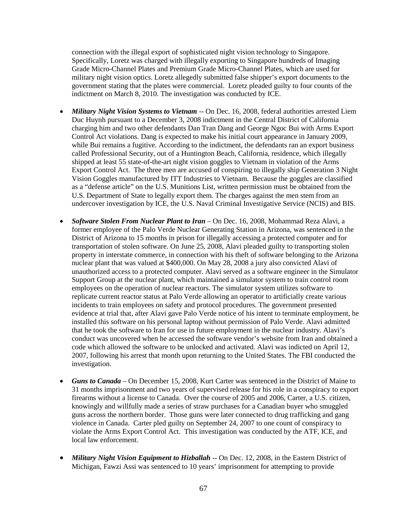connection with the illegal export of sophisticated night vision technology to Singapore. Specifically, Loretz was charged with illegally exporting to Singapore hundreds of Imaging Grade Micro-Channel Plates and Premium Grade Micro-Channel Plates, which are used for military night vision optics. Loretz allegedly submitted false shipper's export documents to the government stating that the plates were commercial. Loretz pleaded guilty to four counts of the indictment on March 8, 2010. The investigation was conducted by ICE.

- *Military Night Vision Systems to Vietnam* -- On Dec. 16, 2008, federal authorities arrested Liem Duc Huynh pursuant to a December 3, 2008 indictment in the Central District of California charging him and two other defendants Dan Tran Dang and George Ngoc Bui with Arms Export Control Act violations. Dang is expected to make his initial court appearance in January 2009, while Bui remains a fugitive. According to the indictment, the defendants ran an export business called Professional Security, out of a Huntington Beach, California, residence, which illegally shipped at least 55 state-of-the-art night vision goggles to Vietnam in violation of the Arms Export Control Act. The three men are accused of conspiring to illegally ship Generation 3 Night Vision Goggles manufactured by ITT Industries to Vietnam. Because the goggles are classified as a "defense article" on the U.S. Munitions List, written permission must be obtained from the U.S. Department of State to legally export them. The charges against the men stem from an undercover investigation by ICE, the U.S. Naval Criminal Investigative Service (NCIS) and BIS.
- *Software Stolen From Nuclear Plant to Iran* On Dec. 16, 2008, Mohammad Reza Alavi, a former employee of the Palo Verde Nuclear Generating Station in Arizona, was sentenced in the District of Arizona to 15 months in prison for illegally accessing a protected computer and for transportation of stolen software. On June 25, 2008, Alavi pleaded guilty to transporting stolen property in interstate commerce, in connection with his theft of software belonging to the Arizona nuclear plant that was valued at \$400,000. On May 28, 2008 a jury also convicted Alavi of unauthorized access to a protected computer. Alavi served as a software engineer in the Simulator Support Group at the nuclear plant, which maintained a simulator system to train control room employees on the operation of nuclear reactors. The simulator system utilizes software to replicate current reactor status at Palo Verde allowing an operator to artificially create various incidents to train employees on safety and protocol procedures. The government presented evidence at trial that, after Alavi gave Palo Verde notice of his intent to terminate employment, he installed this software on his personal laptop without permission of Palo Verde. Alavi admitted that he took the software to Iran for use in future employment in the nuclear industry. Alavi's conduct was uncovered when he accessed the software vendor's website from Iran and obtained a code which allowed the software to be unlocked and activated. Alavi was indicted on April 12, 2007, following his arrest that month upon returning to the United States. The FBI conducted the investigation.
- *Guns to Canada* On December 15, 2008, Kurt Carter was sentenced in the District of Maine to 31 months imprisonment and two years of supervised release for his role in a conspiracy to export firearms without a license to Canada. Over the course of 2005 and 2006, Carter, a U.S. citizen, knowingly and willfully made a series of straw purchases for a Canadian buyer who smuggled guns across the northern border. Those guns were later connected to drug trafficking and gang violence in Canada. Carter pled guilty on September 24, 2007 to one count of conspiracy to violate the Arms Export Control Act. This investigation was conducted by the ATF, ICE, and local law enforcement.
- *Military Night Vision Equipment to Hizballah* -- On Dec. 12, 2008, in the Eastern District of Michigan, Fawzi Assi was sentenced to 10 years' imprisonment for attempting to provide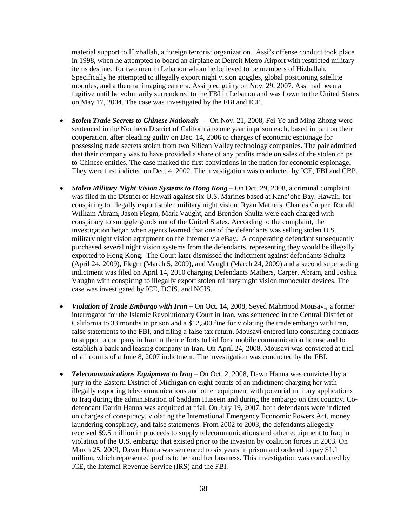material support to Hizballah, a foreign terrorist organization. Assi's offense conduct took place in 1998, when he attempted to board an airplane at Detroit Metro Airport with restricted military items destined for two men in Lebanon whom he believed to be members of Hizballah. Specifically he attempted to illegally export night vision goggles, global positioning satellite modules, and a thermal imaging camera. Assi pled guilty on Nov. 29, 2007. Assi had been a fugitive until he voluntarily surrendered to the FBI in Lebanon and was flown to the United States on May 17, 2004. The case was investigated by the FBI and ICE.

- *Stolen Trade Secrets to Chinese Nationals* On Nov. 21, 2008, Fei Ye and Ming Zhong were sentenced in the Northern District of California to one year in prison each, based in part on their cooperation, after pleading guilty on Dec. 14, 2006 to charges of economic espionage for possessing trade secrets stolen from two Silicon Valley technology companies. The pair admitted that their company was to have provided a share of any profits made on sales of the stolen chips to Chinese entities. The case marked the first convictions in the nation for economic espionage. They were first indicted on Dec. 4, 2002. The investigation was conducted by ICE, FBI and CBP.
- *Stolen Military Night Vision Systems to Hong Kong On Oct. 29, 2008, a criminal complaint* was filed in the District of Hawaii against six U.S. Marines based at Kane'ohe Bay, Hawaii, for conspiring to illegally export stolen military night vision. Ryan Mathers, Charles Carper, Ronald William Abram, Jason Flegm, Mark Vaught, and Brendon Shultz were each charged with conspiracy to smuggle goods out of the United States. According to the complaint, the investigation began when agents learned that one of the defendants was selling stolen U.S. military night vision equipment on the Internet via eBay. A cooperating defendant subsequently purchased several night vision systems from the defendants, representing they would be illegally exported to Hong Kong. The Court later dismissed the indictment against defendants Schultz (April 24, 2009), Flegm (March 5, 2009), and Vaught (March 24, 2009) and a second superseding indictment was filed on April 14, 2010 charging Defendants Mathers, Carper, Abram, and Joshua Vaughn with conspiring to illegally export stolen military night vision monocular devices. The case was investigated by ICE, DCIS, and NCIS.
- *Violation of Trade Embargo with Iran –* On Oct. 14, 2008, Seyed Mahmood Mousavi, a former interrogator for the Islamic Revolutionary Court in Iran, was sentenced in the Central District of California to 33 months in prison and a \$12,500 fine for violating the trade embargo with Iran, false statements to the FBI, and filing a false tax return. Mousavi entered into consulting contracts to support a company in Iran in their efforts to bid for a mobile communication license and to establish a bank and leasing company in Iran. On April 24, 2008, Mousavi was convicted at trial of all counts of a June 8, 2007 indictment. The investigation was conducted by the FBI.
- *Telecommunications Equipment to Iraq On Oct. 2, 2008, Dawn Hanna was convicted by a* jury in the Eastern District of Michigan on eight counts of an indictment charging her with illegally exporting telecommunications and other equipment with potential military applications to Iraq during the administration of Saddam Hussein and during the embargo on that country. Codefendant Darrin Hanna was acquitted at trial. On July 19, 2007, both defendants were indicted on charges of conspiracy, violating the International Emergency Economic Powers Act, money laundering conspiracy, and false statements. From 2002 to 2003, the defendants allegedly received \$9.5 million in proceeds to supply telecommunications and other equipment to Iraq in violation of the U.S. embargo that existed prior to the invasion by coalition forces in 2003. On March 25, 2009, Dawn Hanna was sentenced to six years in prison and ordered to pay \$1.1 million, which represented profits to her and her business. This investigation was conducted by ICE, the Internal Revenue Service (IRS) and the FBI.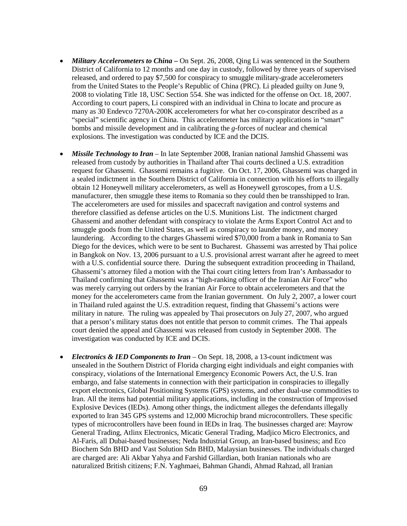- *Military Accelerometers to China* On Sept. 26, 2008, Qing Li was sentenced in the Southern District of California to 12 months and one day in custody, followed by three years of supervised released, and ordered to pay \$7,500 for conspiracy to smuggle military-grade accelerometers from the United States to the People's Republic of China (PRC). Li pleaded guilty on June 9, 2008 to violating Title 18, USC Section 554. She was indicted for the offense on Oct. 18, 2007. According to court papers, Li conspired with an individual in China to locate and procure as many as 30 Endevco 7270A-200K accelerometers for what her co-conspirator described as a "special" scientific agency in China. This accelerometer has military applications in "smart" bombs and missile development and in calibrating the *g*-forces of nuclear and chemical explosions. The investigation was conducted by ICE and the DCIS.
- *Missile Technology to Iran* In late September 2008, Iranian national Jamshid Ghassemi was released from custody by authorities in Thailand after Thai courts declined a U.S. extradition request for Ghassemi. Ghassemi remains a fugitive. On Oct. 17, 2006, Ghassemi was charged in a sealed indictment in the Southern District of California in connection with his efforts to illegally obtain 12 Honeywell military accelerometers, as well as Honeywell gyroscopes, from a U.S. manufacturer, then smuggle these items to Romania so they could then be transshipped to Iran. The accelerometers are used for missiles and spacecraft navigation and control systems and therefore classified as defense articles on the U.S. Munitions List. The indictment charged Ghassemi and another defendant with conspiracy to violate the Arms Export Control Act and to smuggle goods from the United States, as well as conspiracy to launder money, and money laundering. According to the charges Ghassemi wired \$70,000 from a bank in Romania to San Diego for the devices, which were to be sent to Bucharest. Ghassemi was arrested by Thai police in Bangkok on Nov. 13, 2006 pursuant to a U.S. provisional arrest warrant after he agreed to meet with a U.S. confidential source there. During the subsequent extradition proceeding in Thailand, Ghassemi's attorney filed a motion with the Thai court citing letters from Iran's Ambassador to Thailand confirming that Ghassemi was a "high-ranking officer of the Iranian Air Force" who was merely carrying out orders by the Iranian Air Force to obtain accelerometers and that the money for the accelerometers came from the Iranian government. On July 2, 2007, a lower court in Thailand ruled against the U.S. extradition request, finding that Ghassemi's actions were military in nature. The ruling was appealed by Thai prosecutors on July 27, 2007, who argued that a person's military status does not entitle that person to commit crimes. The Thai appeals court denied the appeal and Ghassemi was released from custody in September 2008. The investigation was conducted by ICE and DCIS.
- *Electronics & IED Components to Iran* On Sept. 18, 2008, a 13-count indictment was unsealed in the Southern District of Florida charging eight individuals and eight companies with conspiracy, violations of the International Emergency Economic Powers Act, the U.S. Iran embargo, and false statements in connection with their participation in conspiracies to illegally export electronics, Global Positioning Systems (GPS) systems, and other dual-use commodities to Iran. All the items had potential military applications, including in the construction of Improvised Explosive Devices (IEDs). Among other things, the indictment alleges the defendants illegally exported to Iran 345 GPS systems and 12,000 Microchip brand microcontrollers. These specific types of microcontrollers have been found in IEDs in Iraq. The businesses charged are: Mayrow General Trading, Atlinx Electronics, Micatic General Trading, Madjico Micro Electronics, and Al-Faris, all Dubai-based businesses; Neda Industrial Group, an Iran-based business; and Eco Biochem Sdn BHD and Vast Solution Sdn BHD, Malaysian businesses. The individuals charged are charged are: Ali Akbar Yahya and Farshid Gillardian, both Iranian nationals who are naturalized British citizens; F.N. Yaghmaei, Bahman Ghandi, Ahmad Rahzad, all Iranian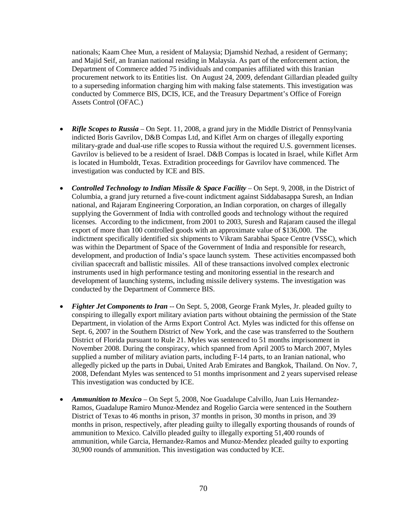nationals; Kaam Chee Mun, a resident of Malaysia; Djamshid Nezhad, a resident of Germany; and Majid Seif, an Iranian national residing in Malaysia. As part of the enforcement action, the Department of Commerce added 75 individuals and companies affiliated with this Iranian procurement network to its Entities list. On August 24, 2009, defendant Gillardian pleaded guilty to a superseding information charging him with making false statements. This investigation was conducted by Commerce BIS, DCIS, ICE, and the Treasury Department's Office of Foreign Assets Control (OFAC.)

- *Rifle Scopes to Russia* On Sept. 11, 2008, a grand jury in the Middle District of Pennsylvania indicted Boris Gavrilov, D&B Compas Ltd, and Kiflet Arm on charges of illegally exporting military-grade and dual-use rifle scopes to Russia without the required U.S. government licenses. Gavrilov is believed to be a resident of Israel. D&B Compas is located in Israel, while Kiflet Arm is located in Humboldt, Texas. Extradition proceedings for Gavrilov have commenced. The investigation was conducted by ICE and BIS.
- *Controlled Technology to Indian Missile & Space Facility* On Sept. 9, 2008, in the District of Columbia, a grand jury returned a five-count indictment against Siddabasappa Suresh, an Indian national, and Rajaram Engineering Corporation, an Indian corporation, on charges of illegally supplying the Government of India with controlled goods and technology without the required licenses. According to the indictment, from 2001 to 2003, Suresh and Rajaram caused the illegal export of more than 100 controlled goods with an approximate value of \$136,000. The indictment specifically identified six shipments to Vikram Sarabhai Space Centre (VSSC), which was within the Department of Space of the Government of India and responsible for research, development, and production of India's space launch system. These activities encompassed both civilian spacecraft and ballistic missiles. All of these transactions involved complex electronic instruments used in high performance testing and monitoring essential in the research and development of launching systems, including missile delivery systems. The investigation was conducted by the Department of Commerce BIS.
- *Fighter Jet Components to Iran* -- On Sept. 5, 2008, George Frank Myles, Jr. pleaded guilty to conspiring to illegally export military aviation parts without obtaining the permission of the State Department, in violation of the Arms Export Control Act. Myles was indicted for this offense on Sept. 6, 2007 in the Southern District of New York, and the case was transferred to the Southern District of Florida pursuant to Rule 21. Myles was sentenced to 51 months imprisonment in November 2008. During the conspiracy, which spanned from April 2005 to March 2007, Myles supplied a number of military aviation parts, including F-14 parts, to an Iranian national, who allegedly picked up the parts in Dubai, United Arab Emirates and Bangkok, Thailand. On Nov. 7, 2008, Defendant Myles was sentenced to 51 months imprisonment and 2 years supervised release This investigation was conducted by ICE.
- *Ammunition to Mexico* On Sept 5, 2008, Noe Guadalupe Calvillo, Juan Luis Hernandez-Ramos, Guadalupe Ramiro Munoz-Mendez and Rogelio Garcia were sentenced in the Southern District of Texas to 46 months in prison, 37 months in prison, 30 months in prison, and 39 months in prison, respectively, after pleading guilty to illegally exporting thousands of rounds of ammunition to Mexico. Calvillo pleaded guilty to illegally exporting 51,400 rounds of ammunition, while Garcia, Hernandez-Ramos and Munoz-Mendez pleaded guilty to exporting 30,900 rounds of ammunition. This investigation was conducted by ICE.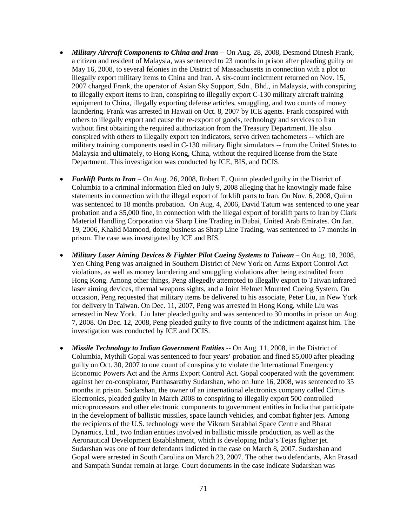- *Military Aircraft Components to China and Iran* -- On Aug. 28, 2008, Desmond Dinesh Frank, a citizen and resident of Malaysia, was sentenced to 23 months in prison after pleading guilty on May 16, 2008, to several felonies in the District of Massachusetts in connection with a plot to illegally export military items to China and Iran. A six-count indictment returned on Nov. 15, 2007 charged Frank, the operator of Asian Sky Support, Sdn., Bhd., in Malaysia, with conspiring to illegally export items to Iran, conspiring to illegally export C-130 military aircraft training equipment to China, illegally exporting defense articles, smuggling, and two counts of money laundering. Frank was arrested in Hawaii on Oct. 8, 2007 by ICE agents. Frank conspired with others to illegally export and cause the re-export of goods, technology and services to Iran without first obtaining the required authorization from the Treasury Department. He also conspired with others to illegally export ten indicators, servo driven tachometers -- which are military training components used in C-130 military flight simulators -- from the United States to Malaysia and ultimately, to Hong Kong, China, without the required license from the State Department. This investigation was conducted by ICE, BIS, and DCIS.
- *Forklift Parts to Iran* On Aug. 26, 2008, Robert E. Quinn pleaded guilty in the District of Columbia to a criminal information filed on July 9, 2008 alleging that he knowingly made false statements in connection with the illegal export of forklift parts to Iran. On Nov. 6, 2008, Quinn was sentenced to 18 months probation. On Aug. 4, 2006, David Tatum was sentenced to one year probation and a \$5,000 fine, in connection with the illegal export of forklift parts to Iran by Clark Material Handling Corporation via Sharp Line Trading in Dubai, United Arab Emirates. On Jan. 19, 2006, Khalid Mamood, doing business as Sharp Line Trading, was sentenced to 17 months in prison. The case was investigated by ICE and BIS.
- *Military Laser Aiming Devices & Fighter Pilot Cueing Systems to Taiwan* On Aug. 18, 2008, Yen Ching Peng was arraigned in Southern District of New York on Arms Export Control Act violations, as well as money laundering and smuggling violations after being extradited from Hong Kong. Among other things, Peng allegedly attempted to illegally export to Taiwan infrared laser aiming devices, thermal weapons sights, and a Joint Helmet Mounted Cueing System. On occasion, Peng requested that military items be delivered to his associate, Peter Liu, in New York for delivery in Taiwan. On Dec. 11, 2007, Peng was arrested in Hong Kong, while Liu was arrested in New York. Liu later pleaded guilty and was sentenced to 30 months in prison on Aug. 7, 2008. On Dec. 12, 2008, Peng pleaded guilty to five counts of the indictment against him. The investigation was conducted by ICE and DCIS.
- *Missile Technology to Indian Government Entities* -- On Aug. 11, 2008, in the District of Columbia, Mythili Gopal was sentenced to four years' probation and fined \$5,000 after pleading guilty on Oct. 30, 2007 to one count of conspiracy to violate the International Emergency Economic Powers Act and the Arms Export Control Act. Gopal cooperated with the government against her co-conspirator, Parthasarathy Sudarshan, who on June 16, 2008, was sentenced to 35 months in prison. Sudarshan, the owner of an international electronics company called Cirrus Electronics, pleaded guilty in March 2008 to conspiring to illegally export 500 controlled microprocessors and other electronic components to government entities in India that participate in the development of ballistic missiles, space launch vehicles, and combat fighter jets. Among the recipients of the U.S. technology were the Vikram Sarabhai Space Centre and Bharat Dynamics, Ltd., two Indian entities involved in ballistic missile production, as well as the Aeronautical Development Establishment, which is developing India's Tejas fighter jet. Sudarshan was one of four defendants indicted in the case on March 8, 2007. Sudarshan and Gopal were arrested in South Carolina on March 23, 2007. The other two defendants, Akn Prasad and Sampath Sundar remain at large. Court documents in the case indicate Sudarshan was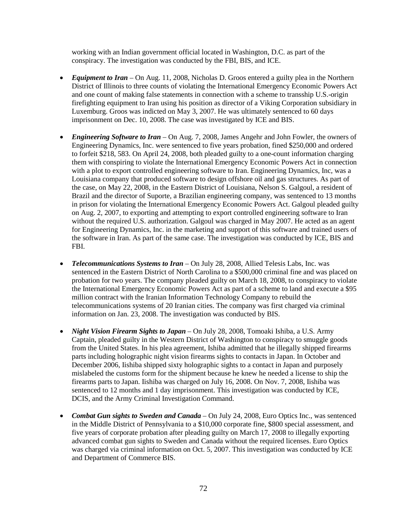working with an Indian government official located in Washington, D.C. as part of the conspiracy. The investigation was conducted by the FBI, BIS, and ICE.

- *Equipment to Iran* On Aug. 11, 2008, Nicholas D. Groos entered a guilty plea in the Northern District of Illinois to three counts of violating the International Emergency Economic Powers Act and one count of making false statements in connection with a scheme to transship U.S.-origin firefighting equipment to Iran using his position as director of a Viking Corporation subsidiary in Luxemburg. Groos was indicted on May 3, 2007. He was ultimately sentenced to 60 days imprisonment on Dec. 10, 2008. The case was investigated by ICE and BIS.
- *Engineering Software to Iran* On Aug. 7, 2008, James Angehr and John Fowler, the owners of Engineering Dynamics, Inc. were sentenced to five years probation, fined \$250,000 and ordered to forfeit \$218, 583. On April 24, 2008, both pleaded guilty to a one-count information charging them with conspiring to violate the International Emergency Economic Powers Act in connection with a plot to export controlled engineering software to Iran. Engineering Dynamics, Inc, was a Louisiana company that produced software to design offshore oil and gas structures. As part of the case, on May 22, 2008, in the Eastern District of Louisiana, Nelson S. Galgoul, a resident of Brazil and the director of Suporte, a Brazilian engineering company, was sentenced to 13 months in prison for violating the International Emergency Economic Powers Act. Galgoul pleaded guilty on Aug. 2, 2007, to exporting and attempting to export controlled engineering software to Iran without the required U.S. authorization. Galgoul was charged in May 2007. He acted as an agent for Engineering Dynamics, Inc. in the marketing and support of this software and trained users of the software in Iran. As part of the same case. The investigation was conducted by ICE, BIS and FBI.
- *Telecommunications Systems to Iran* On July 28, 2008, Allied Telesis Labs, Inc. was sentenced in the Eastern District of North Carolina to a \$500,000 criminal fine and was placed on probation for two years. The company pleaded guilty on March 18, 2008, to conspiracy to violate the International Emergency Economic Powers Act as part of a scheme to land and execute a \$95 million contract with the Iranian Information Technology Company to rebuild the telecommunications systems of 20 Iranian cities. The company was first charged via criminal information on Jan. 23, 2008. The investigation was conducted by BIS.
- *Night Vision Firearm Sights to Japan* On July 28, 2008, Tomoaki Ishiba, a U.S. Army Captain, pleaded guilty in the Western District of Washington to conspiracy to smuggle goods from the United States. In his plea agreement, Ishiba admitted that he illegally shipped firearms parts including holographic night vision firearms sights to contacts in Japan. In October and December 2006, Iishiba shipped sixty holographic sights to a contact in Japan and purposely mislabeled the customs form for the shipment because he knew he needed a license to ship the firearms parts to Japan. Iishiba was charged on July 16, 2008. On Nov. 7, 2008, Iishiba was sentenced to 12 months and 1 day imprisonment. This investigation was conducted by ICE, DCIS, and the Army Criminal Investigation Command.
- *Combat Gun sights to Sweden and Canada* On July 24, 2008, Euro Optics Inc., was sentenced in the Middle District of Pennsylvania to a \$10,000 corporate fine, \$800 special assessment, and five years of corporate probation after pleading guilty on March 17, 2008 to illegally exporting advanced combat gun sights to Sweden and Canada without the required licenses. Euro Optics was charged via criminal information on Oct. 5, 2007. This investigation was conducted by ICE and Department of Commerce BIS.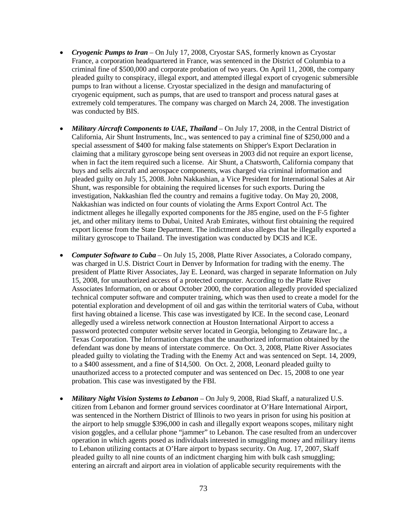- *Cryogenic Pumps to Iran* On July 17, 2008, Cryostar SAS, formerly known as Cryostar France, a corporation headquartered in France, was sentenced in the District of Columbia to a criminal fine of \$500,000 and corporate probation of two years. On April 11, 2008, the company pleaded guilty to conspiracy, illegal export, and attempted illegal export of cryogenic submersible pumps to Iran without a license. Cryostar specialized in the design and manufacturing of cryogenic equipment, such as pumps, that are used to transport and process natural gases at extremely cold temperatures. The company was charged on March 24, 2008. The investigation was conducted by BIS.
- *Military Aircraft Components to UAE, Thailand* On July 17, 2008, in the Central District of California, Air Shunt Instruments, Inc., was sentenced to pay a criminal fine of \$250,000 and a special assessment of \$400 for making false statements on Shipper's Export Declaration in claiming that a military gyroscope being sent overseas in 2003 did not require an export license, when in fact the item required such a license. Air Shunt, a Chatsworth, California company that buys and sells aircraft and aerospace components, was charged via criminal information and pleaded guilty on July 15, 2008. John Nakkashian, a Vice President for International Sales at Air Shunt, was responsible for obtaining the required licenses for such exports. During the investigation, Nakkashian fled the country and remains a fugitive today. On May 20, 2008, Nakkashian was indicted on four counts of violating the Arms Export Control Act. The indictment alleges he illegally exported components for the J85 engine, used on the F-5 fighter jet, and other military items to Dubai, United Arab Emirates, without first obtaining the required export license from the State Department. The indictment also alleges that he illegally exported a military gyroscope to Thailand. The investigation was conducted by DCIS and ICE.
- *Computer Software to Cuba* On July 15, 2008, Platte River Associates, a Colorado company, was charged in U.S. District Court in Denver by Information for trading with the enemy. The president of Platte River Associates, Jay E. Leonard, was charged in separate Information on July 15, 2008, for unauthorized access of a protected computer. According to the Platte River Associates Information, on or about October 2000, the corporation allegedly provided specialized technical computer software and computer training, which was then used to create a model for the potential exploration and development of oil and gas within the territorial waters of Cuba, without first having obtained a license. This case was investigated by ICE. In the second case, Leonard allegedly used a wireless network connection at Houston International Airport to access a password protected computer website server located in Georgia, belonging to Zetaware Inc., a Texas Corporation. The Information charges that the unauthorized information obtained by the defendant was done by means of interstate commerce. On Oct. 3, 2008, Platte River Associates pleaded guilty to violating the Trading with the Enemy Act and was sentenced on Sept. 14, 2009, to a \$400 assessment, and a fine of \$14,500. On Oct. 2, 2008, Leonard pleaded guilty to unauthorized access to a protected computer and was sentenced on Dec. 15, 2008 to one year probation. This case was investigated by the FBI.
- *Military Night Vision Systems to Lebanon* On July 9, 2008, Riad Skaff, a naturalized U.S. citizen from Lebanon and former ground services coordinator at O'Hare International Airport, was sentenced in the Northern District of Illinois to two years in prison for using his position at the airport to help smuggle \$396,000 in cash and illegally export weapons scopes, military night vision goggles, and a cellular phone "jammer" to Lebanon. The case resulted from an undercover operation in which agents posed as individuals interested in smuggling money and military items to Lebanon utilizing contacts at O'Hare airport to bypass security. On Aug. 17, 2007, Skaff pleaded guilty to all nine counts of an indictment charging him with bulk cash smuggling; entering an aircraft and airport area in violation of applicable security requirements with the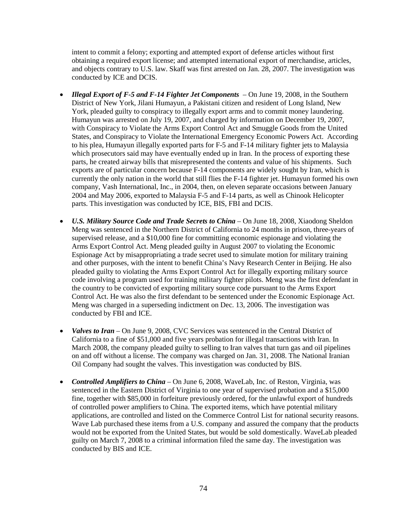intent to commit a felony; exporting and attempted export of defense articles without first obtaining a required export license; and attempted international export of merchandise, articles, and objects contrary to U.S. law. Skaff was first arrested on Jan. 28, 2007. The investigation was conducted by ICE and DCIS.

- *Illegal Export of F-5 and F-14 Fighter Jet Components* On June 19, 2008, in the Southern District of New York, Jilani Humayun, a Pakistani citizen and resident of Long Island, New York, pleaded guilty to conspiracy to illegally export arms and to commit money laundering. Humayun was arrested on July 19, 2007, and charged by information on December 19, 2007, with Conspiracy to Violate the Arms Export Control Act and Smuggle Goods from the United States, and Conspiracy to Violate the International Emergency Economic Powers Act. According to his plea, Humayun illegally exported parts for F-5 and F-14 military fighter jets to Malaysia which prosecutors said may have eventually ended up in Iran. In the process of exporting these parts, he created airway bills that misrepresented the contents and value of his shipments. Such exports are of particular concern because F-14 components are widely sought by Iran, which is currently the only nation in the world that still flies the F-14 fighter jet. Humayun formed his own company, Vash International, Inc., in 2004, then, on eleven separate occasions between January 2004 and May 2006, exported to Malaysia F-5 and F-14 parts, as well as Chinook Helicopter parts. This investigation was conducted by ICE, BIS, FBI and DCIS.
- *U.S. Military Source Code and Trade Secrets to China* On June 18, 2008, Xiaodong Sheldon Meng was sentenced in the Northern District of California to 24 months in prison, three-years of supervised release, and a \$10,000 fine for committing economic espionage and violating the Arms Export Control Act. Meng pleaded guilty in August 2007 to violating the Economic Espionage Act by misappropriating a trade secret used to simulate motion for military training and other purposes, with the intent to benefit China's Navy Research Center in Beijing. He also pleaded guilty to violating the Arms Export Control Act for illegally exporting military source code involving a program used for training military fighter pilots. Meng was the first defendant in the country to be convicted of exporting military source code pursuant to the Arms Export Control Act. He was also the first defendant to be sentenced under the Economic Espionage Act. Meng was charged in a superseding indictment on Dec. 13, 2006. The investigation was conducted by FBI and ICE.
- *Valves to Iran* On June 9, 2008, CVC Services was sentenced in the Central District of California to a fine of \$51,000 and five years probation for illegal transactions with Iran. In March 2008, the company pleaded guilty to selling to Iran valves that turn gas and oil pipelines on and off without a license. The company was charged on Jan. 31, 2008. The National Iranian Oil Company had sought the valves. This investigation was conducted by BIS.
- *Controlled Amplifiers to China*  On June 6, 2008, WaveLab, Inc. of Reston, Virginia, was sentenced in the Eastern District of Virginia to one year of supervised probation and a \$15,000 fine, together with \$85,000 in forfeiture previously ordered, for the unlawful export of hundreds of controlled power amplifiers to China. The exported items, which have potential military applications, are controlled and listed on the Commerce Control List for national security reasons. Wave Lab purchased these items from a U.S. company and assured the company that the products would not be exported from the United States, but would be sold domestically. WaveLab pleaded guilty on March 7, 2008 to a criminal information filed the same day. The investigation was conducted by BIS and ICE.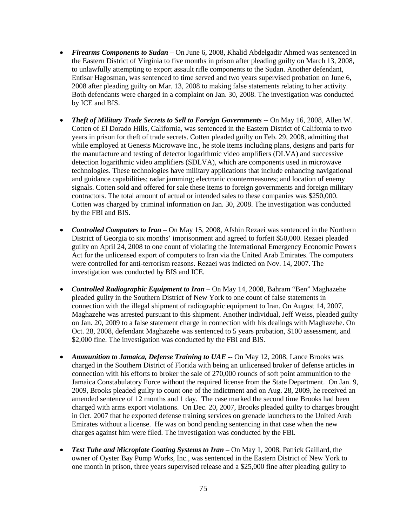- *Firearms Components to Sudan* On June 6, 2008, Khalid Abdelgadir Ahmed was sentenced in the Eastern District of Virginia to five months in prison after pleading guilty on March 13, 2008, to unlawfully attempting to export assault rifle components to the Sudan. Another defendant, Entisar Hagosman, was sentenced to time served and two years supervised probation on June 6, 2008 after pleading guilty on Mar. 13, 2008 to making false statements relating to her activity. Both defendants were charged in a complaint on Jan. 30, 2008. The investigation was conducted by ICE and BIS.
- *Theft of Military Trade Secrets to Sell to Foreign Governments* -- On May 16, 2008, Allen W. Cotten of El Dorado Hills, California, was sentenced in the Eastern District of California to two years in prison for theft of trade secrets. Cotten pleaded guilty on Feb. 29, 2008, admitting that while employed at Genesis Microwave Inc., he stole items including plans, designs and parts for the manufacture and testing of detector logarithmic video amplifiers (DLVA) and successive detection logarithmic video amplifiers (SDLVA), which are components used in microwave technologies. These technologies have military applications that include enhancing navigational and guidance capabilities; radar jamming; electronic countermeasures; and location of enemy signals. Cotten sold and offered for sale these items to foreign governments and foreign military contractors. The total amount of actual or intended sales to these companies was \$250,000. Cotten was charged by criminal information on Jan. 30, 2008. The investigation was conducted by the FBI and BIS.
- *Controlled Computers to Iran* On May 15, 2008, Afshin Rezaei was sentenced in the Northern District of Georgia to six months' imprisonment and agreed to forfeit \$50,000. Rezaei pleaded guilty on April 24, 2008 to one count of violating the International Emergency Economic Powers Act for the unlicensed export of computers to Iran via the United Arab Emirates. The computers were controlled for anti-terrorism reasons. Rezaei was indicted on Nov. 14, 2007. The investigation was conducted by BIS and ICE.
- *Controlled Radiographic Equipment to Iran* On May 14, 2008, Bahram "Ben" Maghazehe pleaded guilty in the Southern District of New York to one count of false statements in connection with the illegal shipment of radiographic equipment to Iran. On August 14, 2007, Maghazehe was arrested pursuant to this shipment. Another individual, Jeff Weiss, pleaded guilty on Jan. 20, 2009 to a false statement charge in connection with his dealings with Maghazehe. On Oct. 28, 2008, defendant Maghazehe was sentenced to 5 years probation, \$100 assessment, and \$2,000 fine. The investigation was conducted by the FBI and BIS.
- *Ammunition to Jamaica, Defense Training to UAE* -- On May 12, 2008, Lance Brooks was charged in the Southern District of Florida with being an unlicensed broker of defense articles in connection with his efforts to broker the sale of 270,000 rounds of soft point ammunition to the Jamaica Constabulatory Force without the required license from the State Department. On Jan. 9, 2009, Brooks pleaded guilty to count one of the indictment and on Aug. 28, 2009, he received an amended sentence of 12 months and 1 day. The case marked the second time Brooks had been charged with arms export violations. On Dec. 20, 2007, Brooks pleaded guilty to charges brought in Oct. 2007 that he exported defense training services on grenade launchers to the United Arab Emirates without a license. He was on bond pending sentencing in that case when the new charges against him were filed. The investigation was conducted by the FBI.
- *Test Tube and Microplate Coating Systems to Iran* On May 1, 2008, Patrick Gaillard, the owner of Oyster Bay Pump Works, Inc., was sentenced in the Eastern District of New York to one month in prison, three years supervised release and a \$25,000 fine after pleading guilty to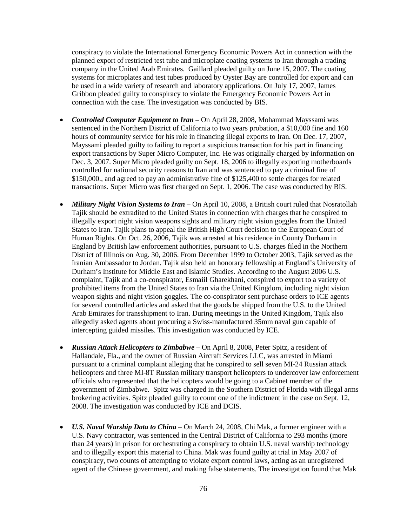conspiracy to violate the International Emergency Economic Powers Act in connection with the planned export of restricted test tube and microplate coating systems to Iran through a trading company in the United Arab Emirates. Gaillard pleaded guilty on June 15, 2007. The coating systems for microplates and test tubes produced by Oyster Bay are controlled for export and can be used in a wide variety of research and laboratory applications. On July 17, 2007, James Gribbon pleaded guilty to conspiracy to violate the Emergency Economic Powers Act in connection with the case. The investigation was conducted by BIS.

- *Controlled Computer Equipment to Iran* On April 28, 2008, Mohammad Mayssami was sentenced in the Northern District of California to two years probation, a \$10,000 fine and 160 hours of community service for his role in financing illegal exports to Iran. On Dec. 17, 2007, Mayssami pleaded guilty to failing to report a suspicious transaction for his part in financing export transactions by Super Micro Computer, Inc. He was originally charged by information on Dec. 3, 2007. Super Micro pleaded guilty on Sept. 18, 2006 to illegally exporting motherboards controlled for national security reasons to Iran and was sentenced to pay a criminal fine of \$150,000., and agreed to pay an administrative fine of \$125,400 to settle charges for related transactions. Super Micro was first charged on Sept. 1, 2006. The case was conducted by BIS.
- *Military Night Vision Systems to Iran* On April 10, 2008, a British court ruled that Nosratollah Tajik should be extradited to the United States in connection with charges that he conspired to illegally export night vision weapons sights and military night vision goggles from the United States to Iran. Tajik plans to appeal the British High Court decision to the European Court of Human Rights. On Oct. 26, 2006, Tajik was arrested at his residence in County Durham in England by British law enforcement authorities, pursuant to U.S. charges filed in the Northern District of Illinois on Aug. 30, 2006. From December 1999 to October 2003, Tajik served as the Iranian Ambassador to Jordan. Tajik also held an honorary fellowship at England's University of Durham's Institute for Middle East and Islamic Studies. According to the August 2006 U.S. complaint, Tajik and a co-conspirator, Esmaiil Gharekhani, conspired to export to a variety of prohibited items from the United States to Iran via the United Kingdom, including night vision weapon sights and night vision goggles. The co-conspirator sent purchase orders to ICE agents for several controlled articles and asked that the goods be shipped from the U.S. to the United Arab Emirates for transshipment to Iran. During meetings in the United Kingdom, Tajik also allegedly asked agents about procuring a Swiss-manufactured 35mm naval gun capable of intercepting guided missiles. This investigation was conducted by ICE.
- *Russian Attack Helicopters to Zimbabwe* On April 8, 2008, Peter Spitz, a resident of Hallandale, Fla., and the owner of Russian Aircraft Services LLC, was arrested in Miami pursuant to a criminal complaint alleging that he conspired to sell seven MI-24 Russian attack helicopters and three MI-8T Russian military transport helicopters to undercover law enforcement officials who represented that the helicopters would be going to a Cabinet member of the government of Zimbabwe. Spitz was charged in the Southern District of Florida with illegal arms brokering activities. Spitz pleaded guilty to count one of the indictment in the case on Sept. 12, 2008. The investigation was conducted by ICE and DCIS.
- *U.S. Naval Warship Data to China* On March 24, 2008, Chi Mak, a former engineer with a U.S. Navy contractor, was sentenced in the Central District of California to 293 months (more than 24 years) in prison for orchestrating a conspiracy to obtain U.S. naval warship technology and to illegally export this material to China. Mak was found guilty at trial in May 2007 of conspiracy, two counts of attempting to violate export control laws, acting as an unregistered agent of the Chinese government, and making false statements. The investigation found that Mak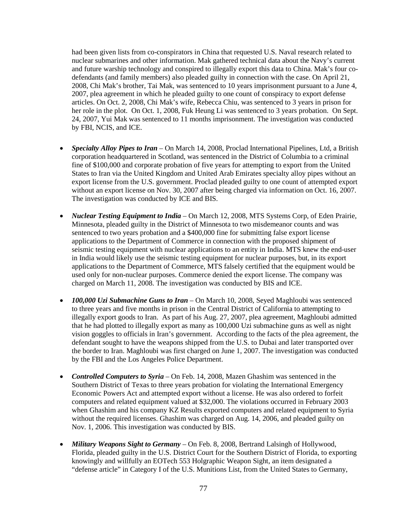had been given lists from co-conspirators in China that requested U.S. Naval research related to nuclear submarines and other information. Mak gathered technical data about the Navy's current and future warship technology and conspired to illegally export this data to China. Mak's four codefendants (and family members) also pleaded guilty in connection with the case. On April 21, 2008, Chi Mak's brother, Tai Mak, was sentenced to 10 years imprisonment pursuant to a June 4, 2007, plea agreement in which he pleaded guilty to one count of conspiracy to export defense articles. On Oct. 2, 2008, Chi Mak's wife, Rebecca Chiu, was sentenced to 3 years in prison for her role in the plot. On Oct. 1, 2008, Fuk Heung Li was sentenced to 3 years probation. On Sept. 24, 2007, Yui Mak was sentenced to 11 months imprisonment. The investigation was conducted by FBI, NCIS, and ICE.

- *Specialty Alloy Pipes to Iran* On March 14, 2008, Proclad International Pipelines, Ltd, a British corporation headquartered in Scotland, was sentenced in the District of Columbia to a criminal fine of \$100,000 and corporate probation of five years for attempting to export from the United States to Iran via the United Kingdom and United Arab Emirates specialty alloy pipes without an export license from the U.S. government. Proclad pleaded guilty to one count of attempted export without an export license on Nov. 30, 2007 after being charged via information on Oct. 16, 2007. The investigation was conducted by ICE and BIS.
- *Nuclear Testing Equipment to India* On March 12, 2008, MTS Systems Corp, of Eden Prairie, Minnesota, pleaded guilty in the District of Minnesota to two misdemeanor counts and was sentenced to two years probation and a \$400,000 fine for submitting false export license applications to the Department of Commerce in connection with the proposed shipment of seismic testing equipment with nuclear applications to an entity in India. MTS knew the end-user in India would likely use the seismic testing equipment for nuclear purposes, but, in its export applications to the Department of Commerce, MTS falsely certified that the equipment would be used only for non-nuclear purposes. Commerce denied the export license. The company was charged on March 11, 2008. The investigation was conducted by BIS and ICE.
- *100,000 Uzi Submachine Guns to Iran* On March 10, 2008, Seyed Maghloubi was sentenced to three years and five months in prison in the Central District of California to attempting to illegally export goods to Iran. As part of his Aug. 27, 2007, plea agreement, Maghloubi admitted that he had plotted to illegally export as many as 100,000 Uzi submachine guns as well as night vision goggles to officials in Iran's government. According to the facts of the plea agreement, the defendant sought to have the weapons shipped from the U.S. to Dubai and later transported over the border to Iran. Maghloubi was first charged on June 1, 2007. The investigation was conducted by the FBI and the Los Angeles Police Department.
- *Controlled Computers to Syria* On Feb. 14, 2008, Mazen Ghashim was sentenced in the Southern District of Texas to three years probation for violating the International Emergency Economic Powers Act and attempted export without a license. He was also ordered to forfeit computers and related equipment valued at \$32,000. The violations occurred in February 2003 when Ghashim and his company KZ Results exported computers and related equipment to Syria without the required licenses. Ghashim was charged on Aug. 14, 2006, and pleaded guilty on Nov. 1, 2006. This investigation was conducted by BIS.
- *Military Weapons Sight to Germany* On Feb. 8, 2008, Bertrand Lalsingh of Hollywood, Florida, pleaded guilty in the U.S. District Court for the Southern District of Florida, to exporting knowingly and willfully an EOTech 553 Holgraphic Weapon Sight, an item designated a "defense article" in Category I of the U.S. Munitions List, from the United States to Germany,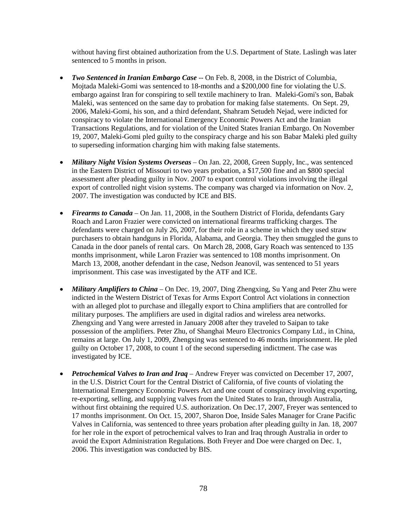without having first obtained authorization from the U.S. Department of State. Laslingh was later sentenced to 5 months in prison.

- *Two Sentenced in Iranian Embargo Case* -- On Feb. 8, 2008, in the District of Columbia, Mojtada Maleki-Gomi was sentenced to 18-months and a \$200,000 fine for violating the U.S. embargo against Iran for conspiring to sell textile machinery to Iran. Maleki-Gomi's son, Babak Maleki, was sentenced on the same day to probation for making false statements. On Sept. 29, 2006, Maleki-Gomi, his son, and a third defendant, Shahram Setudeh Nejad, were indicted for conspiracy to violate the International Emergency Economic Powers Act and the Iranian Transactions Regulations, and for violation of the United States Iranian Embargo. On November 19, 2007, Maleki-Gomi pled guilty to the conspiracy charge and his son Babar Maleki pled guilty to superseding information charging him with making false statements.
- *Military Night Vision Systems Overseas* On Jan. 22, 2008, Green Supply, Inc., was sentenced in the Eastern District of Missouri to two years probation, a \$17,500 fine and an \$800 special assessment after pleading guilty in Nov. 2007 to export control violations involving the illegal export of controlled night vision systems. The company was charged via information on Nov. 2, 2007. The investigation was conducted by ICE and BIS.
- *Firearms to Canada* On Jan. 11, 2008, in the Southern District of Florida, defendants Gary Roach and Laron Frazier were convicted on international firearms trafficking charges. The defendants were charged on July 26, 2007, for their role in a scheme in which they used straw purchasers to obtain handguns in Florida, Alabama, and Georgia. They then smuggled the guns to Canada in the door panels of rental cars. On March 28, 2008, Gary Roach was sentenced to 135 months imprisonment, while Laron Frazier was sentenced to 108 months imprisonment. On March 13, 2008, another defendant in the case, Nedson Jeanovil, was sentenced to 51 years imprisonment. This case was investigated by the ATF and ICE.
- *Military Amplifiers to China* On Dec. 19, 2007, Ding Zhengxing, Su Yang and Peter Zhu were indicted in the Western District of Texas for Arms Export Control Act violations in connection with an alleged plot to purchase and illegally export to China amplifiers that are controlled for military purposes. The amplifiers are used in digital radios and wireless area networks. Zhengxing and Yang were arrested in January 2008 after they traveled to Saipan to take possession of the amplifiers. Peter Zhu, of Shanghai Meuro Electronics Company Ltd., in China, remains at large. On July 1, 2009, Zhengxing was sentenced to 46 months imprisonment. He pled guilty on October 17, 2008, to count 1 of the second superseding indictment. The case was investigated by ICE.
- *Petrochemical Valves to Iran and Iraq*  Andrew Freyer was convicted on December 17, 2007, in the U.S. District Court for the Central District of California, of five counts of violating the International Emergency Economic Powers Act and one count of conspiracy involving exporting, re-exporting, selling, and supplying valves from the United States to Iran, through Australia, without first obtaining the required U.S. authorization. On Dec.17, 2007, Freyer was sentenced to 17 months imprisonment. On Oct. 15, 2007, Sharon Doe, Inside Sales Manager for Crane Pacific Valves in California, was sentenced to three years probation after pleading guilty in Jan. 18, 2007 for her role in the export of petrochemical valves to Iran and Iraq through Australia in order to avoid the Export Administration Regulations. Both Freyer and Doe were charged on Dec. 1, 2006. This investigation was conducted by BIS.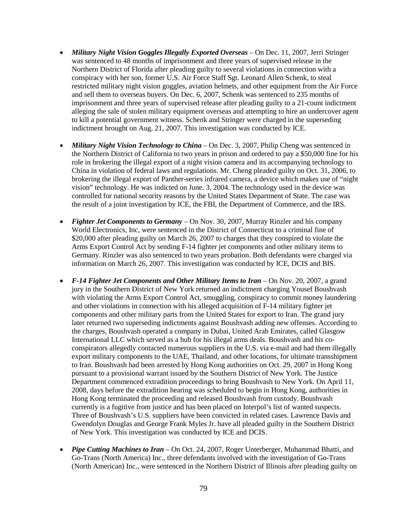- *Military Night Vision Goggles Illegally Exported Overseas* On Dec. 11, 2007, Jerri Stringer was sentenced to 48 months of imprisonment and three years of supervised release in the Northern District of Florida after pleading guilty to several violations in connection with a conspiracy with her son, former U.S. Air Force Staff Sgt. Leonard Allen Schenk, to steal restricted military night vision goggles, aviation helmets, and other equipment from the Air Force and sell them to overseas buyers. On Dec. 6, 2007, Schenk was sentenced to 235 months of imprisonment and three years of supervised release after pleading guilty to a 21-count indictment alleging the sale of stolen military equipment overseas and attempting to hire an undercover agent to kill a potential government witness. Schenk and Stringer were charged in the superseding indictment brought on Aug. 21, 2007. This investigation was conducted by ICE.
- *Military Night Vision Technology to China* On Dec. 3, 2007, Philip Cheng was sentenced in the Northern District of California to two years in prison and ordered to pay a \$50,000 fine for his role in brokering the illegal export of a night vision camera and its accompanying technology to China in violation of federal laws and regulations. Mr. Cheng pleaded guilty on Oct. 31, 2006, to brokering the illegal export of Panther-series infrared camera, a device which makes use of "night vision" technology. He was indicted on June. 3, 2004. The technology used in the device was controlled for national security reasons by the United States Department of State. The case was the result of a joint investigation by ICE, the FBI, the Department of Commerce, and the IRS.
- *Fighter Jet Components to Germany* On Nov. 30, 2007, Murray Rinzler and his company World Electronics, Inc, were sentenced in the District of Connecticut to a criminal fine of \$20,000 after pleading guilty on March 26, 2007 to charges that they conspired to violate the Arms Export Control Act by sending F-14 fighter jet components and other military items to Germany. Rinzler was also sentenced to two years probation. Both defendants were charged via information on March 26, 2007. This investigation was conducted by ICE, DCIS and BIS.
- *F-14 Fighter Jet Components and Other Military Items to Iran* On Nov. 20, 2007, a grand jury in the Southern District of New York returned an indictment charging Yousef Boushvash with violating the Arms Export Control Act, smuggling, conspiracy to commit money laundering and other violations in connection with his alleged acquisition of F-14 military fighter jet components and other military parts from the United States for export to Iran. The grand jury later returned two superseding indictments against Boushvash adding new offenses. According to the charges, Boushvash operated a company in Dubai, United Arab Emirates, called Glasgow International LLC which served as a hub for his illegal arms deals. Boushvash and his coconspirators allegedly contacted numerous suppliers in the U.S. via e-mail and had them illegally export military components to the UAE, Thailand, and other locations, for ultimate transshipment to Iran. Boushvash had been arrested by Hong Kong authorities on Oct. 29, 2007 in Hong Kong pursuant to a provisional warrant issued by the Southern District of New York. The Justice Department commenced extradition proceedings to bring Boushvash to New York. On April 11, 2008, days before the extradition hearing was scheduled to begin in Hong Kong, authorities in Hong Kong terminated the proceeding and released Boushvash from custody. Boushvash currently is a fugitive from justice and has been placed on Interpol's list of wanted suspects. Three of Boushvash's U.S. suppliers have been convicted in related cases. Lawrence Davis and Gwendolyn Douglas and George Frank Myles Jr. have all pleaded guilty in the Southern District of New York. This investigation was conducted by ICE and DCIS.
- *Pipe Cutting Machines to Iran* On Oct. 24, 2007, Roger Unterberger, Muhammad Bhatti, and Go-Trans (North America) Inc., three defendants involved with the investigation of Go-Trans (North American) Inc., were sentenced in the Northern District of Illinois after pleading guilty on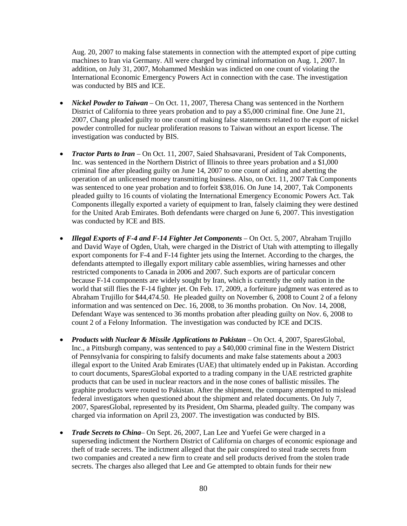Aug. 20, 2007 to making false statements in connection with the attempted export of pipe cutting machines to Iran via Germany. All were charged by criminal information on Aug. 1, 2007. In addition, on July 31, 2007, Mohammed Meshkin was indicted on one count of violating the International Economic Emergency Powers Act in connection with the case. The investigation was conducted by BIS and ICE.

- *Nickel Powder to Taiwan* On Oct. 11, 2007, Theresa Chang was sentenced in the Northern District of California to three years probation and to pay a \$5,000 criminal fine. One June 21, 2007, Chang pleaded guilty to one count of making false statements related to the export of nickel powder controlled for nuclear proliferation reasons to Taiwan without an export license. The investigation was conducted by BIS.
- *Tractor Parts to Iran* On Oct. 11, 2007, Saied Shahsavarani, President of Tak Components, Inc. was sentenced in the Northern District of Illinois to three years probation and a \$1,000 criminal fine after pleading guilty on June 14, 2007 to one count of aiding and abetting the operation of an unlicensed money transmitting business. Also, on Oct. 11, 2007 Tak Components was sentenced to one year probation and to forfeit \$38,016. On June 14, 2007, Tak Components pleaded guilty to 16 counts of violating the International Emergency Economic Powers Act. Tak Components illegally exported a variety of equipment to Iran, falsely claiming they were destined for the United Arab Emirates. Both defendants were charged on June 6, 2007. This investigation was conducted by ICE and BIS.
- *Illegal Exports of F-4 and F-14 Fighter Jet Components –* On Oct. 5, 2007, Abraham Trujillo and David Waye of Ogden, Utah, were charged in the District of Utah with attempting to illegally export components for F-4 and F-14 fighter jets using the Internet. According to the charges, the defendants attempted to illegally export military cable assemblies, wiring harnesses and other restricted components to Canada in 2006 and 2007. Such exports are of particular concern because F-14 components are widely sought by Iran, which is currently the only nation in the world that still flies the F-14 fighter jet. On Feb. 17, 2009, a forfeiture judgment was entered as to Abraham Trujillo for \$44,474.50. He pleaded guilty on November 6, 2008 to Count 2 of a felony information and was sentenced on Dec. 16, 2008, to 36 months probation. On Nov. 14, 2008, Defendant Waye was sentenced to 36 months probation after pleading guilty on Nov. 6, 2008 to count 2 of a Felony Information. The investigation was conducted by ICE and DCIS.
- *Products with Nuclear & Missile Applications to Pakistan* On Oct. 4, 2007, SparesGlobal, Inc., a Pittsburgh company, was sentenced to pay a \$40,000 criminal fine in the Western District of Pennsylvania for conspiring to falsify documents and make false statements about a 2003 illegal export to the United Arab Emirates (UAE) that ultimately ended up in Pakistan. According to court documents, SparesGlobal exported to a trading company in the UAE restricted graphite products that can be used in nuclear reactors and in the nose cones of ballistic missiles. The graphite products were routed to Pakistan. After the shipment, the company attempted to mislead federal investigators when questioned about the shipment and related documents. On July 7, 2007, SparesGlobal, represented by its President, Om Sharma, pleaded guilty. The company was charged via information on April 23, 2007. The investigation was conducted by BIS.
- *Trade Secrets to China* On Sept. 26, 2007, Lan Lee and Yuefei Ge were charged in a superseding indictment the Northern District of California on charges of economic espionage and theft of trade secrets. The indictment alleged that the pair conspired to steal trade secrets from two companies and created a new firm to create and sell products derived from the stolen trade secrets. The charges also alleged that Lee and Ge attempted to obtain funds for their new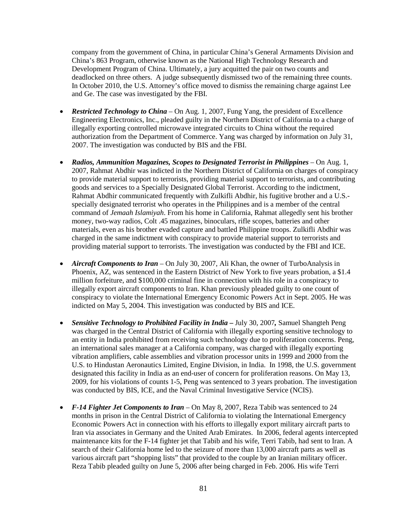company from the government of China, in particular China's General Armaments Division and China's 863 Program, otherwise known as the National High Technology Research and Development Program of China. Ultimately, a jury acquitted the pair on two counts and deadlocked on three others. A judge subsequently dismissed two of the remaining three counts. In October 2010, the U.S. Attorney's office moved to dismiss the remaining charge against Lee and Ge. The case was investigated by the FBI.

- *Restricted Technology to China* On Aug. 1, 2007, Fung Yang, the president of Excellence Engineering Electronics, Inc., pleaded guilty in the Northern District of California to a charge of illegally exporting controlled microwave integrated circuits to China without the required authorization from the Department of Commerce. Yang was charged by information on July 31, 2007. The investigation was conducted by BIS and the FBI.
- *Radios, Ammunition Magazines, Scopes to Designated Terrorist in Philippines* On Aug. 1, 2007, Rahmat Abdhir was indicted in the Northern District of California on charges of conspiracy to provide material support to terrorists, providing material support to terrorists, and contributing goods and services to a Specially Designated Global Terrorist. According to the indictment, Rahmat Abdhir communicated frequently with Zulkifli Abdhir, his fugitive brother and a U.S. specially designated terrorist who operates in the Philippines and is a member of the central command of *Jemaah Islamiyah*. From his home in California, Rahmat allegedly sent his brother money, two-way radios, Colt .45 magazines, binoculars, rifle scopes, batteries and other materials, even as his brother evaded capture and battled Philippine troops. Zulkifli Abdhir was charged in the same indictment with conspiracy to provide material support to terrorists and providing material support to terrorists. The investigation was conducted by the FBI and ICE.
- *Aircraft Components to Iran*  On July 30, 2007, Ali Khan, the owner of TurboAnalysis in Phoenix, AZ, was sentenced in the Eastern District of New York to five years probation, a \$1.4 million forfeiture, and \$100,000 criminal fine in connection with his role in a conspiracy to illegally export aircraft components to Iran. Khan previously pleaded guilty to one count of conspiracy to violate the International Emergency Economic Powers Act in Sept. 2005. He was indicted on May 5, 2004. This investigation was conducted by BIS and ICE.
- *Sensitive Technology to Prohibited Facility in India –* July 30, 2007*,* Samuel Shangteh Peng was charged in the Central District of California with illegally exporting sensitive technology to an entity in India prohibited from receiving such technology due to proliferation concerns. Peng, an international sales manager at a California company, was charged with illegally exporting vibration amplifiers, cable assemblies and vibration processor units in 1999 and 2000 from the U.S. to Hindustan Aeronautics Limited, Engine Division, in India. In 1998, the U.S. government designated this facility in India as an end-user of concern for proliferation reasons. On May 13, 2009, for his violations of counts 1-5, Peng was sentenced to 3 years probation. The investigation was conducted by BIS, ICE, and the Naval Criminal Investigative Service (NCIS).
- *F-14 Fighter Jet Components to Iran*  On May 8, 2007, Reza Tabib was sentenced to 24 months in prison in the Central District of California to violating the International Emergency Economic Powers Act in connection with his efforts to illegally export military aircraft parts to Iran via associates in Germany and the United Arab Emirates. In 2006, federal agents intercepted maintenance kits for the F-14 fighter jet that Tabib and his wife, Terri Tabib, had sent to Iran. A search of their California home led to the seizure of more than 13,000 aircraft parts as well as various aircraft part "shopping lists" that provided to the couple by an Iranian military officer. Reza Tabib pleaded guilty on June 5, 2006 after being charged in Feb. 2006. His wife Terri